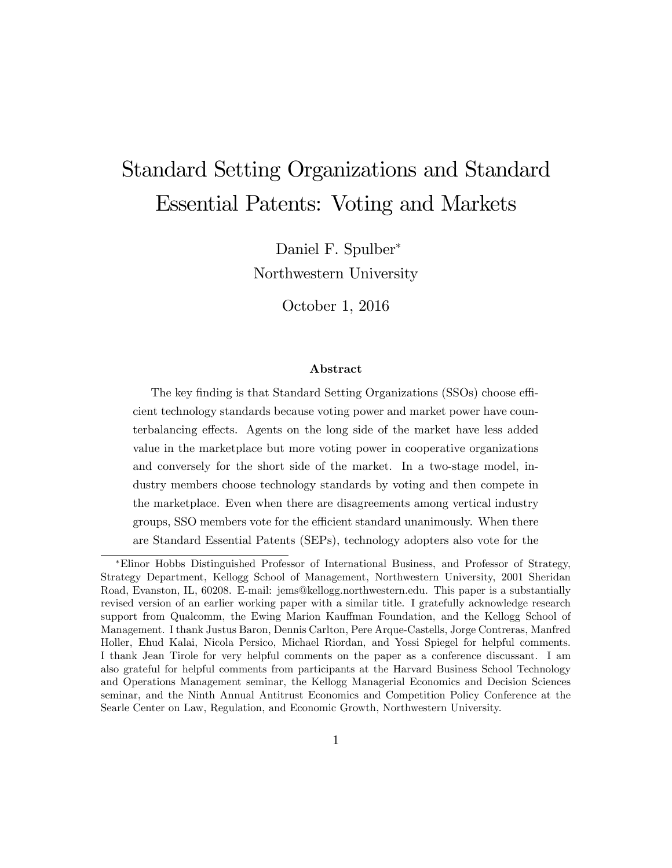# Standard Setting Organizations and Standard Essential Patents: Voting and Markets

Daniel F. Spulber Northwestern University

October 1, 2016

#### Abstract

The key finding is that Standard Setting Organizations (SSOs) choose efficient technology standards because voting power and market power have counterbalancing effects. Agents on the long side of the market have less added value in the marketplace but more voting power in cooperative organizations and conversely for the short side of the market. In a two-stage model, industry members choose technology standards by voting and then compete in the marketplace. Even when there are disagreements among vertical industry groups, SSO members vote for the efficient standard unanimously. When there are Standard Essential Patents (SEPs), technology adopters also vote for the

Elinor Hobbs Distinguished Professor of International Business, and Professor of Strategy, Strategy Department, Kellogg School of Management, Northwestern University, 2001 Sheridan Road, Evanston, IL, 60208. E-mail: jems@kellogg.northwestern.edu. This paper is a substantially revised version of an earlier working paper with a similar title. I gratefully acknowledge research support from Qualcomm, the Ewing Marion Kauffman Foundation, and the Kellogg School of Management. I thank Justus Baron, Dennis Carlton, Pere Arque-Castells, Jorge Contreras, Manfred Holler, Ehud Kalai, Nicola Persico, Michael Riordan, and Yossi Spiegel for helpful comments. I thank Jean Tirole for very helpful comments on the paper as a conference discussant. I am also grateful for helpful comments from participants at the Harvard Business School Technology and Operations Management seminar, the Kellogg Managerial Economics and Decision Sciences seminar, and the Ninth Annual Antitrust Economics and Competition Policy Conference at the Searle Center on Law, Regulation, and Economic Growth, Northwestern University.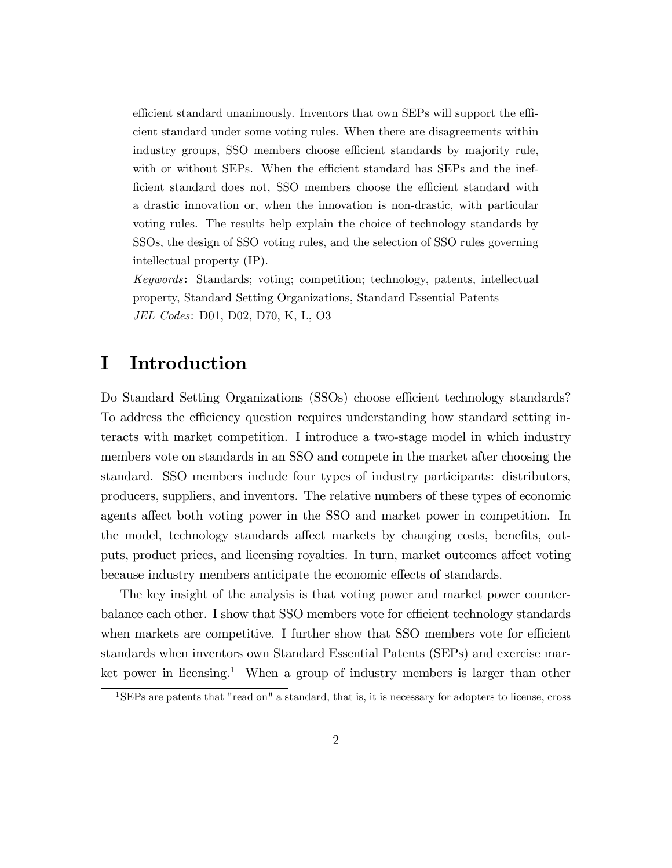efficient standard unanimously. Inventors that own SEPs will support the efficient standard under some voting rules. When there are disagreements within industry groups, SSO members choose efficient standards by majority rule, with or without SEPs. When the efficient standard has SEPs and the inefficient standard does not, SSO members choose the efficient standard with a drastic innovation or, when the innovation is non-drastic, with particular voting rules. The results help explain the choice of technology standards by SSOs, the design of SSO voting rules, and the selection of SSO rules governing intellectual property (IP).

Keywords: Standards; voting; competition; technology, patents, intellectual property, Standard Setting Organizations, Standard Essential Patents JEL Codes: D01, D02, D70, K, L, O3

### I Introduction

Do Standard Setting Organizations (SSOs) choose efficient technology standards? To address the efficiency question requires understanding how standard setting interacts with market competition. I introduce a two-stage model in which industry members vote on standards in an SSO and compete in the market after choosing the standard. SSO members include four types of industry participants: distributors, producers, suppliers, and inventors. The relative numbers of these types of economic agents affect both voting power in the SSO and market power in competition. In the model, technology standards affect markets by changing costs, benefits, outputs, product prices, and licensing royalties. In turn, market outcomes affect voting because industry members anticipate the economic effects of standards.

The key insight of the analysis is that voting power and market power counterbalance each other. I show that SSO members vote for efficient technology standards when markets are competitive. I further show that SSO members vote for efficient standards when inventors own Standard Essential Patents (SEPs) and exercise market power in licensing.<sup>1</sup> When a group of industry members is larger than other

<sup>1</sup>SEPs are patents that "read on" a standard, that is, it is necessary for adopters to license, cross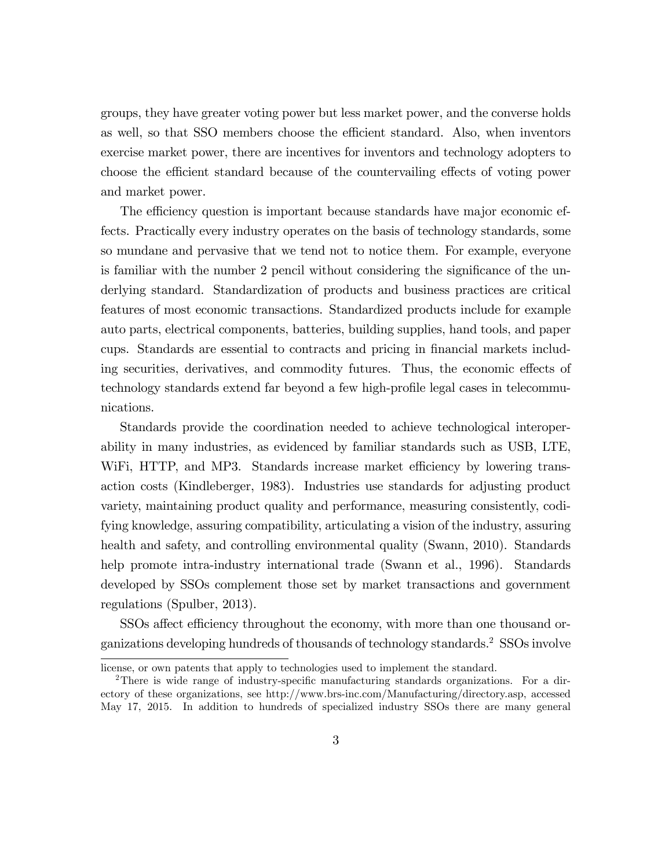groups, they have greater voting power but less market power, and the converse holds as well, so that SSO members choose the efficient standard. Also, when inventors exercise market power, there are incentives for inventors and technology adopters to choose the efficient standard because of the countervailing effects of voting power and market power.

The efficiency question is important because standards have major economic effects. Practically every industry operates on the basis of technology standards, some so mundane and pervasive that we tend not to notice them. For example, everyone is familiar with the number 2 pencil without considering the significance of the underlying standard. Standardization of products and business practices are critical features of most economic transactions. Standardized products include for example auto parts, electrical components, batteries, building supplies, hand tools, and paper cups. Standards are essential to contracts and pricing in Önancial markets including securities, derivatives, and commodity futures. Thus, the economic effects of technology standards extend far beyond a few high-profile legal cases in telecommunications.

Standards provide the coordination needed to achieve technological interoperability in many industries, as evidenced by familiar standards such as USB, LTE, WiFi, HTTP, and MP3. Standards increase market efficiency by lowering transaction costs (Kindleberger, 1983). Industries use standards for adjusting product variety, maintaining product quality and performance, measuring consistently, codifying knowledge, assuring compatibility, articulating a vision of the industry, assuring health and safety, and controlling environmental quality (Swann, 2010). Standards help promote intra-industry international trade (Swann et al., 1996). Standards developed by SSOs complement those set by market transactions and government regulations (Spulber, 2013).

SSOs affect efficiency throughout the economy, with more than one thousand organizations developing hundreds of thousands of technology standards.<sup>2</sup> SSOs involve

license, or own patents that apply to technologies used to implement the standard.

<sup>&</sup>lt;sup>2</sup>There is wide range of industry-specific manufacturing standards organizations. For a directory of these organizations, see http://www.brs-inc.com/Manufacturing/directory.asp, accessed May 17, 2015. In addition to hundreds of specialized industry SSOs there are many general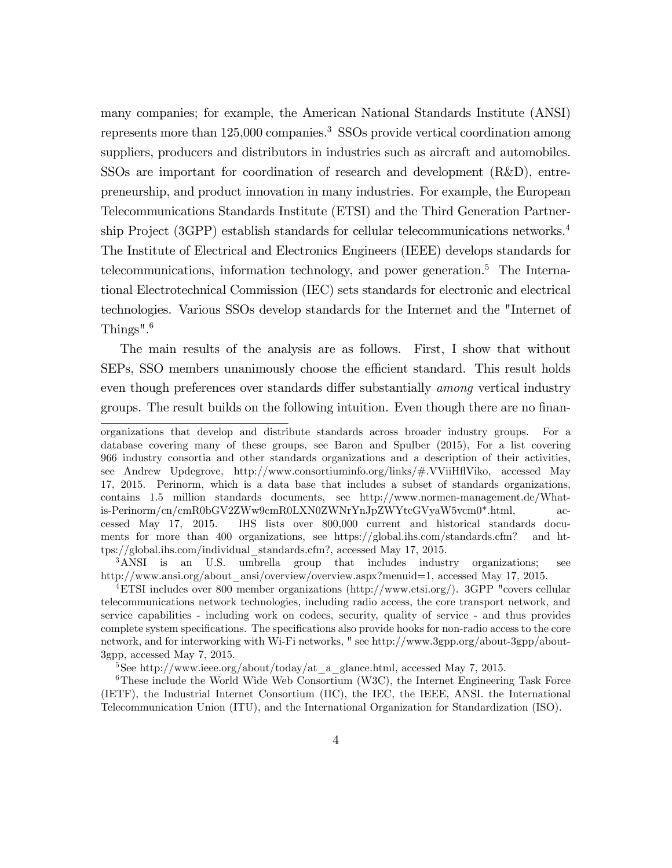many companies; for example, the American National Standards Institute (ANSI) represents more than 125,000 companies.<sup>3</sup> SSOs provide vertical coordination among suppliers, producers and distributors in industries such as aircraft and automobiles. SSOs are important for coordination of research and development (R&D), entrepreneurship, and product innovation in many industries. For example, the European Telecommunications Standards Institute (ETSI) and the Third Generation Partnership Project (3GPP) establish standards for cellular telecommunications networks.<sup>4</sup> The Institute of Electrical and Electronics Engineers (IEEE) develops standards for telecommunications, information technology, and power generation.<sup>5</sup> The International Electrotechnical Commission (IEC) sets standards for electronic and electrical technologies. Various SSOs develop standards for the Internet and the "Internet of Things".<sup>6</sup>

The main results of the analysis are as follows. First, I show that without SEPs, SSO members unanimously choose the efficient standard. This result holds even though preferences over standards differ substantially *among* vertical industry groups. The result builds on the following intuition. Even though there are no finan-

<sup>3</sup>ANSI is an U.S. umbrella group that includes industry organizations; see http://www.ansi.org/about\_ansi/overview/overview.aspx?menuid=1, accessed May 17, 2015.

organizations that develop and distribute standards across broader industry groups. For a database covering many of these groups, see Baron and Spulber (2015), For a list covering 966 industry consortia and other standards organizations and a description of their activities, see Andrew Updegrove, http://www.consortiuminfo.org/links/#.VViiHáViko, accessed May 17, 2015. Perinorm, which is a data base that includes a subset of standards organizations, contains 1.5 million standards documents, see http://www.normen-management.de/Whatis-Perinorm/cn/cmR0bGV2ZWw9cmR0LXN0ZWNrYnJpZWYtcGVyaW5vcm0\*.html, accessed May 17, 2015. IHS lists over 800,000 current and historical standards documents for more than 400 organizations, see https://global.ihs.com/standards.cfm? and https://global.ihs.com/individual\_standards.cfm?, accessed May 17, 2015.

<sup>4</sup>ETSI includes over 800 member organizations (http://www.etsi.org/). 3GPP "covers cellular telecommunications network technologies, including radio access, the core transport network, and service capabilities - including work on codecs, security, quality of service - and thus provides complete system specifications. The specifications also provide hooks for non-radio access to the core network, and for interworking with Wi-Fi networks, " see http://www.3gpp.org/about-3gpp/about-3gpp, accessed May 7, 2015.

<sup>&</sup>lt;sup>5</sup>See http://www.ieee.org/about/today/at\_a\_glance.html, accessed May 7, 2015.

 $6$ These include the World Wide Web Consortium (W3C), the Internet Engineering Task Force (IETF), the Industrial Internet Consortium (IIC), the IEC, the IEEE, ANSI. the International Telecommunication Union (ITU), and the International Organization for Standardization (ISO).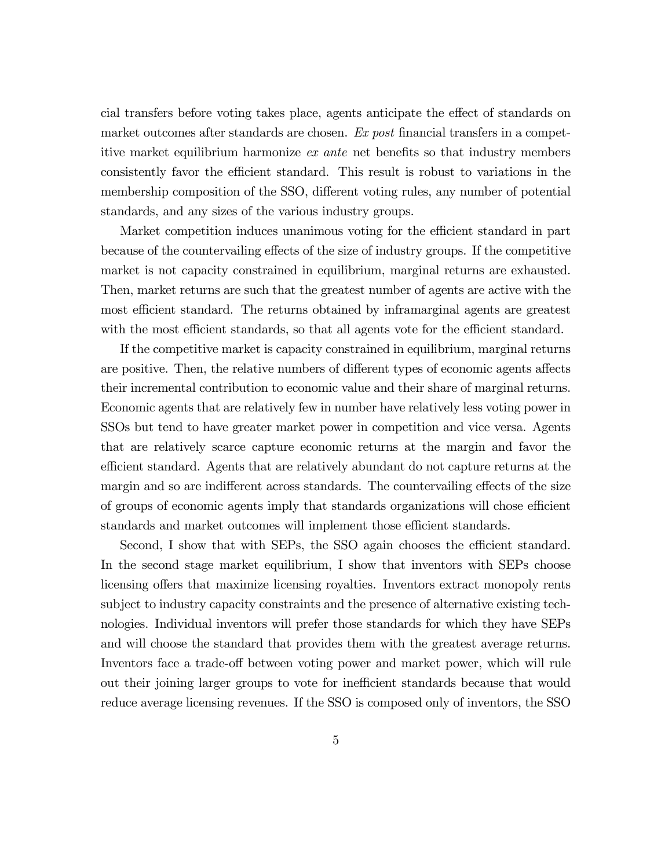cial transfers before voting takes place, agents anticipate the effect of standards on market outcomes after standards are chosen.  $Ex$  post financial transfers in a competitive market equilibrium harmonize  $ex$  ante net benefits so that industry members consistently favor the efficient standard. This result is robust to variations in the membership composition of the SSO, different voting rules, any number of potential standards, and any sizes of the various industry groups.

Market competition induces unanimous voting for the efficient standard in part because of the countervailing effects of the size of industry groups. If the competitive market is not capacity constrained in equilibrium, marginal returns are exhausted. Then, market returns are such that the greatest number of agents are active with the most efficient standard. The returns obtained by inframarginal agents are greatest with the most efficient standards, so that all agents vote for the efficient standard.

If the competitive market is capacity constrained in equilibrium, marginal returns are positive. Then, the relative numbers of different types of economic agents affects their incremental contribution to economic value and their share of marginal returns. Economic agents that are relatively few in number have relatively less voting power in SSOs but tend to have greater market power in competition and vice versa. Agents that are relatively scarce capture economic returns at the margin and favor the efficient standard. Agents that are relatively abundant do not capture returns at the margin and so are indifferent across standards. The countervailing effects of the size of groups of economic agents imply that standards organizations will chose efficient standards and market outcomes will implement those efficient standards.

Second, I show that with SEPs, the SSO again chooses the efficient standard. In the second stage market equilibrium, I show that inventors with SEPs choose licensing offers that maximize licensing royalties. Inventors extract monopoly rents subject to industry capacity constraints and the presence of alternative existing technologies. Individual inventors will prefer those standards for which they have SEPs and will choose the standard that provides them with the greatest average returns. Inventors face a trade-off between voting power and market power, which will rule out their joining larger groups to vote for inefficient standards because that would reduce average licensing revenues. If the SSO is composed only of inventors, the SSO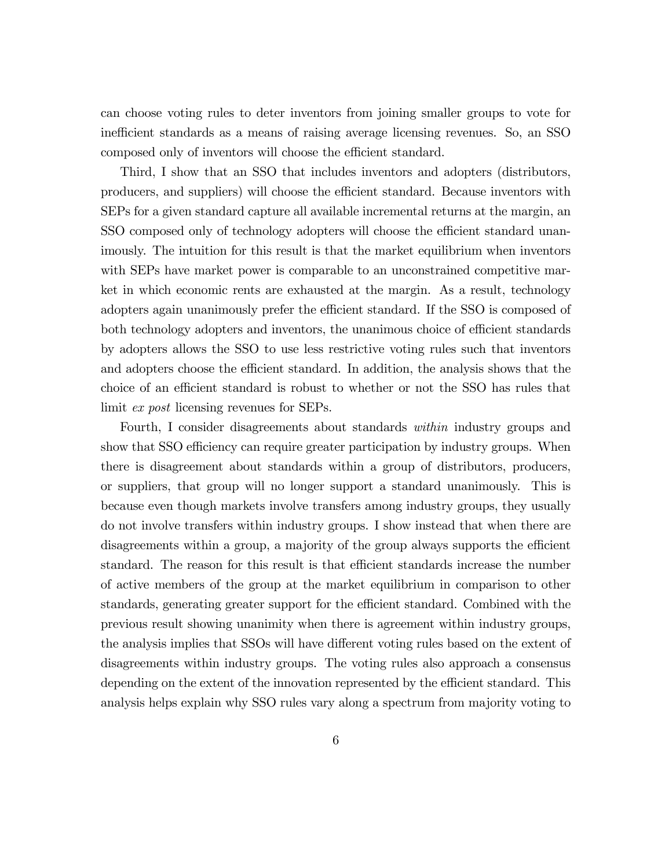can choose voting rules to deter inventors from joining smaller groups to vote for inefficient standards as a means of raising average licensing revenues. So, an SSO composed only of inventors will choose the efficient standard.

Third, I show that an SSO that includes inventors and adopters (distributors, producers, and suppliers) will choose the efficient standard. Because inventors with SEPs for a given standard capture all available incremental returns at the margin, an SSO composed only of technology adopters will choose the efficient standard unanimously. The intuition for this result is that the market equilibrium when inventors with SEPs have market power is comparable to an unconstrained competitive market in which economic rents are exhausted at the margin. As a result, technology adopters again unanimously prefer the efficient standard. If the SSO is composed of both technology adopters and inventors, the unanimous choice of efficient standards by adopters allows the SSO to use less restrictive voting rules such that inventors and adopters choose the efficient standard. In addition, the analysis shows that the choice of an efficient standard is robust to whether or not the SSO has rules that limit *ex post* licensing revenues for SEPs.

Fourth, I consider disagreements about standards within industry groups and show that SSO efficiency can require greater participation by industry groups. When there is disagreement about standards within a group of distributors, producers, or suppliers, that group will no longer support a standard unanimously. This is because even though markets involve transfers among industry groups, they usually do not involve transfers within industry groups. I show instead that when there are disagreements within a group, a majority of the group always supports the efficient standard. The reason for this result is that efficient standards increase the number of active members of the group at the market equilibrium in comparison to other standards, generating greater support for the efficient standard. Combined with the previous result showing unanimity when there is agreement within industry groups, the analysis implies that SSOs will have different voting rules based on the extent of disagreements within industry groups. The voting rules also approach a consensus depending on the extent of the innovation represented by the efficient standard. This analysis helps explain why SSO rules vary along a spectrum from majority voting to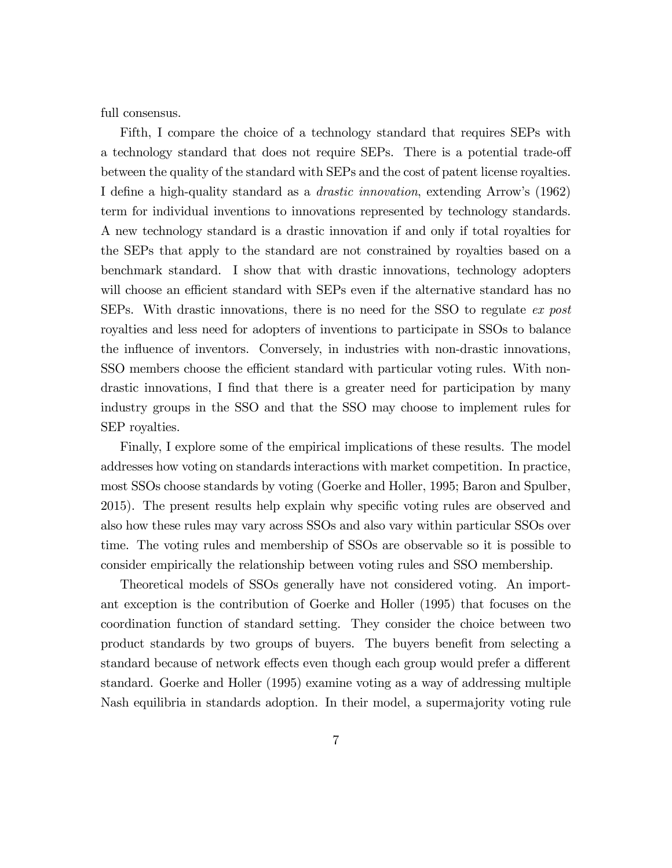full consensus.

Fifth, I compare the choice of a technology standard that requires SEPs with a technology standard that does not require SEPs. There is a potential trade-off between the quality of the standard with SEPs and the cost of patent license royalties. I define a high-quality standard as a *drastic innovation*, extending Arrow's (1962) term for individual inventions to innovations represented by technology standards. A new technology standard is a drastic innovation if and only if total royalties for the SEPs that apply to the standard are not constrained by royalties based on a benchmark standard. I show that with drastic innovations, technology adopters will choose an efficient standard with SEPs even if the alternative standard has no SEPs. With drastic innovations, there is no need for the SSO to regulate ex post royalties and less need for adopters of inventions to participate in SSOs to balance the influence of inventors. Conversely, in industries with non-drastic innovations, SSO members choose the efficient standard with particular voting rules. With nondrastic innovations, I find that there is a greater need for participation by many industry groups in the SSO and that the SSO may choose to implement rules for SEP royalties.

Finally, I explore some of the empirical implications of these results. The model addresses how voting on standards interactions with market competition. In practice, most SSOs choose standards by voting (Goerke and Holler, 1995; Baron and Spulber, 2015). The present results help explain why specific voting rules are observed and also how these rules may vary across SSOs and also vary within particular SSOs over time. The voting rules and membership of SSOs are observable so it is possible to consider empirically the relationship between voting rules and SSO membership.

Theoretical models of SSOs generally have not considered voting. An important exception is the contribution of Goerke and Holler (1995) that focuses on the coordination function of standard setting. They consider the choice between two product standards by two groups of buyers. The buyers benefit from selecting a standard because of network effects even though each group would prefer a different standard. Goerke and Holler (1995) examine voting as a way of addressing multiple Nash equilibria in standards adoption. In their model, a supermajority voting rule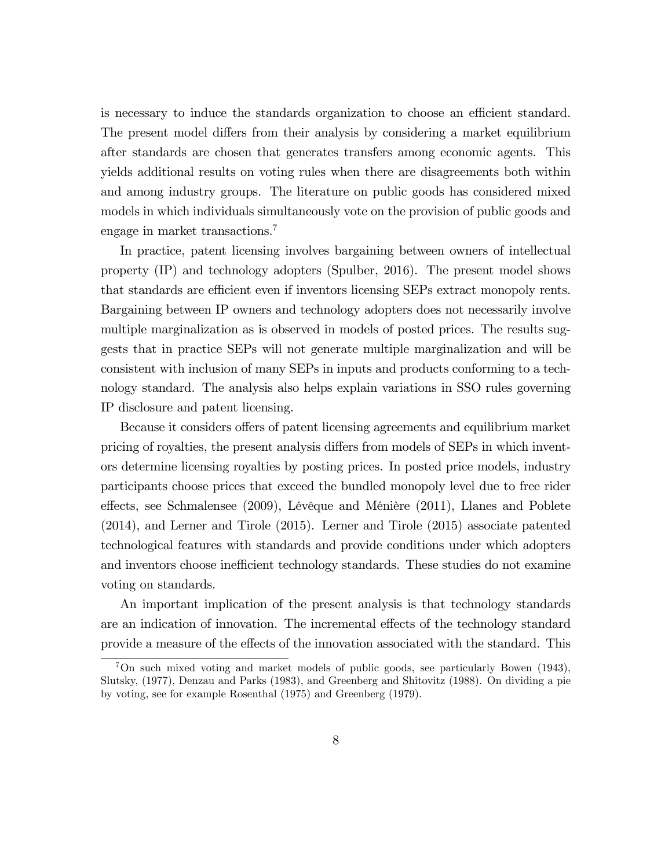is necessary to induce the standards organization to choose an efficient standard. The present model differs from their analysis by considering a market equilibrium after standards are chosen that generates transfers among economic agents. This yields additional results on voting rules when there are disagreements both within and among industry groups. The literature on public goods has considered mixed models in which individuals simultaneously vote on the provision of public goods and engage in market transactions.<sup>7</sup>

In practice, patent licensing involves bargaining between owners of intellectual property (IP) and technology adopters (Spulber, 2016). The present model shows that standards are efficient even if inventors licensing SEPs extract monopoly rents. Bargaining between IP owners and technology adopters does not necessarily involve multiple marginalization as is observed in models of posted prices. The results suggests that in practice SEPs will not generate multiple marginalization and will be consistent with inclusion of many SEPs in inputs and products conforming to a technology standard. The analysis also helps explain variations in SSO rules governing IP disclosure and patent licensing.

Because it considers offers of patent licensing agreements and equilibrium market pricing of royalties, the present analysis differs from models of SEPs in which inventors determine licensing royalties by posting prices. In posted price models, industry participants choose prices that exceed the bundled monopoly level due to free rider effects, see Schmalensee (2009), Lévêque and Ménière (2011), Llanes and Poblete (2014), and Lerner and Tirole (2015). Lerner and Tirole (2015) associate patented technological features with standards and provide conditions under which adopters and inventors choose inefficient technology standards. These studies do not examine voting on standards.

An important implication of the present analysis is that technology standards are an indication of innovation. The incremental effects of the technology standard provide a measure of the effects of the innovation associated with the standard. This

<sup>&</sup>lt;sup>7</sup>On such mixed voting and market models of public goods, see particularly Bowen (1943), Slutsky, (1977), Denzau and Parks (1983), and Greenberg and Shitovitz (1988). On dividing a pie by voting, see for example Rosenthal (1975) and Greenberg (1979).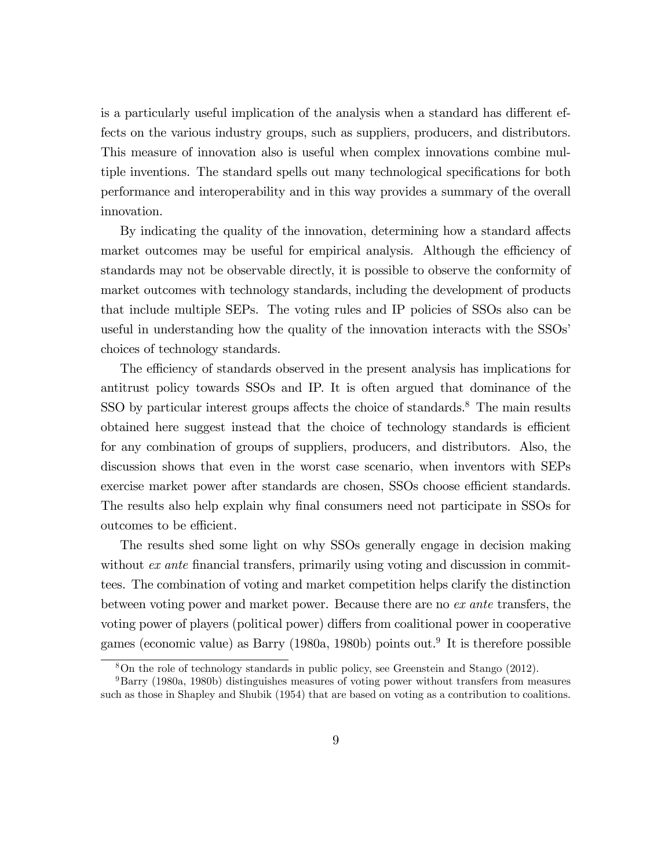is a particularly useful implication of the analysis when a standard has different effects on the various industry groups, such as suppliers, producers, and distributors. This measure of innovation also is useful when complex innovations combine multiple inventions. The standard spells out many technological specifications for both performance and interoperability and in this way provides a summary of the overall innovation.

By indicating the quality of the innovation, determining how a standard affects market outcomes may be useful for empirical analysis. Although the efficiency of standards may not be observable directly, it is possible to observe the conformity of market outcomes with technology standards, including the development of products that include multiple SEPs. The voting rules and IP policies of SSOs also can be useful in understanding how the quality of the innovation interacts with the SSOs' choices of technology standards.

The efficiency of standards observed in the present analysis has implications for antitrust policy towards SSOs and IP. It is often argued that dominance of the SSO by particular interest groups affects the choice of standards. $8$  The main results obtained here suggest instead that the choice of technology standards is efficient for any combination of groups of suppliers, producers, and distributors. Also, the discussion shows that even in the worst case scenario, when inventors with SEPs exercise market power after standards are chosen, SSOs choose efficient standards. The results also help explain why final consumers need not participate in SSOs for outcomes to be efficient.

The results shed some light on why SSOs generally engage in decision making without  $ex$  ante financial transfers, primarily using voting and discussion in committees. The combination of voting and market competition helps clarify the distinction between voting power and market power. Because there are no ex ante transfers, the voting power of players (political power) differs from coalitional power in cooperative games (economic value) as Barry (1980a, 1980b) points out.<sup>9</sup> It is therefore possible

<sup>8</sup>On the role of technology standards in public policy, see Greenstein and Stango (2012).

<sup>9</sup>Barry (1980a, 1980b) distinguishes measures of voting power without transfers from measures such as those in Shapley and Shubik (1954) that are based on voting as a contribution to coalitions.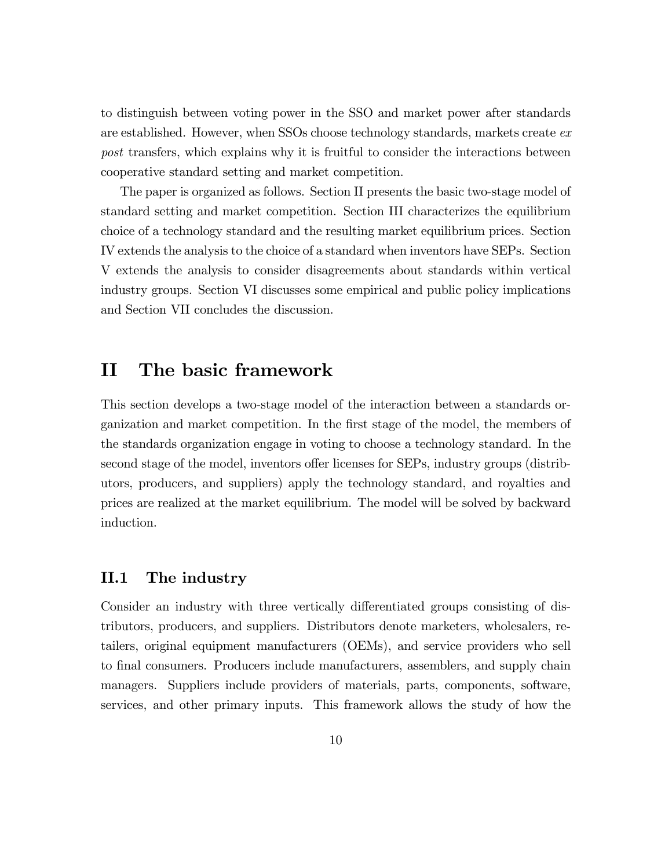to distinguish between voting power in the SSO and market power after standards are established. However, when SSOs choose technology standards, markets create ex post transfers, which explains why it is fruitful to consider the interactions between cooperative standard setting and market competition.

The paper is organized as follows. Section II presents the basic two-stage model of standard setting and market competition. Section III characterizes the equilibrium choice of a technology standard and the resulting market equilibrium prices. Section IV extends the analysis to the choice of a standard when inventors have SEPs. Section V extends the analysis to consider disagreements about standards within vertical industry groups. Section VI discusses some empirical and public policy implications and Section VII concludes the discussion.

## II The basic framework

This section develops a two-stage model of the interaction between a standards organization and market competition. In the Örst stage of the model, the members of the standards organization engage in voting to choose a technology standard. In the second stage of the model, inventors offer licenses for SEPs, industry groups (distributors, producers, and suppliers) apply the technology standard, and royalties and prices are realized at the market equilibrium. The model will be solved by backward induction.

### II.1 The industry

Consider an industry with three vertically differentiated groups consisting of distributors, producers, and suppliers. Distributors denote marketers, wholesalers, retailers, original equipment manufacturers (OEMs), and service providers who sell to final consumers. Producers include manufacturers, assemblers, and supply chain managers. Suppliers include providers of materials, parts, components, software, services, and other primary inputs. This framework allows the study of how the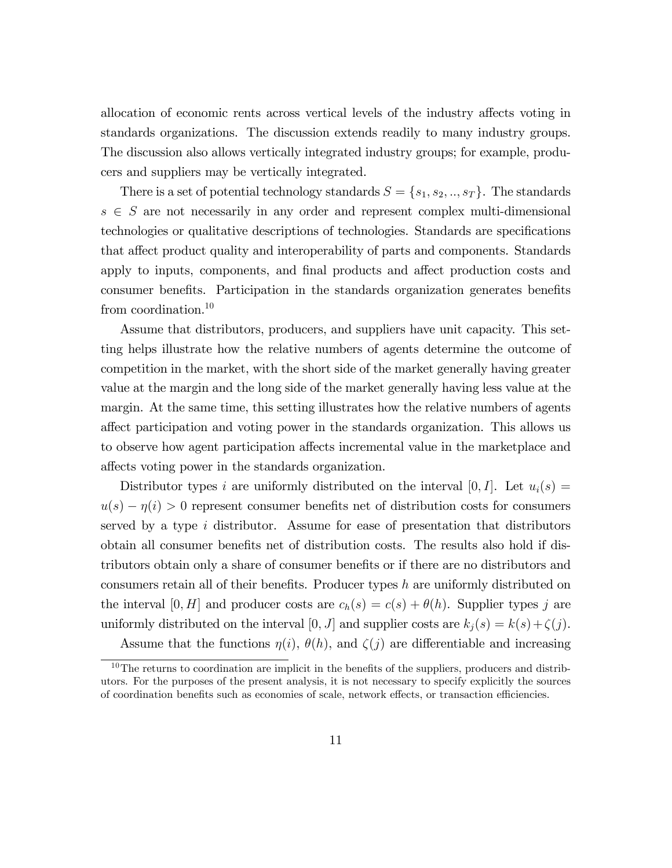allocation of economic rents across vertical levels of the industry affects voting in standards organizations. The discussion extends readily to many industry groups. The discussion also allows vertically integrated industry groups; for example, producers and suppliers may be vertically integrated.

There is a set of potential technology standards  $S = \{s_1, s_2, ..., s_T\}$ . The standards  $s\, \in\, S$  are not necessarily in any order and represent complex multi-dimensional technologies or qualitative descriptions of technologies. Standards are specifications that affect product quality and interoperability of parts and components. Standards apply to inputs, components, and final products and affect production costs and consumer benefits. Participation in the standards organization generates benefits from coordination.<sup>10</sup>

Assume that distributors, producers, and suppliers have unit capacity. This setting helps illustrate how the relative numbers of agents determine the outcome of competition in the market, with the short side of the market generally having greater value at the margin and the long side of the market generally having less value at the margin. At the same time, this setting illustrates how the relative numbers of agents a§ect participation and voting power in the standards organization. This allows us to observe how agent participation affects incremental value in the marketplace and affects voting power in the standards organization.

Distributor types i are uniformly distributed on the interval  $[0, I]$ . Let  $u_i(s) =$  $u(s) - \eta(i) > 0$  represent consumer benefits net of distribution costs for consumers served by a type  $i$  distributor. Assume for ease of presentation that distributors obtain all consumer benefits net of distribution costs. The results also hold if distributors obtain only a share of consumer benefits or if there are no distributors and consumers retain all of their benefits. Producer types  $h$  are uniformly distributed on the interval [0, H] and producer costs are  $c_h(s) = c(s) + \theta(h)$ . Supplier types j are uniformly distributed on the interval  $[0, J]$  and supplier costs are  $k_j(s) = k(s) + \zeta(j)$ .

Assume that the functions  $\eta(i)$ ,  $\theta(h)$ , and  $\zeta(j)$  are differentiable and increasing

 $10$ The returns to coordination are implicit in the benefits of the suppliers, producers and distributors. For the purposes of the present analysis, it is not necessary to specify explicitly the sources of coordination benefits such as economies of scale, network effects, or transaction efficiencies.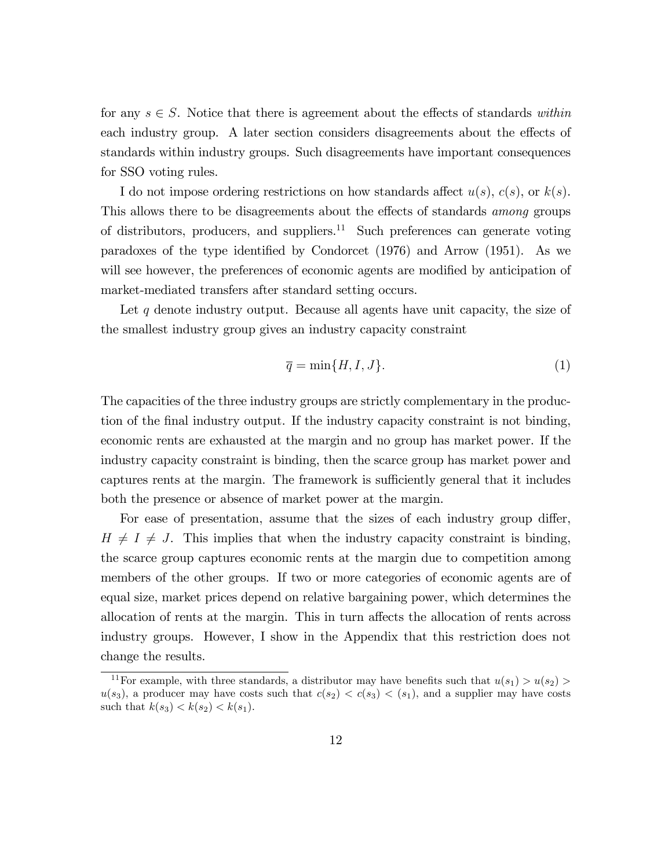for any  $s \in S$ . Notice that there is agreement about the effects of standards within each industry group. A later section considers disagreements about the effects of standards within industry groups. Such disagreements have important consequences for SSO voting rules.

I do not impose ordering restrictions on how standards affect  $u(s)$ ,  $c(s)$ , or  $k(s)$ . This allows there to be disagreements about the effects of standards *among* groups of distributors, producers, and suppliers.<sup>11</sup> Such preferences can generate voting paradoxes of the type identified by Condorcet  $(1976)$  and Arrow  $(1951)$ . As we will see however, the preferences of economic agents are modified by anticipation of market-mediated transfers after standard setting occurs.

Let  $q$  denote industry output. Because all agents have unit capacity, the size of the smallest industry group gives an industry capacity constraint

$$
\overline{q} = \min\{H, I, J\}.
$$
 (1)

The capacities of the three industry groups are strictly complementary in the production of the Önal industry output. If the industry capacity constraint is not binding, economic rents are exhausted at the margin and no group has market power. If the industry capacity constraint is binding, then the scarce group has market power and captures rents at the margin. The framework is sufficiently general that it includes both the presence or absence of market power at the margin.

For ease of presentation, assume that the sizes of each industry group differ,  $H \neq I \neq J$ . This implies that when the industry capacity constraint is binding, the scarce group captures economic rents at the margin due to competition among members of the other groups. If two or more categories of economic agents are of equal size, market prices depend on relative bargaining power, which determines the allocation of rents at the margin. This in turn affects the allocation of rents across industry groups. However, I show in the Appendix that this restriction does not change the results.

<sup>&</sup>lt;sup>11</sup>For example, with three standards, a distributor may have benefits such that  $u(s_1) > u(s_2)$  $u(s_3)$ , a producer may have costs such that  $c(s_2) < c(s_3) < (s_1)$ , and a supplier may have costs such that  $k(s_3) < k(s_2) < k(s_1)$ .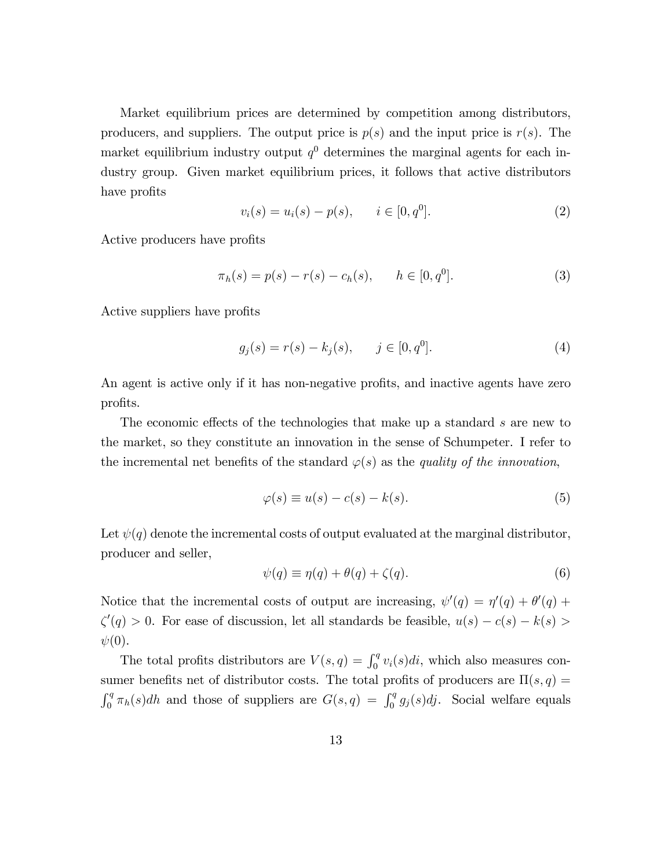Market equilibrium prices are determined by competition among distributors, producers, and suppliers. The output price is  $p(s)$  and the input price is  $r(s)$ . The market equilibrium industry output  $q<sup>0</sup>$  determines the marginal agents for each industry group. Given market equilibrium prices, it follows that active distributors have profits

$$
v_i(s) = u_i(s) - p(s), \qquad i \in [0, q^0].
$$
 (2)

Active producers have profits

$$
\pi_h(s) = p(s) - r(s) - c_h(s), \qquad h \in [0, q^0]. \tag{3}
$$

Active suppliers have profits

$$
g_j(s) = r(s) - k_j(s), \qquad j \in [0, q^0].
$$
 (4)

An agent is active only if it has non-negative profits, and inactive agents have zero profits.

The economic effects of the technologies that make up a standard s are new to the market, so they constitute an innovation in the sense of Schumpeter. I refer to the incremental net benefits of the standard  $\varphi(s)$  as the quality of the innovation,

$$
\varphi(s) \equiv u(s) - c(s) - k(s). \tag{5}
$$

Let  $\psi(q)$  denote the incremental costs of output evaluated at the marginal distributor, producer and seller,

$$
\psi(q) \equiv \eta(q) + \theta(q) + \zeta(q). \tag{6}
$$

Notice that the incremental costs of output are increasing,  $\psi'(q) = \eta'(q) + \theta'(q) + \theta'(q)$  $\zeta'(q) > 0$ . For ease of discussion, let all standards be feasible,  $u(s) - c(s) - k(s) >$  $\psi(0)$ .

The total profits distributors are  $V(s,q) = \int_0^q v_i(s)di$ , which also measures consumer benefits net of distributor costs. The total profits of producers are  $\Pi(s, q)$  =  $\int_0^q \pi_h(s)dh$  and those of suppliers are  $G(s,q) = \int_0^q g_j(s)dj$ . Social welfare equals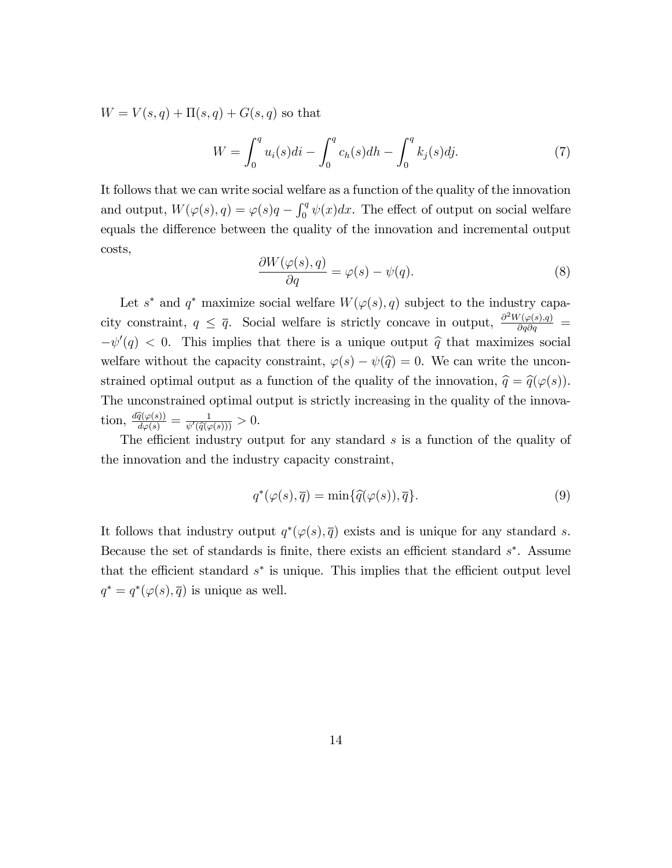$W = V(s, q) + \Pi(s, q) + G(s, q)$  so that

$$
W = \int_0^q u_i(s)di - \int_0^q c_h(s)dh - \int_0^q k_j(s)dj. \tag{7}
$$

It follows that we can write social welfare as a function of the quality of the innovation and output,  $W(\varphi(s), q) = \varphi(s)q - \int_0^q \psi(x)dx$ . The effect of output on social welfare equals the difference between the quality of the innovation and incremental output costs,

$$
\frac{\partial W(\varphi(s), q)}{\partial q} = \varphi(s) - \psi(q). \tag{8}
$$

Let  $s^*$  and  $q^*$  maximize social welfare  $W(\varphi(s), q)$  subject to the industry capacity constraint,  $q \leq \bar{q}$ . Social welfare is strictly concave in output,  $\frac{\partial^2 W(\varphi(s), q)}{\partial q \partial q}$  $-\psi'(q) < 0$ . This implies that there is a unique output  $\hat{q}$  that maximizes social welfare without the capacity constraint,  $\varphi(s) - \psi(\hat{q}) = 0$ . We can write the unconstrained optimal output as a function of the quality of the innovation,  $\hat{q} = \hat{q}(\varphi(s))$ . The unconstrained optimal output is strictly increasing in the quality of the innovation,  $\frac{d\widehat{q}(\varphi(s))}{d\varphi(s)} = \frac{1}{\psi'(\widehat{q}(\varphi))}$  $\frac{1}{\psi'(\widehat{q}(\varphi(s)))} > 0.$ 

The efficient industry output for any standard  $s$  is a function of the quality of the innovation and the industry capacity constraint,

$$
q^*(\varphi(s), \overline{q}) = \min\{\widehat{q}(\varphi(s)), \overline{q}\}.
$$
\n(9)

It follows that industry output  $q^*(\varphi(s), \overline{q})$  exists and is unique for any standard s. Because the set of standards is finite, there exists an efficient standard  $s^*$ . Assume that the efficient standard  $s^*$  is unique. This implies that the efficient output level  $q^* = q^*(\varphi(s), \overline{q})$  is unique as well.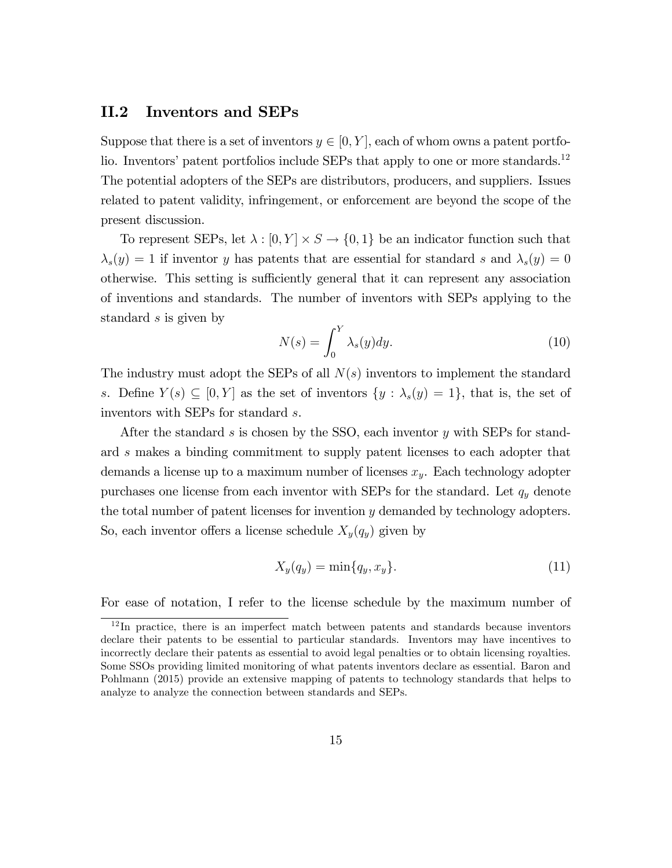#### II.2 Inventors and SEPs

Suppose that there is a set of inventors  $y \in [0, Y]$ , each of whom owns a patent portfolio. Inventors' patent portfolios include SEPs that apply to one or more standards.<sup>12</sup> The potential adopters of the SEPs are distributors, producers, and suppliers. Issues related to patent validity, infringement, or enforcement are beyond the scope of the present discussion.

To represent SEPs, let  $\lambda : [0, Y] \times S \to \{0, 1\}$  be an indicator function such that  $s(s,y) = 1$  if inventor y has patents that are essential for standard s and  $s(s,y) = 0$ otherwise. This setting is sufficiently general that it can represent any association of inventions and standards. The number of inventors with SEPs applying to the standard s is given by

$$
N(s) = \int_0^Y \lambda_s(y) dy.
$$
 (10)

The industry must adopt the SEPs of all  $N(s)$  inventors to implement the standard s. Define  $Y(s) \subseteq [0, Y]$  as the set of inventors  $\{y : \lambda_s(y) = 1\}$ , that is, the set of inventors with SEPs for standard s.

After the standard s is chosen by the SSO, each inventor  $y$  with SEPs for standard s makes a binding commitment to supply patent licenses to each adopter that demands a license up to a maximum number of licenses  $x_y$ . Each technology adopter purchases one license from each inventor with SEPs for the standard. Let  $q_y$  denote the total number of patent licenses for invention y demanded by technology adopters. So, each inventor offers a license schedule  $X_y(q_y)$  given by

$$
X_y(q_y) = \min\{q_y, x_y\}.\tag{11}
$$

For ease of notation, I refer to the license schedule by the maximum number of

<sup>12</sup> In practice, there is an imperfect match between patents and standards because inventors declare their patents to be essential to particular standards. Inventors may have incentives to incorrectly declare their patents as essential to avoid legal penalties or to obtain licensing royalties. Some SSOs providing limited monitoring of what patents inventors declare as essential. Baron and Pohlmann (2015) provide an extensive mapping of patents to technology standards that helps to analyze to analyze the connection between standards and SEPs.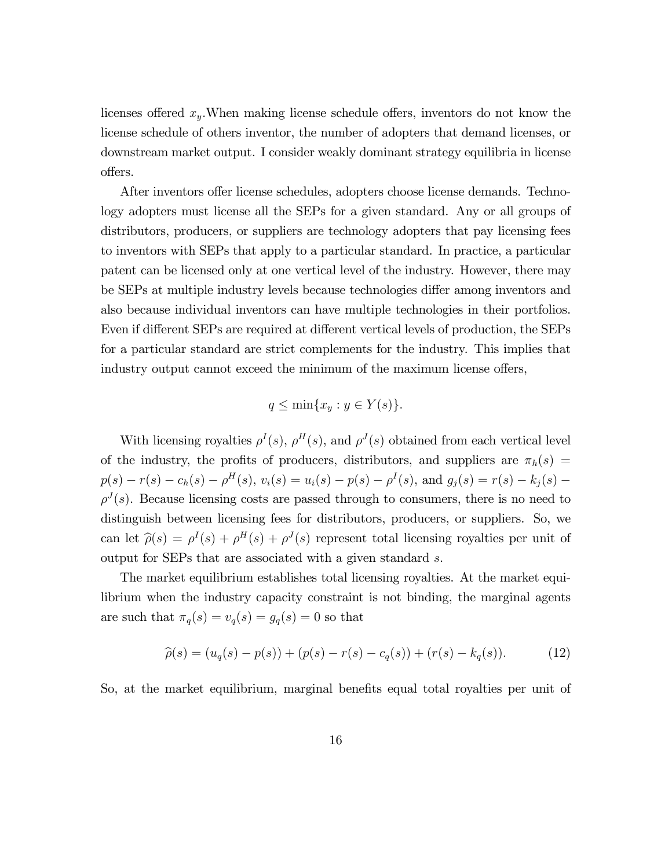licenses offered  $x_y$ . When making license schedule offers, inventors do not know the license schedule of others inventor, the number of adopters that demand licenses, or downstream market output. I consider weakly dominant strategy equilibria in license offers.

After inventors offer license schedules, adopters choose license demands. Technology adopters must license all the SEPs for a given standard. Any or all groups of distributors, producers, or suppliers are technology adopters that pay licensing fees to inventors with SEPs that apply to a particular standard. In practice, a particular patent can be licensed only at one vertical level of the industry. However, there may be SEPs at multiple industry levels because technologies differ among inventors and also because individual inventors can have multiple technologies in their portfolios. Even if different SEPs are required at different vertical levels of production, the SEPs for a particular standard are strict complements for the industry. This implies that industry output cannot exceed the minimum of the maximum license offers,

$$
q \le \min\{x_y : y \in Y(s)\}.
$$

With licensing royalties  $\rho^I(s)$ ,  $\rho^H(s)$ , and  $\rho^J(s)$  obtained from each vertical level of the industry, the profits of producers, distributors, and suppliers are  $\pi_h(s)$  =  $p(s) - r(s) - c_h(s) - \rho^H(s), v_i(s) = u_i(s) - p(s) - \rho^I(s)$ , and  $g_j(s) = r(s) - k_j(s) \rho^{J}(s)$ . Because licensing costs are passed through to consumers, there is no need to distinguish between licensing fees for distributors, producers, or suppliers. So, we can let  $\hat{\rho}(s) = \rho^{I}(s) + \rho^{H}(s) + \rho^{J}(s)$  represent total licensing royalties per unit of output for SEPs that are associated with a given standard s.

The market equilibrium establishes total licensing royalties. At the market equilibrium when the industry capacity constraint is not binding, the marginal agents are such that  $\pi_q(s) = v_q(s) = g_q(s) = 0$  so that

$$
\widehat{\rho}(s) = (u_q(s) - p(s)) + (p(s) - r(s) - c_q(s)) + (r(s) - k_q(s)).
$$
\n(12)

So, at the market equilibrium, marginal benefits equal total royalties per unit of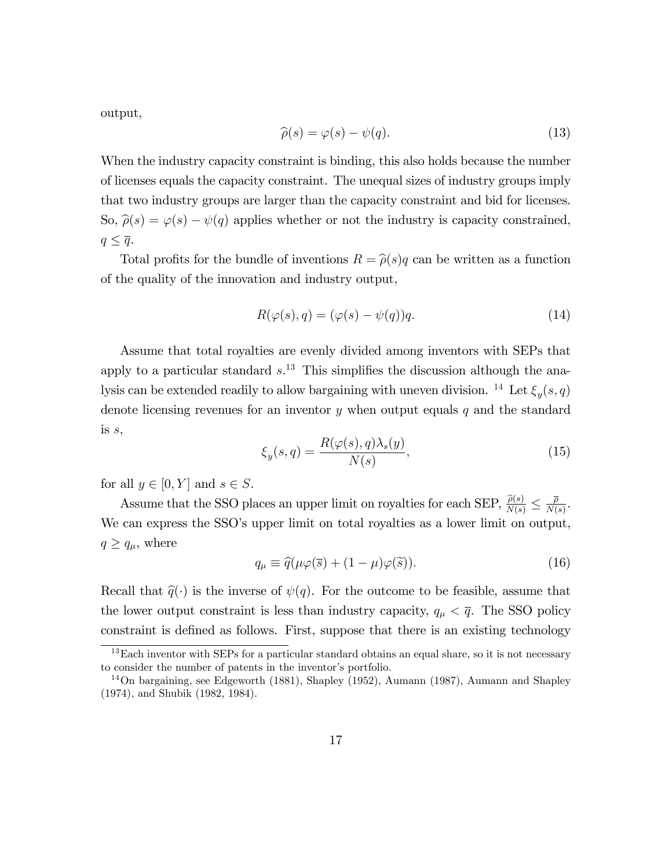output,

$$
\widehat{\rho}(s) = \varphi(s) - \psi(q). \tag{13}
$$

When the industry capacity constraint is binding, this also holds because the number of licenses equals the capacity constraint. The unequal sizes of industry groups imply that two industry groups are larger than the capacity constraint and bid for licenses. So,  $\hat{\rho}(s) = \varphi(s) - \psi(q)$  applies whether or not the industry is capacity constrained,  $q \leq \overline{q}$ .

Total profits for the bundle of inventions  $R = \hat{\rho}(s)q$  can be written as a function of the quality of the innovation and industry output,

$$
R(\varphi(s), q) = (\varphi(s) - \psi(q))q.
$$
\n(14)

Assume that total royalties are evenly divided among inventors with SEPs that apply to a particular standard  $s^{13}$ . This simplifies the discussion although the analysis can be extended readily to allow bargaining with uneven division. <sup>14</sup> Let  $\xi_y(s,q)$ denote licensing revenues for an inventor  $y$  when output equals  $q$  and the standard is  $s$ ,

$$
\xi_y(s,q) = \frac{R(\varphi(s), q)\lambda_s(y)}{N(s)},\tag{15}
$$

for all  $y \in [0, Y]$  and  $s \in S$ .

Assume that the SSO places an upper limit on royalties for each SEP,  $\frac{\hat{\rho}(s)}{N(s)} \leq \frac{\overline{\rho}}{N(s)}$  $\frac{\rho}{N(s)}$ . We can express the SSO's upper limit on total royalties as a lower limit on output,  $q \geq q_\mu$ , where

$$
q_{\mu} \equiv \hat{q}(\mu\varphi(\bar{s}) + (1 - \mu)\varphi(\tilde{s})). \tag{16}
$$

Recall that  $\hat{q}(\cdot)$  is the inverse of  $\psi(q)$ . For the outcome to be feasible, assume that the lower output constraint is less than industry capacity,  $q_{\mu} < \bar{q}$ . The SSO policy constraint is defined as follows. First, suppose that there is an existing technology

 $13$ Each inventor with SEPs for a particular standard obtains an equal share, so it is not necessary to consider the number of patents in the inventor's portfolio.

<sup>14</sup>On bargaining, see Edgeworth (1881), Shapley (1952), Aumann (1987), Aumann and Shapley (1974), and Shubik (1982, 1984).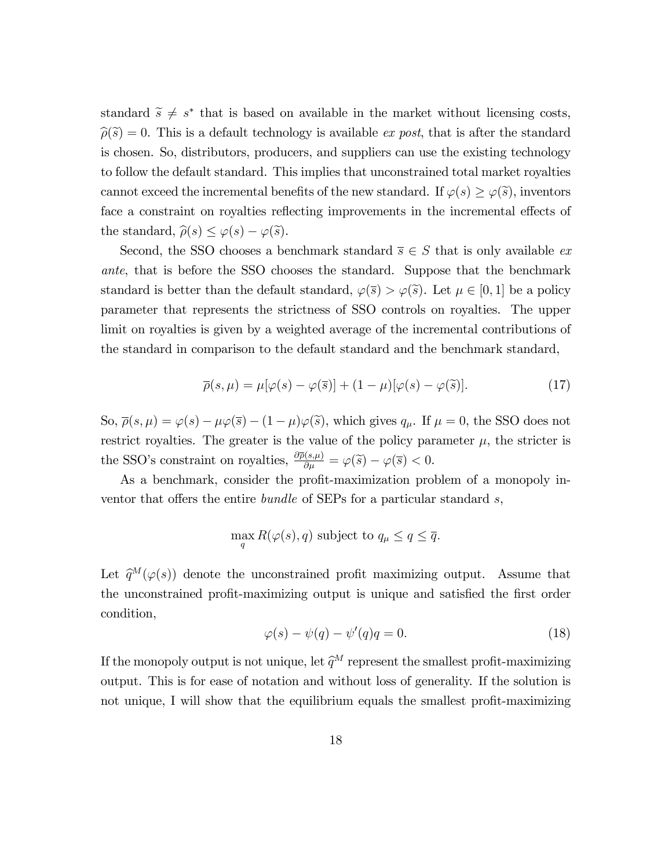standard  $\tilde{s} \neq s^*$  that is based on available in the market without licensing costs,  $\hat{\rho}(\tilde{s}) = 0$ . This is a default technology is available ex post, that is after the standard is chosen. So, distributors, producers, and suppliers can use the existing technology to follow the default standard. This implies that unconstrained total market royalties cannot exceed the incremental benefits of the new standard. If  $\varphi(s) \geq \varphi(\tilde{s})$ , inventors face a constraint on royalties reflecting improvements in the incremental effects of the standard,  $\widehat{\rho}(s) \leq \varphi(s) - \varphi(\widetilde{s}).$ 

Second, the SSO chooses a benchmark standard  $\overline{s} \in S$  that is only available exante, that is before the SSO chooses the standard. Suppose that the benchmark standard is better than the default standard,  $\varphi(\bar{s}) > \varphi(\bar{s})$ . Let  $\mu \in [0, 1]$  be a policy parameter that represents the strictness of SSO controls on royalties. The upper limit on royalties is given by a weighted average of the incremental contributions of the standard in comparison to the default standard and the benchmark standard,

$$
\overline{\rho}(s,\mu) = \mu[\varphi(s) - \varphi(\overline{s})] + (1 - \mu)[\varphi(s) - \varphi(\widetilde{s})]. \tag{17}
$$

So,  $\overline{\rho}(s,\mu) = \varphi(s) - \mu \varphi(\overline{s}) - (1-\mu) \varphi(\overline{s})$ , which gives  $q_{\mu}$ . If  $\mu = 0$ , the SSO does not restrict royalties. The greater is the value of the policy parameter  $\mu$ , the stricter is the SSO's constraint on royalties,  $\frac{\partial \overline{\rho}(s,\mu)}{\partial \mu} = \varphi(\tilde{s}) - \varphi(\overline{s}) < 0.$ 

As a benchmark, consider the profit-maximization problem of a monopoly inventor that offers the entire bundle of SEPs for a particular standard  $s$ ,

$$
\max_{q} R(\varphi(s), q) \text{ subject to } q_{\mu} \le q \le \overline{q}.
$$

Let  $\hat{q}^M(\varphi(s))$  denote the unconstrained profit maximizing output. Assume that the unconstrained profit-maximizing output is unique and satisfied the first order condition,

$$
\varphi(s) - \psi(q) - \psi'(q)q = 0.
$$
\n(18)

If the monopoly output is not unique, let  $\widehat{q}^M$  represent the smallest profit-maximizing output. This is for ease of notation and without loss of generality. If the solution is not unique, I will show that the equilibrium equals the smallest profit-maximizing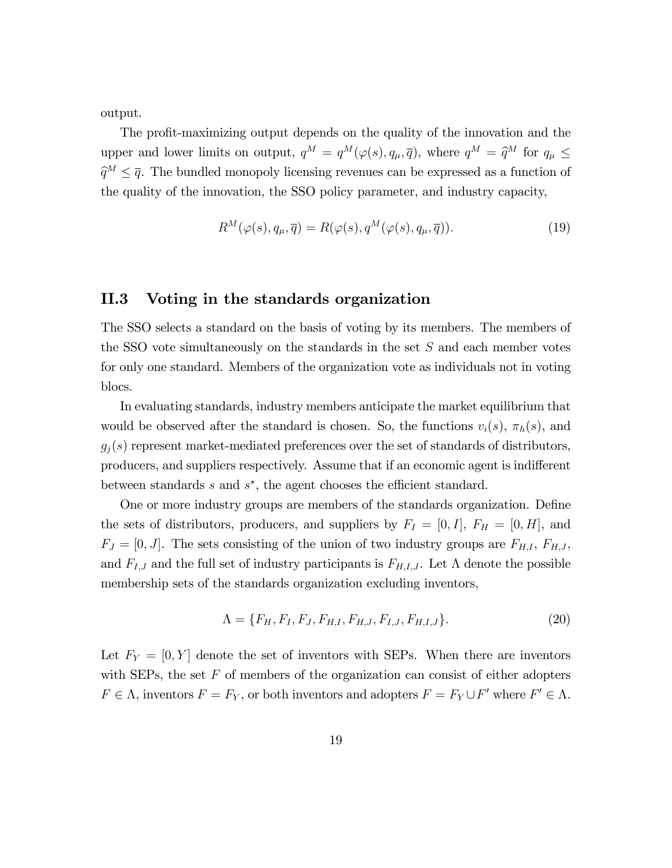output.

The profit-maximizing output depends on the quality of the innovation and the upper and lower limits on output,  $q^M = q^M(\varphi(s), q_\mu, \overline{q})$ , where  $q^M = \widehat{q}^M$  for  $q_\mu \leq$  $\widehat{q}^M \leq \overline{q}$ . The bundled monopoly licensing revenues can be expressed as a function of the quality of the innovation, the SSO policy parameter, and industry capacity,

$$
R^{M}(\varphi(s), q_{\mu}, \overline{q}) = R(\varphi(s), q^{M}(\varphi(s), q_{\mu}, \overline{q})).
$$
\n(19)

#### II.3 Voting in the standards organization

The SSO selects a standard on the basis of voting by its members. The members of the SSO vote simultaneously on the standards in the set S and each member votes for only one standard. Members of the organization vote as individuals not in voting blocs.

In evaluating standards, industry members anticipate the market equilibrium that would be observed after the standard is chosen. So, the functions  $v_i(s)$ ,  $\pi_h(s)$ , and  $g_j(s)$  represent market-mediated preferences over the set of standards of distributors, producers, and suppliers respectively. Assume that if an economic agent is indifferent between standards  $s$  and  $s^*$ , the agent chooses the efficient standard.

One or more industry groups are members of the standards organization. Define the sets of distributors, producers, and suppliers by  $F_I = [0, I], F_H = [0, H]$ , and  $F_J = [0, J]$ . The sets consisting of the union of two industry groups are  $F_{H,I}, F_{H,J}$ , and  $F_{I,J}$  and the full set of industry participants is  $F_{H,I,J}$ . Let  $\Lambda$  denote the possible membership sets of the standards organization excluding inventors,

$$
\Lambda = \{F_H, F_I, F_J, F_{H,I}, F_{H,J}, F_{I,J}, F_{H,I,J}\}.
$$
\n(20)

Let  $F_Y = [0, Y]$  denote the set of inventors with SEPs. When there are inventors with SEPs, the set  $F$  of members of the organization can consist of either adopters  $F \in \Lambda$ , inventors  $F = F_Y$ , or both inventors and adopters  $F = F_Y \cup F'$  where  $F' \in \Lambda$ .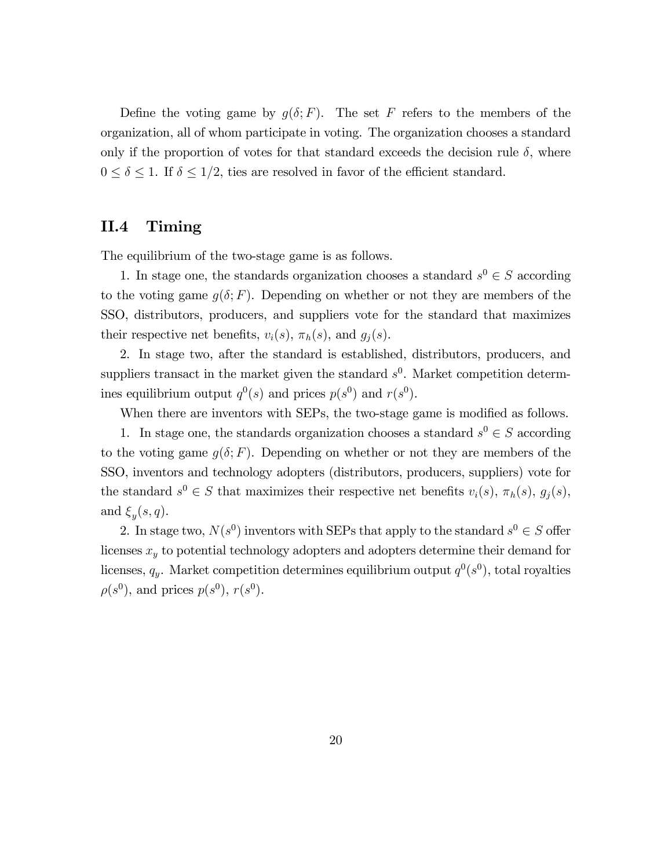Define the voting game by  $g(\delta; F)$ . The set F refers to the members of the organization, all of whom participate in voting. The organization chooses a standard only if the proportion of votes for that standard exceeds the decision rule  $\delta$ , where  $0 \leq \delta \leq 1$ . If  $\delta \leq 1/2$ , ties are resolved in favor of the efficient standard.

#### II.4 Timing

The equilibrium of the two-stage game is as follows.

1. In stage one, the standards organization chooses a standard  $s^0 \in S$  according to the voting game  $q(\delta; F)$ . Depending on whether or not they are members of the SSO, distributors, producers, and suppliers vote for the standard that maximizes their respective net benefits,  $v_i(s)$ ,  $\pi_h(s)$ , and  $g_i(s)$ .

2. In stage two, after the standard is established, distributors, producers, and suppliers transact in the market given the standard  $s^0$ . Market competition determines equilibrium output  $q^0(s)$  and prices  $p(s^0)$  and  $r(s^0)$ .

When there are inventors with SEPs, the two-stage game is modified as follows.

1. In stage one, the standards organization chooses a standard  $s^0 \in S$  according to the voting game  $q(\delta; F)$ . Depending on whether or not they are members of the SSO, inventors and technology adopters (distributors, producers, suppliers) vote for the standard  $s^0 \in S$  that maximizes their respective net benefits  $v_i(s)$ ,  $\pi_h(s)$ ,  $g_j(s)$ , and  $\xi_y(s,q)$ .

2. In stage two,  $N(s^0)$  inventors with SEPs that apply to the standard  $s^0 \in S$  offer licenses  $x<sub>y</sub>$  to potential technology adopters and adopters determine their demand for licenses,  $q_y$ . Market competition determines equilibrium output  $q^0(s^0)$ , total royalties  $\rho(s^0)$ , and prices  $p(s^0)$ ,  $r(s^0)$ .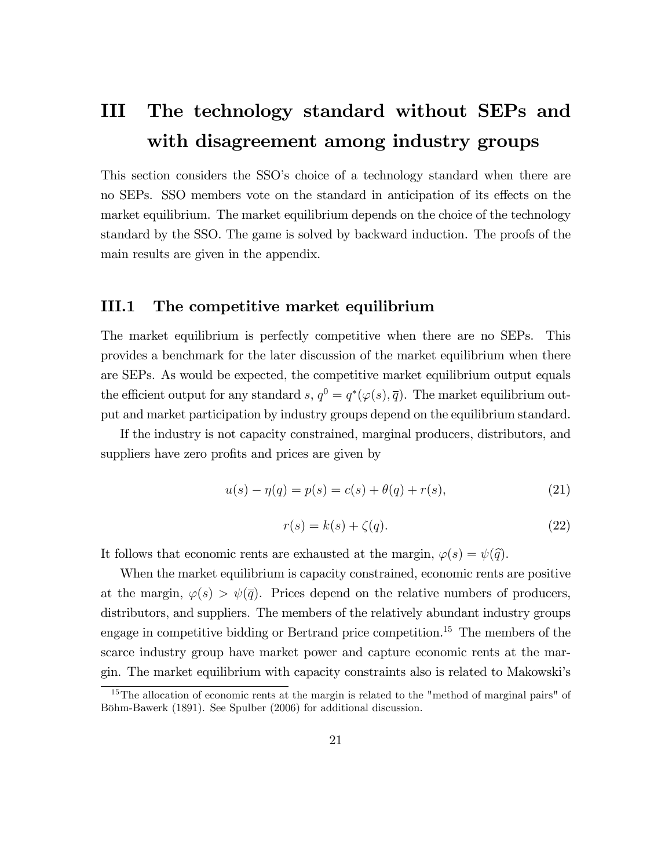## III The technology standard without SEPs and with disagreement among industry groups

This section considers the SSO's choice of a technology standard when there are no SEPs. SSO members vote on the standard in anticipation of its effects on the market equilibrium. The market equilibrium depends on the choice of the technology standard by the SSO. The game is solved by backward induction. The proofs of the main results are given in the appendix.

#### III.1 The competitive market equilibrium

The market equilibrium is perfectly competitive when there are no SEPs. This provides a benchmark for the later discussion of the market equilibrium when there are SEPs. As would be expected, the competitive market equilibrium output equals the efficient output for any standard s,  $q^0 = q^*(\varphi(s), \overline{q})$ . The market equilibrium output and market participation by industry groups depend on the equilibrium standard.

If the industry is not capacity constrained, marginal producers, distributors, and suppliers have zero profits and prices are given by

$$
u(s) - \eta(q) = p(s) = c(s) + \theta(q) + r(s),
$$
\n(21)

$$
r(s) = k(s) + \zeta(q). \tag{22}
$$

It follows that economic rents are exhausted at the margin,  $\varphi(s) = \psi(\hat{q})$ .

When the market equilibrium is capacity constrained, economic rents are positive at the margin,  $\varphi(s) > \psi(\overline{q})$ . Prices depend on the relative numbers of producers, distributors, and suppliers. The members of the relatively abundant industry groups engage in competitive bidding or Bertrand price competition.<sup>15</sup> The members of the scarce industry group have market power and capture economic rents at the margin. The market equilibrium with capacity constraints also is related to Makowski's

<sup>&</sup>lt;sup>15</sup>The allocation of economic rents at the margin is related to the "method of marginal pairs" of Böhm-Bawerk (1891). See Spulber (2006) for additional discussion.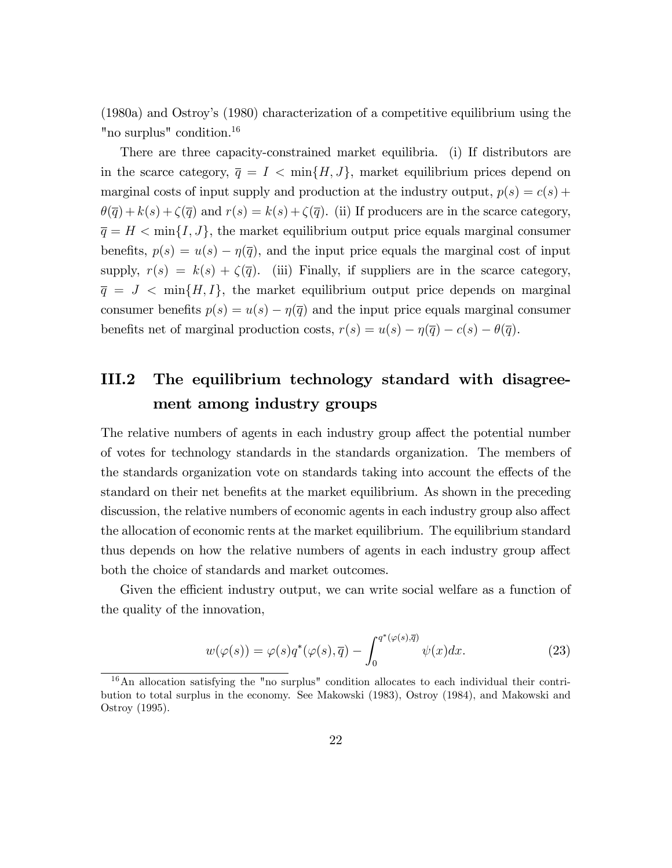(1980a) and Ostroyís (1980) characterization of a competitive equilibrium using the "no surplus" condition.<sup>16</sup>

There are three capacity-constrained market equilibria. (i) If distributors are in the scarce category,  $\bar{q} = I \langle \min\{H, J\} \rangle$ , market equilibrium prices depend on marginal costs of input supply and production at the industry output,  $p(s) = c(s) +$  $\theta(\overline{q}) + k(s) + \zeta(\overline{q})$  and  $r(s) = k(s) + \zeta(\overline{q})$ . (ii) If producers are in the scarce category,  $\overline{q} = H < \min\{I, J\}$ , the market equilibrium output price equals marginal consumer benefits,  $p(s) = u(s) - \eta(\overline{q})$ , and the input price equals the marginal cost of input supply,  $r(s) = k(s) + \zeta(\bar{q})$ . (iii) Finally, if suppliers are in the scarce category,  $\overline{q} = J \langle \text{min} \{H, I\},\$  the market equilibrium output price depends on marginal consumer benefits  $p(s) = u(s) - \eta(\bar{q})$  and the input price equals marginal consumer benefits net of marginal production costs,  $r(s) = u(s) - \eta(\overline{q}) - c(s) - \theta(\overline{q}).$ 

## III.2 The equilibrium technology standard with disagreement among industry groups

The relative numbers of agents in each industry group affect the potential number of votes for technology standards in the standards organization. The members of the standards organization vote on standards taking into account the effects of the standard on their net benefits at the market equilibrium. As shown in the preceding discussion, the relative numbers of economic agents in each industry group also affect the allocation of economic rents at the market equilibrium. The equilibrium standard thus depends on how the relative numbers of agents in each industry group affect both the choice of standards and market outcomes.

Given the efficient industry output, we can write social welfare as a function of the quality of the innovation,

$$
w(\varphi(s)) = \varphi(s)q^*(\varphi(s), \overline{q}) - \int_0^{q^*(\varphi(s), \overline{q})} \psi(x)dx.
$$
 (23)

 $16$ An allocation satisfying the "no surplus" condition allocates to each individual their contribution to total surplus in the economy. See Makowski (1983), Ostroy (1984), and Makowski and Ostroy (1995).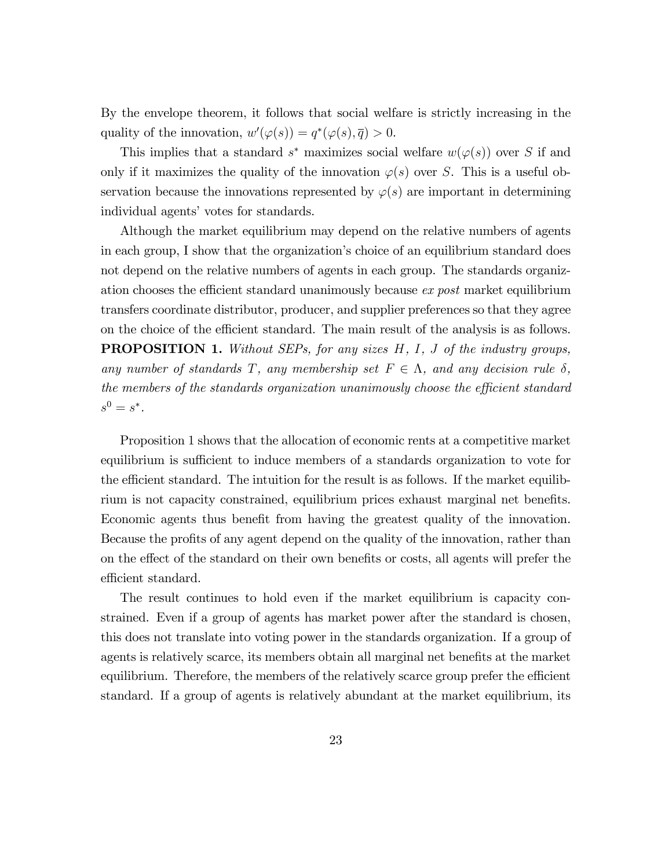By the envelope theorem, it follows that social welfare is strictly increasing in the quality of the innovation,  $w'(\varphi(s)) = q^*(\varphi(s), \overline{q}) > 0$ .

This implies that a standard  $s^*$  maximizes social welfare  $w(\varphi(s))$  over S if and only if it maximizes the quality of the innovation  $\varphi(s)$  over S. This is a useful observation because the innovations represented by  $\varphi(s)$  are important in determining individual agents' votes for standards.

Although the market equilibrium may depend on the relative numbers of agents in each group, I show that the organization's choice of an equilibrium standard does not depend on the relative numbers of agents in each group. The standards organization chooses the efficient standard unanimously because  $ex$  post market equilibrium transfers coordinate distributor, producer, and supplier preferences so that they agree on the choice of the efficient standard. The main result of the analysis is as follows. **PROPOSITION 1.** Without SEPs, for any sizes H, I, J of the industry groups, any number of standards T, any membership set  $F \in \Lambda$ , and any decision rule  $\delta$ , the members of the standards organization unanimously choose the efficient standard  $s^0 = s^*$ .

Proposition 1 shows that the allocation of economic rents at a competitive market equilibrium is sufficient to induce members of a standards organization to vote for the efficient standard. The intuition for the result is as follows. If the market equilibrium is not capacity constrained, equilibrium prices exhaust marginal net benefits. Economic agents thus benefit from having the greatest quality of the innovation. Because the profits of any agent depend on the quality of the innovation, rather than on the effect of the standard on their own benefits or costs, all agents will prefer the efficient standard.

The result continues to hold even if the market equilibrium is capacity constrained. Even if a group of agents has market power after the standard is chosen, this does not translate into voting power in the standards organization. If a group of agents is relatively scarce, its members obtain all marginal net benefits at the market equilibrium. Therefore, the members of the relatively scarce group prefer the efficient standard. If a group of agents is relatively abundant at the market equilibrium, its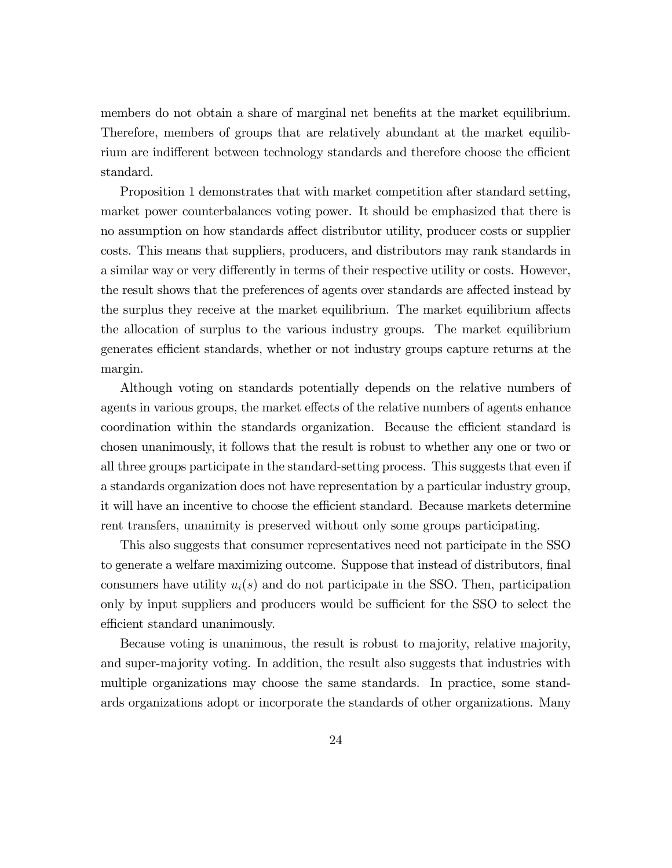members do not obtain a share of marginal net benefits at the market equilibrium. Therefore, members of groups that are relatively abundant at the market equilibrium are indifferent between technology standards and therefore choose the efficient standard.

Proposition 1 demonstrates that with market competition after standard setting, market power counterbalances voting power. It should be emphasized that there is no assumption on how standards affect distributor utility, producer costs or supplier costs. This means that suppliers, producers, and distributors may rank standards in a similar way or very differently in terms of their respective utility or costs. However, the result shows that the preferences of agents over standards are affected instead by the surplus they receive at the market equilibrium. The market equilibrium affects the allocation of surplus to the various industry groups. The market equilibrium generates efficient standards, whether or not industry groups capture returns at the margin.

Although voting on standards potentially depends on the relative numbers of agents in various groups, the market effects of the relative numbers of agents enhance coordination within the standards organization. Because the efficient standard is chosen unanimously, it follows that the result is robust to whether any one or two or all three groups participate in the standard-setting process. This suggests that even if a standards organization does not have representation by a particular industry group, it will have an incentive to choose the efficient standard. Because markets determine rent transfers, unanimity is preserved without only some groups participating.

This also suggests that consumer representatives need not participate in the SSO to generate a welfare maximizing outcome. Suppose that instead of distributors, final consumers have utility  $u_i(s)$  and do not participate in the SSO. Then, participation only by input suppliers and producers would be sufficient for the SSO to select the efficient standard unanimously.

Because voting is unanimous, the result is robust to majority, relative majority, and super-majority voting. In addition, the result also suggests that industries with multiple organizations may choose the same standards. In practice, some standards organizations adopt or incorporate the standards of other organizations. Many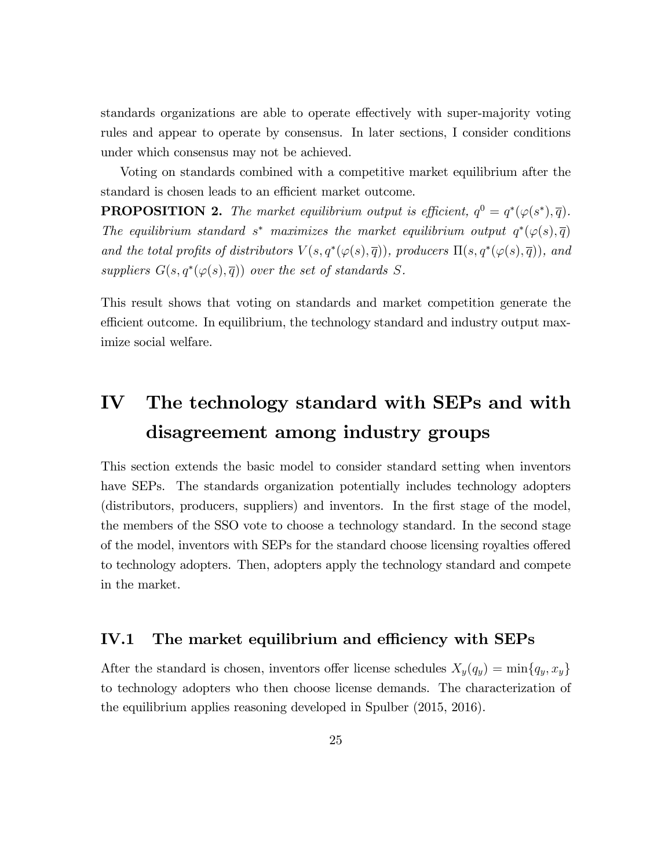standards organizations are able to operate effectively with super-majority voting rules and appear to operate by consensus. In later sections, I consider conditions under which consensus may not be achieved.

Voting on standards combined with a competitive market equilibrium after the standard is chosen leads to an efficient market outcome.

**PROPOSITION 2.** The market equilibrium output is efficient,  $q^0 = q^*(\varphi(s^*), \overline{q})$ . The equilibrium standard s<sup>\*</sup> maximizes the market equilibrium output  $q^*(\varphi(s), \overline{q})$ and the total profits of distributors  $V(s, q^*(\varphi(s), \overline{q}))$ , producers  $\Pi(s, q^*(\varphi(s), \overline{q}))$ , and suppliers  $G(s, q^*(\varphi(s), \overline{q}))$  over the set of standards S.

This result shows that voting on standards and market competition generate the efficient outcome. In equilibrium, the technology standard and industry output maximize social welfare.

## IV The technology standard with SEPs and with disagreement among industry groups

This section extends the basic model to consider standard setting when inventors have SEPs. The standards organization potentially includes technology adopters (distributors, producers, suppliers) and inventors. In the first stage of the model, the members of the SSO vote to choose a technology standard. In the second stage of the model, inventors with SEPs for the standard choose licensing royalties offered to technology adopters. Then, adopters apply the technology standard and compete in the market.

#### IV.1 The market equilibrium and efficiency with  $SEPs$

After the standard is chosen, inventors offer license schedules  $X_y(q_y) = \min\{q_y, x_y\}$ to technology adopters who then choose license demands. The characterization of the equilibrium applies reasoning developed in Spulber (2015, 2016).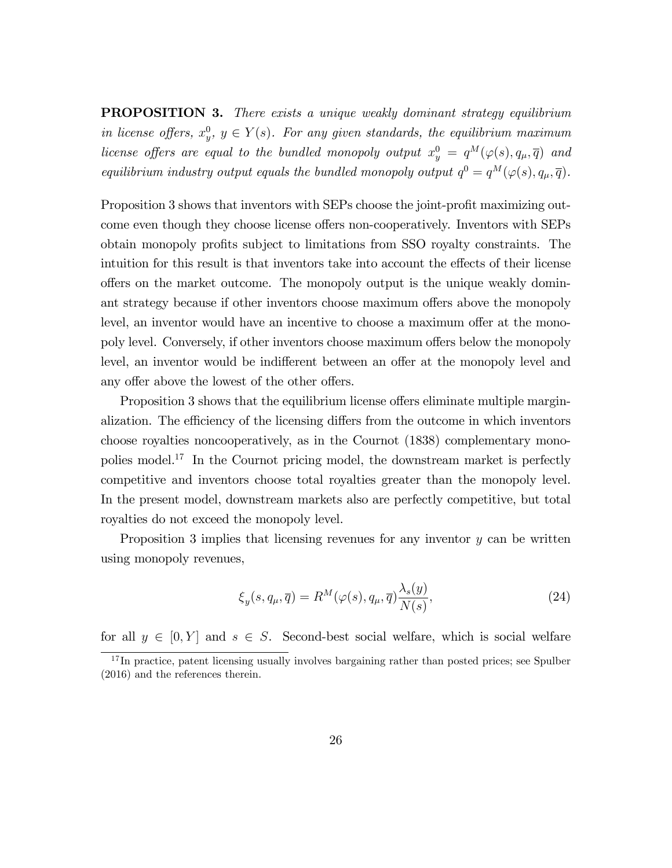**PROPOSITION 3.** There exists a unique weakly dominant strategy equilibrium in license offers,  $x_y^0$ ,  $y \in Y(s)$ . For any given standards, the equilibrium maximum license offers are equal to the bundled monopoly output  $x_y^0 = q^M(\varphi(s), q_\mu, \overline{q})$  and equilibrium industry output equals the bundled monopoly output  $q^0 = q^M(\varphi(s), q_\mu, \overline{q}).$ 

Proposition 3 shows that inventors with SEPs choose the joint-profit maximizing outcome even though they choose license offers non-cooperatively. Inventors with SEPs obtain monopoly profits subject to limitations from SSO royalty constraints. The intuition for this result is that inventors take into account the effects of their license offers on the market outcome. The monopoly output is the unique weakly dominant strategy because if other inventors choose maximum offers above the monopoly level, an inventor would have an incentive to choose a maximum offer at the monopoly level. Conversely, if other inventors choose maximum offers below the monopoly level, an inventor would be indifferent between an offer at the monopoly level and any offer above the lowest of the other offers.

Proposition 3 shows that the equilibrium license offers eliminate multiple marginalization. The efficiency of the licensing differs from the outcome in which inventors choose royalties noncooperatively, as in the Cournot (1838) complementary monopolies model.<sup>17</sup> In the Cournot pricing model, the downstream market is perfectly competitive and inventors choose total royalties greater than the monopoly level. In the present model, downstream markets also are perfectly competitive, but total royalties do not exceed the monopoly level.

Proposition 3 implies that licensing revenues for any inventor y can be written using monopoly revenues,

$$
\xi_y(s, q_\mu, \overline{q}) = R^M(\varphi(s), q_\mu, \overline{q}) \frac{\lambda_s(y)}{N(s)},
$$
\n(24)

for all  $y \in [0, Y]$  and  $s \in S$ . Second-best social welfare, which is social welfare

<sup>&</sup>lt;sup>17</sup>In practice, patent licensing usually involves bargaining rather than posted prices; see Spulber (2016) and the references therein.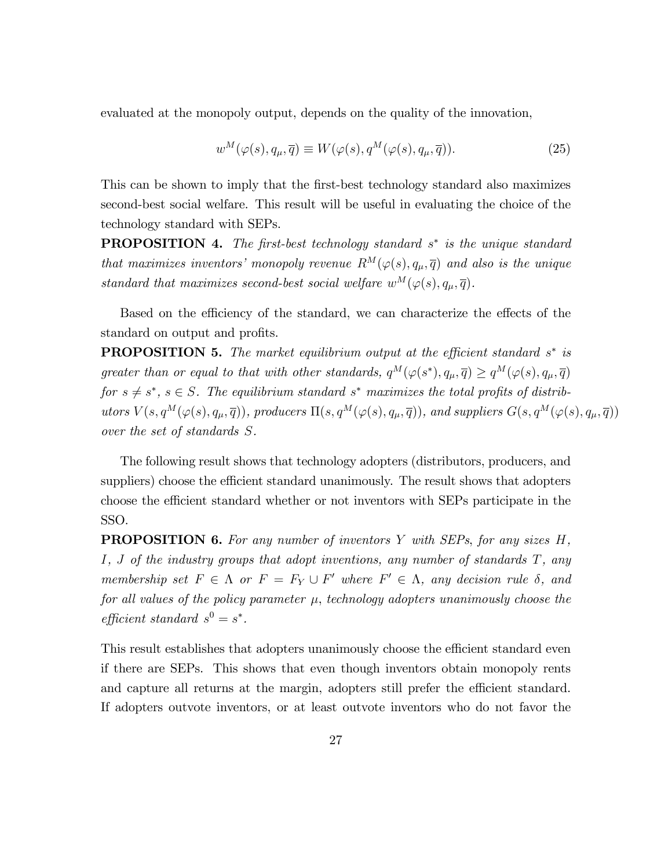evaluated at the monopoly output, depends on the quality of the innovation,

$$
w^M(\varphi(s), q_\mu, \overline{q}) \equiv W(\varphi(s), q^M(\varphi(s), q_\mu, \overline{q})). \tag{25}
$$

This can be shown to imply that the first-best technology standard also maximizes second-best social welfare. This result will be useful in evaluating the choice of the technology standard with SEPs.

**PROPOSITION 4.** The first-best technology standard s<sup>\*</sup> is the unique standard that maximizes inventors' monopoly revenue  $R^M(\varphi(s), q_\mu, \overline{q})$  and also is the unique standard that maximizes second-best social welfare  $w^M(\varphi(s), q_\mu, \overline{q})$ .

Based on the efficiency of the standard, we can characterize the effects of the standard on output and profits.

**PROPOSITION 5.** The market equilibrium output at the efficient standard  $s^*$  is greater than or equal to that with other standards,  $q^M(\varphi(s^*), q_\mu, \overline{q}) \ge q^M(\varphi(s), q_\mu, \overline{q})$ for  $s \neq s^*$ ,  $s \in S$ . The equilibrium standard  $s^*$  maximizes the total profits of distributors  $V(s, q^M(\varphi(s), q_\mu, \overline{q}))$ , producers  $\Pi(s, q^M(\varphi(s), q_\mu, \overline{q}))$ , and suppliers  $G(s, q^M(\varphi(s), q_\mu, \overline{q}))$ over the set of standards S.

The following result shows that technology adopters (distributors, producers, and suppliers) choose the efficient standard unanimously. The result shows that adopters choose the efficient standard whether or not inventors with SEPs participate in the SSO.

**PROPOSITION 6.** For any number of inventors Y with SEPs, for any sizes H, I, J of the industry groups that adopt inventions, any number of standards T, any membership set  $F \in \Lambda$  or  $F = F_Y \cup F'$  where  $F' \in \Lambda$ , any decision rule  $\delta$ , and for all values of the policy parameter  $\mu$ , technology adopters unanimously choose the efficient standard  $s^0 = s^*$ .

This result establishes that adopters unanimously choose the efficient standard even if there are SEPs. This shows that even though inventors obtain monopoly rents and capture all returns at the margin, adopters still prefer the efficient standard. If adopters outvote inventors, or at least outvote inventors who do not favor the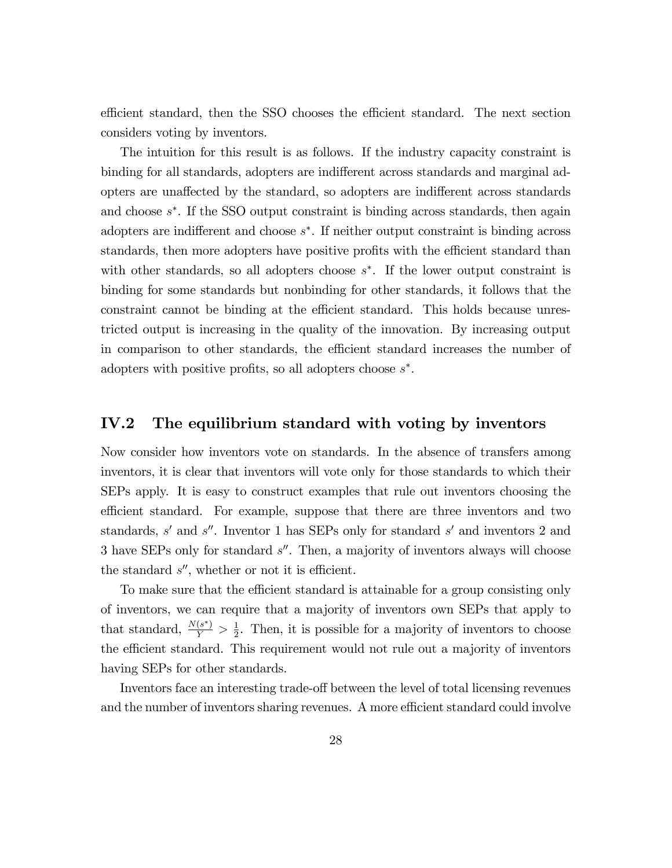efficient standard, then the SSO chooses the efficient standard. The next section considers voting by inventors.

The intuition for this result is as follows. If the industry capacity constraint is binding for all standards, adopters are indifferent across standards and marginal adopters are unaffected by the standard, so adopters are indifferent across standards and choose  $s^*$ . If the SSO output constraint is binding across standards, then again adopters are indifferent and choose  $s^*$ . If neither output constraint is binding across standards, then more adopters have positive profits with the efficient standard than with other standards, so all adopters choose  $s^*$ . If the lower output constraint is binding for some standards but nonbinding for other standards, it follows that the constraint cannot be binding at the efficient standard. This holds because unrestricted output is increasing in the quality of the innovation. By increasing output in comparison to other standards, the efficient standard increases the number of adopters with positive profits, so all adopters choose  $s^*$ .

#### IV.2 The equilibrium standard with voting by inventors

Now consider how inventors vote on standards. In the absence of transfers among inventors, it is clear that inventors will vote only for those standards to which their SEPs apply. It is easy to construct examples that rule out inventors choosing the efficient standard. For example, suppose that there are three inventors and two standards, s' and s''. Inventor 1 has SEPs only for standard s' and inventors 2 and 3 have SEPs only for standard s''. Then, a majority of inventors always will choose the standard  $s''$ , whether or not it is efficient.

To make sure that the efficient standard is attainable for a group consisting only of inventors, we can require that a majority of inventors own SEPs that apply to that standard,  $\frac{N(s^*)}{Y} > \frac{1}{2}$  $\frac{1}{2}$ . Then, it is possible for a majority of inventors to choose the efficient standard. This requirement would not rule out a majority of inventors having SEPs for other standards.

Inventors face an interesting trade-off between the level of total licensing revenues and the number of inventors sharing revenues. A more efficient standard could involve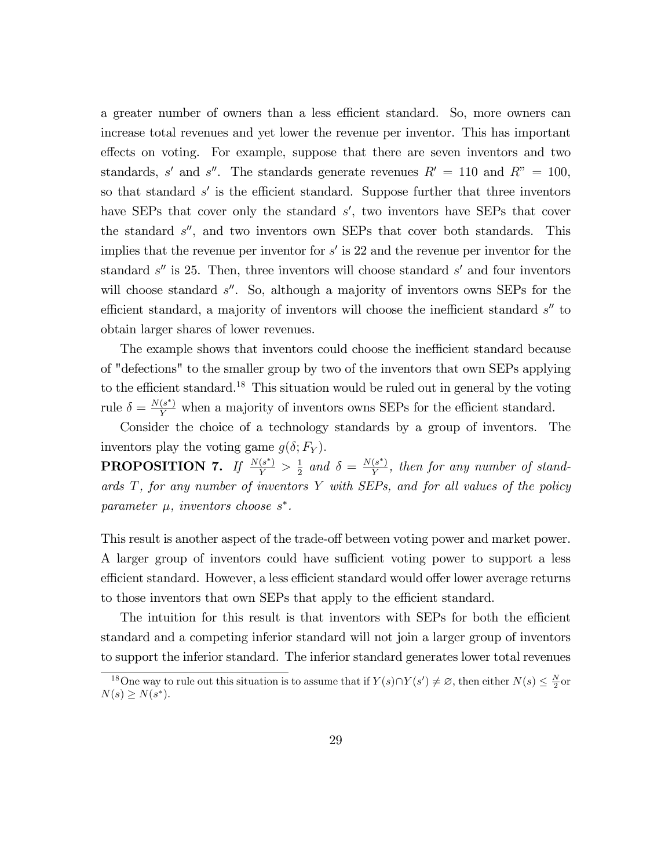a greater number of owners than a less efficient standard. So, more owners can increase total revenues and yet lower the revenue per inventor. This has important effects on voting. For example, suppose that there are seven inventors and two standards, s' and s''. The standards generate revenues  $R' = 110$  and  $R'' = 100$ , so that standard  $s'$  is the efficient standard. Suppose further that three inventors have SEPs that cover only the standard  $s'$ , two inventors have SEPs that cover the standard  $s''$ , and two inventors own SEPs that cover both standards. This implies that the revenue per inventor for  $s'$  is 22 and the revenue per inventor for the standard  $s''$  is 25. Then, three inventors will choose standard  $s'$  and four inventors will choose standard  $s''$ . So, although a majority of inventors owns SEPs for the efficient standard, a majority of inventors will choose the inefficient standard  $s''$  to obtain larger shares of lower revenues.

The example shows that inventors could choose the inefficient standard because of "defections" to the smaller group by two of the inventors that own SEPs applying to the efficient standard.<sup>18</sup> This situation would be ruled out in general by the voting rule  $\delta = \frac{N(s^*)}{Y}$  when a majority of inventors owns SEPs for the efficient standard.

Consider the choice of a technology standards by a group of inventors. The inventors play the voting game  $q(\delta; F_Y)$ .

PROPOSITION 7. If  $\frac{N(s^*)}{Y} > \frac{1}{2}$  $\frac{1}{2}$  and  $\delta = \frac{N(s^*)}{Y}$  $\frac{(s)}{Y}$ , then for any number of standards  $T$ , for any number of inventors  $Y$  with SEPs, and for all values of the policy parameter  $\mu$ , inventors choose  $s^*$ .

This result is another aspect of the trade-off between voting power and market power. A larger group of inventors could have sufficient voting power to support a less efficient standard. However, a less efficient standard would offer lower average returns to those inventors that own SEPs that apply to the efficient standard.

The intuition for this result is that inventors with SEPs for both the efficient standard and a competing inferior standard will not join a larger group of inventors to support the inferior standard. The inferior standard generates lower total revenues

<sup>&</sup>lt;sup>18</sup>One way to rule out this situation is to assume that if  $Y(s) \cap Y(s') \neq \emptyset$ , then either  $N(s) \leq \frac{N}{2}$  or  $N(s) \ge N(s^*).$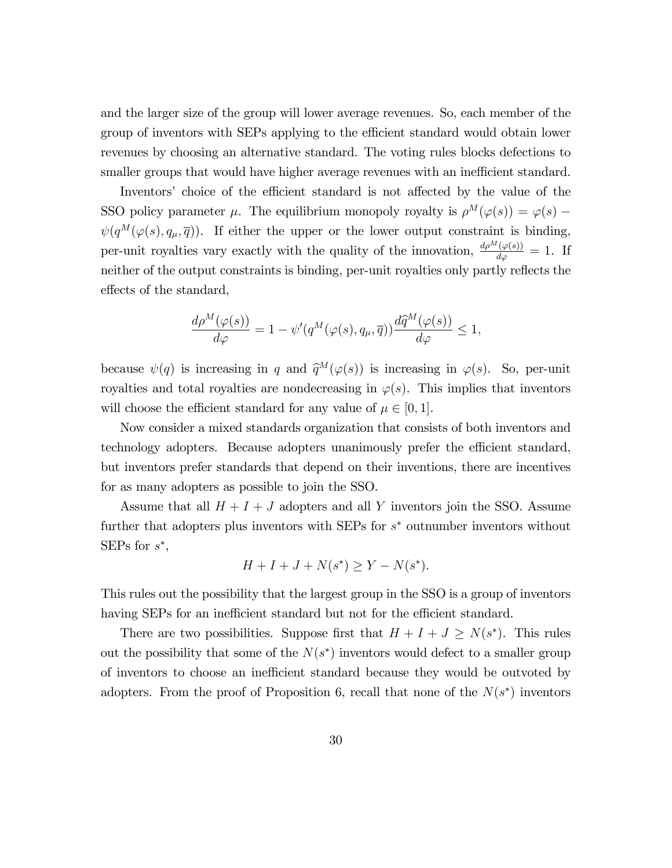and the larger size of the group will lower average revenues. So, each member of the group of inventors with SEPs applying to the efficient standard would obtain lower revenues by choosing an alternative standard. The voting rules blocks defections to smaller groups that would have higher average revenues with an inefficient standard.

Inventors' choice of the efficient standard is not affected by the value of the SSO policy parameter  $\mu$ . The equilibrium monopoly royalty is  $\rho^M(\varphi(s)) = \varphi(s)$  –  $\psi(q^M(\varphi(s), q_\mu, \overline{q}))$ . If either the upper or the lower output constraint is binding, per-unit royalties vary exactly with the quality of the innovation,  $\frac{d\rho^M(\varphi(s))}{d\varphi} = 1$ . If neither of the output constraints is binding, per-unit royalties only partly reflects the effects of the standard,

$$
\frac{d\rho^M(\varphi(s))}{d\varphi}=1-\psi'(q^M(\varphi(s),q_\mu,\overline{q}))\frac{d\widehat{q}^M(\varphi(s))}{d\varphi}\leq 1,
$$

because  $\psi(q)$  is increasing in q and  $\hat{q}^M(\varphi(s))$  is increasing in  $\varphi(s)$ . So, per-unit royalties and total royalties are nondecreasing in  $\varphi(s)$ . This implies that inventors will choose the efficient standard for any value of  $\mu \in [0, 1]$ .

Now consider a mixed standards organization that consists of both inventors and technology adopters. Because adopters unanimously prefer the efficient standard, but inventors prefer standards that depend on their inventions, there are incentives for as many adopters as possible to join the SSO.

Assume that all  $H + I + J$  adopters and all Y inventors join the SSO. Assume further that adopters plus inventors with SEPs for  $s^*$  outnumber inventors without SEPs for  $s^*$ ,

$$
H + I + J + N(s^*) \ge Y - N(s^*).
$$

This rules out the possibility that the largest group in the SSO is a group of inventors having SEPs for an inefficient standard but not for the efficient standard.

There are two possibilities. Suppose first that  $H + I + J \ge N(s^*)$ . This rules out the possibility that some of the  $N(s^*)$  inventors would defect to a smaller group of inventors to choose an inefficient standard because they would be outvoted by adopters. From the proof of Proposition 6, recall that none of the  $N(s^*)$  inventors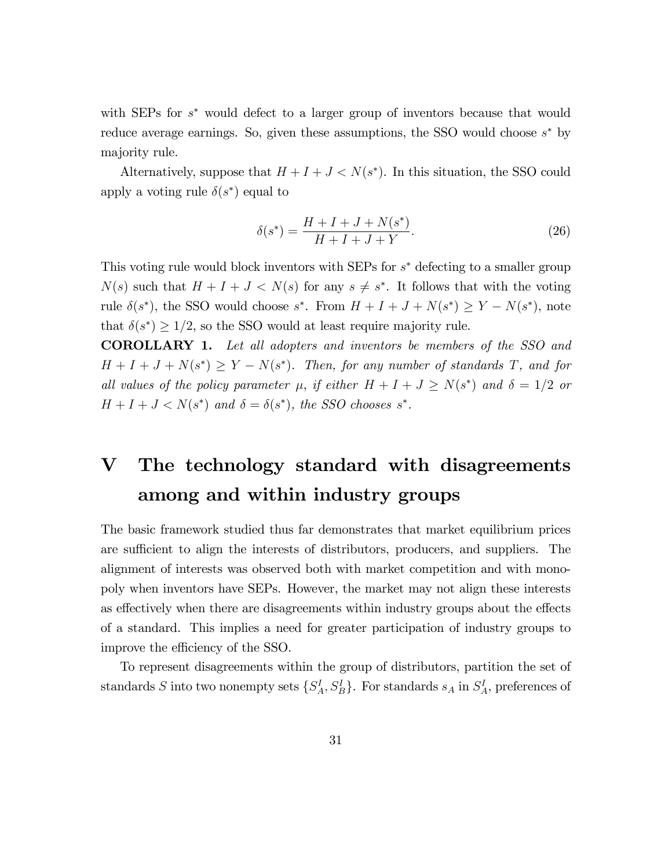with SEPs for  $s^*$  would defect to a larger group of inventors because that would reduce average earnings. So, given these assumptions, the SSO would choose  $s^*$  by majority rule.

Alternatively, suppose that  $H + I + J < N(s^*)$ . In this situation, the SSO could apply a voting rule  $\delta(s^*)$  equal to

$$
\delta(s^*) = \frac{H + I + J + N(s^*)}{H + I + J + Y}.
$$
\n(26)

This voting rule would block inventors with SEPs for  $s^*$  defecting to a smaller group  $N(s)$  such that  $H + I + J < N(s)$  for any  $s \neq s^*$ . It follows that with the voting rule  $\delta(s^*)$ , the SSO would choose  $s^*$ . From  $H + I + J + N(s^*) \ge Y - N(s^*)$ , note that  $\delta(s^*) \ge 1/2$ , so the SSO would at least require majority rule.

COROLLARY 1. Let all adopters and inventors be members of the SSO and  $H + I + J + N(s^*) \geq Y - N(s^*)$ . Then, for any number of standards T, and for all values of the policy parameter  $\mu$ , if either  $H + I + J \ge N(s^*)$  and  $\delta = 1/2$  or  $H + I + J < N(s^*)$  and  $\delta = \delta(s^*)$ , the SSO chooses s<sup>\*</sup>.

## V The technology standard with disagreements among and within industry groups

The basic framework studied thus far demonstrates that market equilibrium prices are sufficient to align the interests of distributors, producers, and suppliers. The alignment of interests was observed both with market competition and with monopoly when inventors have SEPs. However, the market may not align these interests as effectively when there are disagreements within industry groups about the effects of a standard. This implies a need for greater participation of industry groups to improve the efficiency of the SSO.

To represent disagreements within the group of distributors, partition the set of standards S into two nonempty sets  $\{S_A^I, S_B^I\}$ . For standards  $s_A$  in  $S_A^I$ , preferences of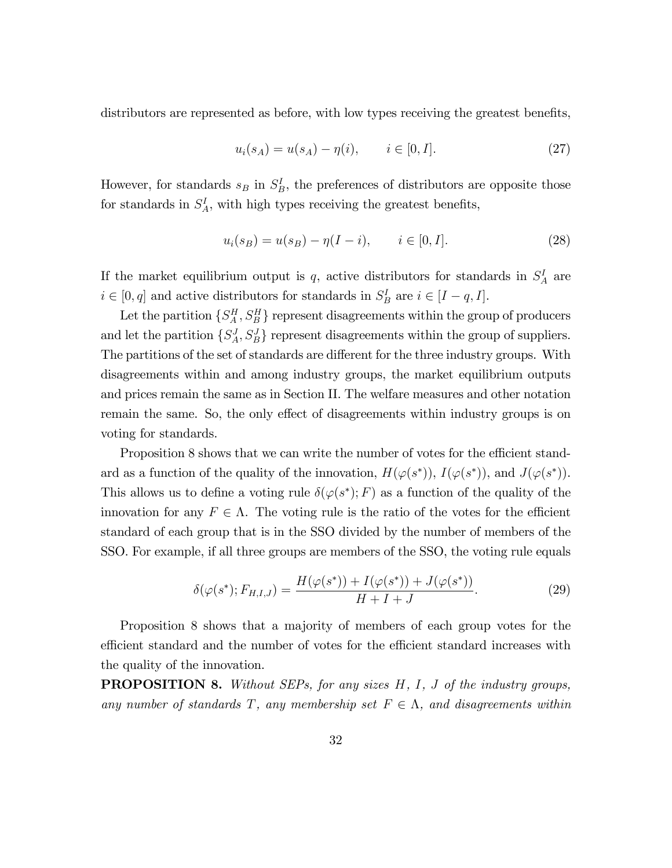distributors are represented as before, with low types receiving the greatest benefits,

$$
u_i(s_A) = u(s_A) - \eta(i), \qquad i \in [0, I]. \tag{27}
$$

However, for standards  $s_B$  in  $S_B^I$ , the preferences of distributors are opposite those for standards in  $S_A^I$ , with high types receiving the greatest benefits,

$$
u_i(s_B) = u(s_B) - \eta(I - i), \qquad i \in [0, I]. \tag{28}
$$

If the market equilibrium output is  $q$ , active distributors for standards in  $S_A^I$  are  $i \in [0, q]$  and active distributors for standards in  $S_B^I$  are  $i \in [I - q, I]$ .

Let the partition  $\{S_A^H, S_B^H\}$  represent disagreements within the group of producers and let the partition  $\{S_A^J, S_B^J\}$  represent disagreements within the group of suppliers. The partitions of the set of standards are different for the three industry groups. With disagreements within and among industry groups, the market equilibrium outputs and prices remain the same as in Section II. The welfare measures and other notation remain the same. So, the only effect of disagreements within industry groups is on voting for standards.

Proposition 8 shows that we can write the number of votes for the efficient standard as a function of the quality of the innovation,  $H(\varphi(s^*)), I(\varphi(s^*)),$  and  $J(\varphi(s^*)).$ This allows us to define a voting rule  $\delta(\varphi(s^*); F)$  as a function of the quality of the innovation for any  $F \in \Lambda$ . The voting rule is the ratio of the votes for the efficient standard of each group that is in the SSO divided by the number of members of the SSO. For example, if all three groups are members of the SSO, the voting rule equals

$$
\delta(\varphi(s^*); F_{H,I,J}) = \frac{H(\varphi(s^*)) + I(\varphi(s^*)) + J(\varphi(s^*))}{H + I + J}.
$$
\n(29)

Proposition 8 shows that a majority of members of each group votes for the efficient standard and the number of votes for the efficient standard increases with the quality of the innovation.

**PROPOSITION 8.** Without SEPs, for any sizes H, I, J of the industry groups, any number of standards T, any membership set  $F \in \Lambda$ , and disagreements within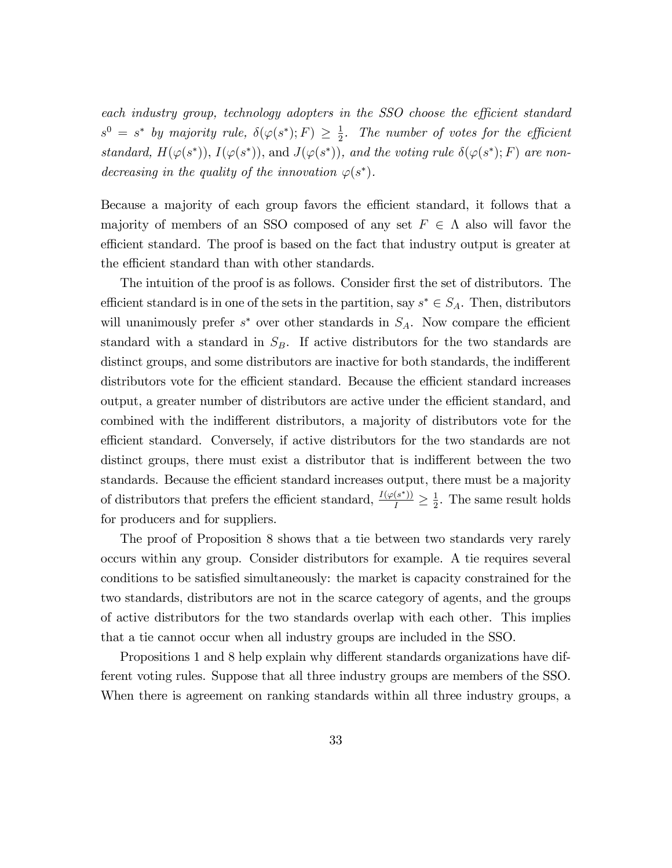each industry group, technology adopters in the SSO choose the efficient standard  $s^0 = s^*$  by majority rule,  $\delta(\varphi(s^*); F) \geq \frac{1}{2}$  $\frac{1}{2}$ . The number of votes for the efficient standard,  $H(\varphi(s^*)), I(\varphi(s^*)),$  and  $J(\varphi(s^*)),$  and the voting rule  $\delta(\varphi(s^*); F)$  are nondecreasing in the quality of the innovation  $\varphi(s^*)$ .

Because a majority of each group favors the efficient standard, it follows that a majority of members of an SSO composed of any set  $F \in \Lambda$  also will favor the efficient standard. The proof is based on the fact that industry output is greater at the efficient standard than with other standards.

The intuition of the proof is as follows. Consider first the set of distributors. The efficient standard is in one of the sets in the partition, say  $s^* \in S_A$ . Then, distributors will unanimously prefer  $s^*$  over other standards in  $S_A$ . Now compare the efficient standard with a standard in  $S_B$ . If active distributors for the two standards are distinct groups, and some distributors are inactive for both standards, the indifferent distributors vote for the efficient standard. Because the efficient standard increases output, a greater number of distributors are active under the efficient standard, and combined with the indifferent distributors, a majority of distributors vote for the efficient standard. Conversely, if active distributors for the two standards are not distinct groups, there must exist a distributor that is indifferent between the two standards. Because the efficient standard increases output, there must be a majority of distributors that prefers the efficient standard,  $\frac{I(\varphi(s^*))}{I} \geq \frac{1}{2}$  $\frac{1}{2}$ . The same result holds for producers and for suppliers.

The proof of Proposition 8 shows that a tie between two standards very rarely occurs within any group. Consider distributors for example. A tie requires several conditions to be satisfied simultaneously: the market is capacity constrained for the two standards, distributors are not in the scarce category of agents, and the groups of active distributors for the two standards overlap with each other. This implies that a tie cannot occur when all industry groups are included in the SSO.

Propositions 1 and 8 help explain why different standards organizations have different voting rules. Suppose that all three industry groups are members of the SSO. When there is agreement on ranking standards within all three industry groups, a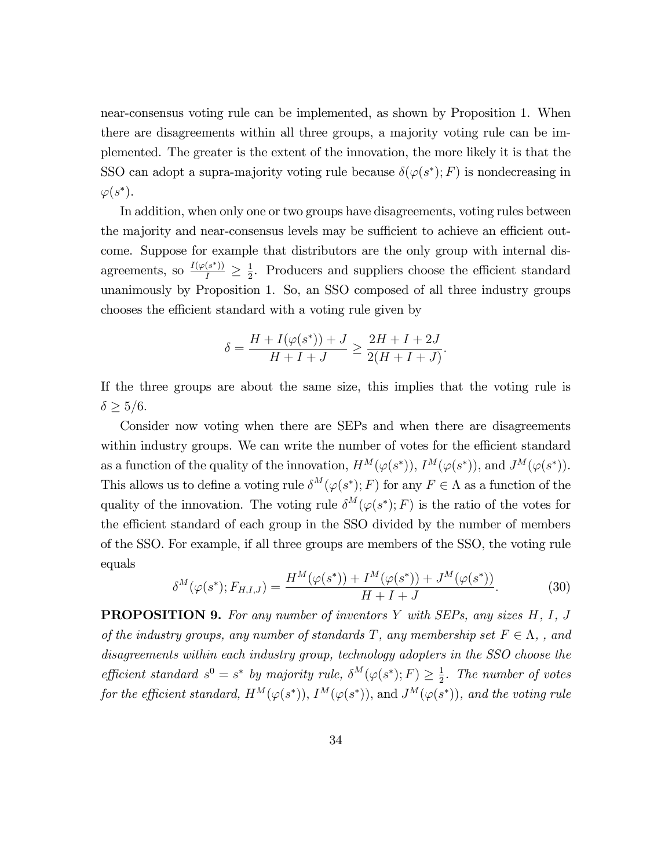near-consensus voting rule can be implemented, as shown by Proposition 1. When there are disagreements within all three groups, a majority voting rule can be implemented. The greater is the extent of the innovation, the more likely it is that the SSO can adopt a supra-majority voting rule because  $\delta(\varphi(s^*); F)$  is nondecreasing in  $\varphi(s^*).$ 

In addition, when only one or two groups have disagreements, voting rules between the majority and near-consensus levels may be sufficient to achieve an efficient outcome. Suppose for example that distributors are the only group with internal disagreements, so  $\frac{I(\varphi(s^*))}{I} \geq \frac{1}{2}$  $\frac{1}{2}$ . Producers and suppliers choose the efficient standard unanimously by Proposition 1. So, an SSO composed of all three industry groups chooses the efficient standard with a voting rule given by

$$
\delta = \frac{H + I(\varphi(s^*)) + J}{H + I + J} \ge \frac{2H + I + 2J}{2(H + I + J)}.
$$

If the three groups are about the same size, this implies that the voting rule is  $\delta>5/6.$ 

Consider now voting when there are SEPs and when there are disagreements within industry groups. We can write the number of votes for the efficient standard as a function of the quality of the innovation,  $H^M(\varphi(s^*))$ ,  $I^M(\varphi(s^*))$ , and  $J^M(\varphi(s^*))$ . This allows us to define a voting rule  $\delta^M(\varphi(s^*); F)$  for any  $F \in \Lambda$  as a function of the quality of the innovation. The voting rule  $\delta^M(\varphi(s^*); F)$  is the ratio of the votes for the efficient standard of each group in the SSO divided by the number of members of the SSO. For example, if all three groups are members of the SSO, the voting rule equals

$$
\delta^{M}(\varphi(s^{*}); F_{H,I,J}) = \frac{H^{M}(\varphi(s^{*})) + I^{M}(\varphi(s^{*})) + J^{M}(\varphi(s^{*}))}{H + I + J}.
$$
\n(30)

**PROPOSITION 9.** For any number of inventors Y with SEPs, any sizes  $H, I, J$ of the industry groups, any number of standards T, any membership set  $F \in \Lambda$ , , and disagreements within each industry group, technology adopters in the SSO choose the efficient standard  $s^0 = s^*$  by majority rule,  $\delta^M(\varphi(s^*); F) \geq \frac{1}{2}$  $\frac{1}{2}$ . The number of votes for the efficient standard,  $H^M(\varphi(s^*)), I^M(\varphi(s^*)),$  and  $J^M(\varphi(s^*)),$  and the voting rule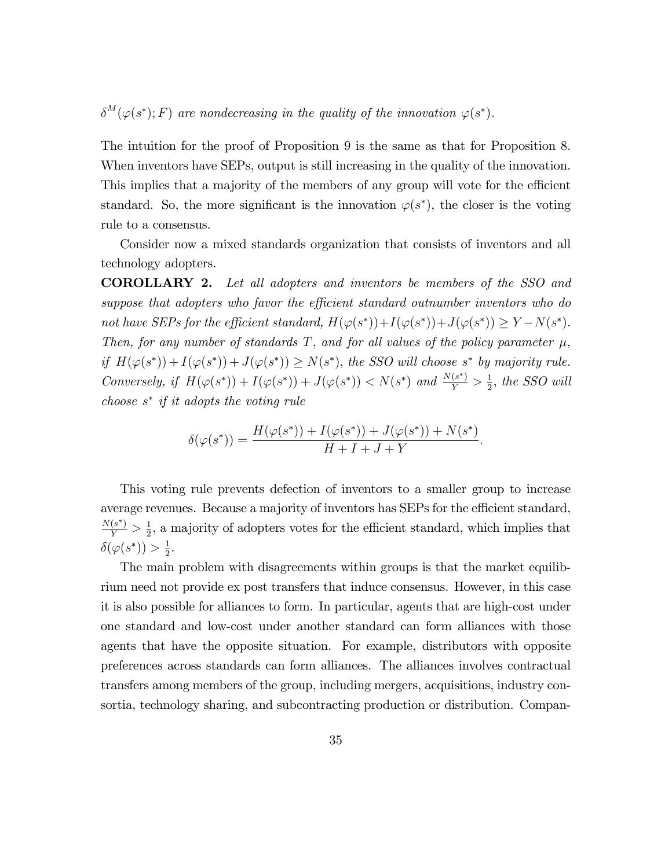$\delta^M(\varphi(s^*); F)$  are nondecreasing in the quality of the innovation  $\varphi(s^*)$ .

The intuition for the proof of Proposition 9 is the same as that for Proposition 8. When inventors have SEPs, output is still increasing in the quality of the innovation. This implies that a majority of the members of any group will vote for the efficient standard. So, the more significant is the innovation  $\varphi(s^*)$ , the closer is the voting rule to a consensus.

Consider now a mixed standards organization that consists of inventors and all technology adopters.

COROLLARY 2. Let all adopters and inventors be members of the SSO and suppose that adopters who favor the efficient standard outnumber inventors who do not have SEPs for the efficient standard,  $H(\varphi(s^*)) + I(\varphi(s^*)) + J(\varphi(s^*)) \geq Y - N(s^*)$ . Then, for any number of standards T, and for all values of the policy parameter  $\mu$ , if  $H(\varphi(s^*)) + I(\varphi(s^*)) + J(\varphi(s^*)) \ge N(s^*)$ , the SSO will choose s<sup>\*</sup> by majority rule. Conversely, if  $H(\varphi(s^*)) + I(\varphi(s^*)) + J(\varphi(s^*)) < N(s^*)$  and  $\frac{N(s^*)}{Y} > \frac{1}{2}$  $\frac{1}{2}$ , the SSO will choose  $s^*$  if it adopts the voting rule

$$
\delta(\varphi(s^*)) = \frac{H(\varphi(s^*)) + I(\varphi(s^*)) + J(\varphi(s^*)) + N(s^*)}{H + I + J + Y}.
$$

This voting rule prevents defection of inventors to a smaller group to increase average revenues. Because a majority of inventors has SEPs for the efficient standard,  $\frac{N(s^{*})}{Y} > \frac{1}{2}$  $\frac{1}{2}$ , a majority of adopters votes for the efficient standard, which implies that  $\delta(\varphi(s^*))>\frac{1}{2}$  $\frac{1}{2}$ .

The main problem with disagreements within groups is that the market equilibrium need not provide ex post transfers that induce consensus. However, in this case it is also possible for alliances to form. In particular, agents that are high-cost under one standard and low-cost under another standard can form alliances with those agents that have the opposite situation. For example, distributors with opposite preferences across standards can form alliances. The alliances involves contractual transfers among members of the group, including mergers, acquisitions, industry consortia, technology sharing, and subcontracting production or distribution. Compan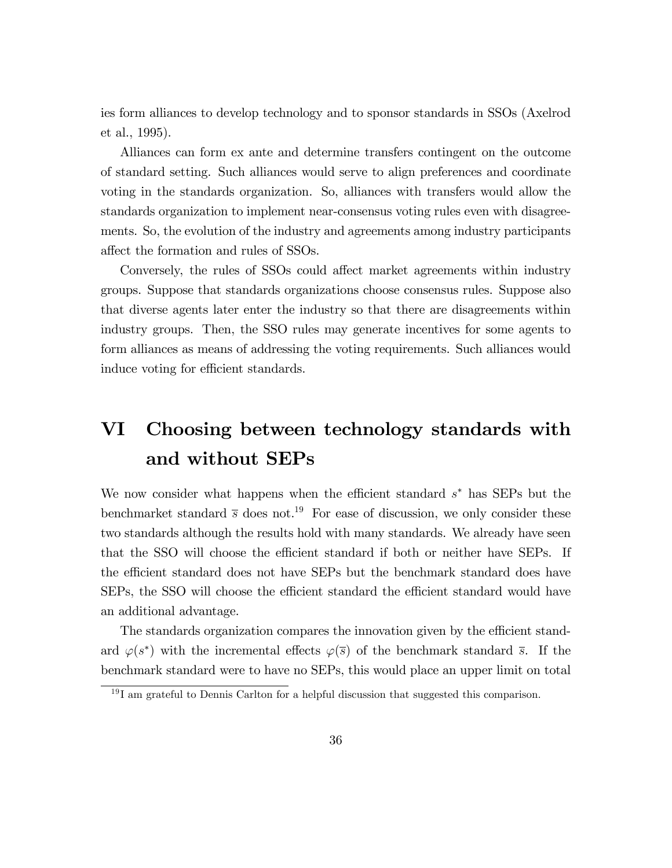ies form alliances to develop technology and to sponsor standards in SSOs (Axelrod et al., 1995).

Alliances can form ex ante and determine transfers contingent on the outcome of standard setting. Such alliances would serve to align preferences and coordinate voting in the standards organization. So, alliances with transfers would allow the standards organization to implement near-consensus voting rules even with disagreements. So, the evolution of the industry and agreements among industry participants affect the formation and rules of SSOs.

Conversely, the rules of SSOs could affect market agreements within industry groups. Suppose that standards organizations choose consensus rules. Suppose also that diverse agents later enter the industry so that there are disagreements within industry groups. Then, the SSO rules may generate incentives for some agents to form alliances as means of addressing the voting requirements. Such alliances would induce voting for efficient standards.

## VI Choosing between technology standards with and without SEPs

We now consider what happens when the efficient standard  $s^*$  has SEPs but the benchmarket standard  $\bar{s}$  does not.<sup>19</sup> For ease of discussion, we only consider these two standards although the results hold with many standards. We already have seen that the SSO will choose the efficient standard if both or neither have SEPs. If the efficient standard does not have SEPs but the benchmark standard does have SEPs, the SSO will choose the efficient standard the efficient standard would have an additional advantage.

The standards organization compares the innovation given by the efficient standard  $\varphi(s^*)$  with the incremental effects  $\varphi(\overline{s})$  of the benchmark standard  $\overline{s}$ . If the benchmark standard were to have no SEPs, this would place an upper limit on total

 $19$ I am grateful to Dennis Carlton for a helpful discussion that suggested this comparison.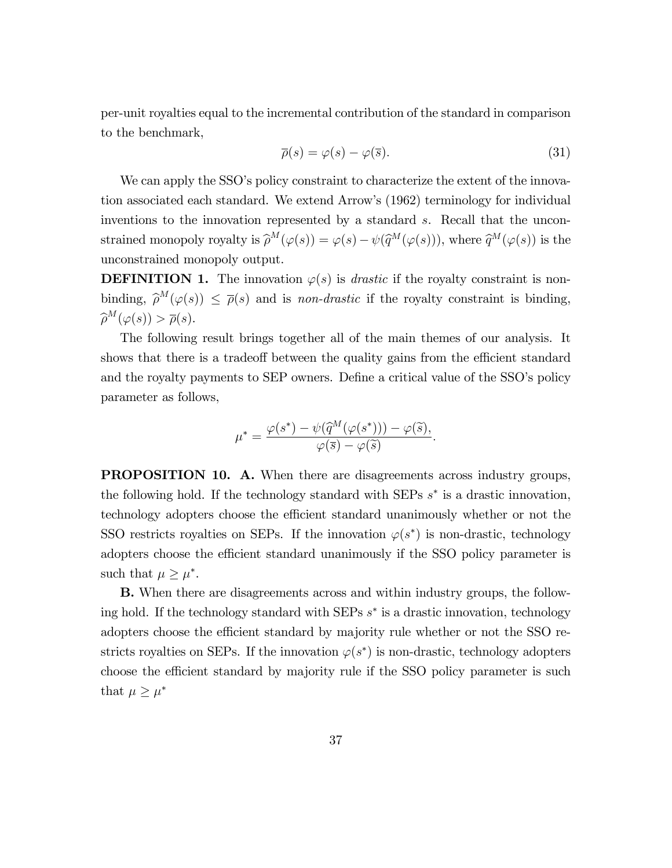per-unit royalties equal to the incremental contribution of the standard in comparison to the benchmark,

$$
\overline{\rho}(s) = \varphi(s) - \varphi(\overline{s}). \tag{31}
$$

We can apply the SSO's policy constraint to characterize the extent of the innovation associated each standard. We extend Arrowís (1962) terminology for individual inventions to the innovation represented by a standard s. Recall that the unconstrained monopoly royalty is  $\widehat{\rho}^M(\varphi(s)) = \varphi(s) - \psi(\widehat{q}^M(\varphi(s))),$  where  $\widehat{q}^M(\varphi(s))$  is the unconstrained monopoly output.

**DEFINITION 1.** The innovation  $\varphi(s)$  is *drastic* if the royalty constraint is nonbinding,  $\hat{\rho}^M(\varphi(s)) \leq \overline{\rho}(s)$  and is non-drastic if the royalty constraint is binding,  $\widehat{\rho}^M(\varphi(s)) > \overline{\rho}(s).$ 

The following result brings together all of the main themes of our analysis. It shows that there is a tradeoff between the quality gains from the efficient standard and the royalty payments to SEP owners. Define a critical value of the SSO's policy parameter as follows,

$$
\mu^* = \frac{\varphi(s^*) - \psi(\widehat{q}^M(\varphi(s^*))) - \varphi(\widetilde{s}),}{\varphi(\overline{s}) - \varphi(\widetilde{s})}.
$$

PROPOSITION 10. A. When there are disagreements across industry groups, the following hold. If the technology standard with SEPs  $s^*$  is a drastic innovation, technology adopters choose the efficient standard unanimously whether or not the SSO restricts royalties on SEPs. If the innovation  $\varphi(s^*)$  is non-drastic, technology adopters choose the efficient standard unanimously if the SSO policy parameter is such that  $\mu \geq \mu^*$ .

B. When there are disagreements across and within industry groups, the following hold. If the technology standard with SEPs  $s^*$  is a drastic innovation, technology adopters choose the efficient standard by majority rule whether or not the SSO restricts royalties on SEPs. If the innovation  $\varphi(s^*)$  is non-drastic, technology adopters choose the efficient standard by majority rule if the SSO policy parameter is such that  $\mu \geq \mu^*$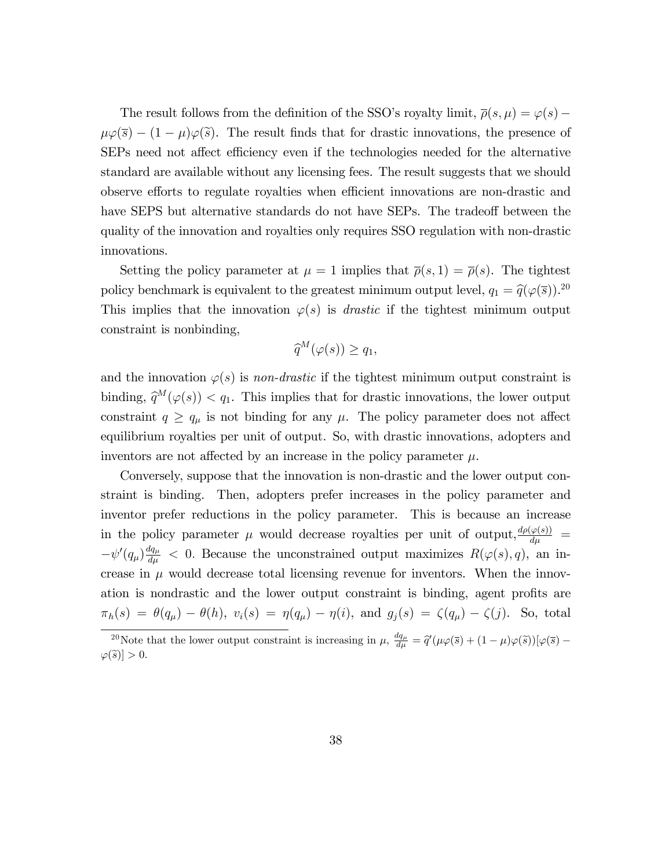The result follows from the definition of the SSO's royalty limit,  $\bar{\rho}(s, \mu) = \varphi(s)$  $\mu\varphi(\bar{s}) - (1 - \mu)\varphi(\tilde{s})$ . The result finds that for drastic innovations, the presence of SEPs need not affect efficiency even if the technologies needed for the alternative standard are available without any licensing fees. The result suggests that we should observe efforts to regulate royalties when efficient innovations are non-drastic and have SEPS but alternative standards do not have SEPs. The tradeoff between the quality of the innovation and royalties only requires SSO regulation with non-drastic innovations.

Setting the policy parameter at  $\mu = 1$  implies that  $\bar{\rho}(s, 1) = \bar{\rho}(s)$ . The tightest policy benchmark is equivalent to the greatest minimum output level,  $q_1 = \hat{q}(\varphi(\bar{s}))$ .<sup>20</sup> This implies that the innovation  $\varphi(s)$  is *drastic* if the tightest minimum output constraint is nonbinding,

$$
\widehat{q}^M(\varphi(s)) \ge q_1,
$$

and the innovation  $\varphi(s)$  is non-drastic if the tightest minimum output constraint is binding,  $\hat{q}^M(\varphi(s)) < q_1$ . This implies that for drastic innovations, the lower output constraint  $q \ge q_\mu$  is not binding for any  $\mu$ . The policy parameter does not affect equilibrium royalties per unit of output. So, with drastic innovations, adopters and inventors are not affected by an increase in the policy parameter  $\mu$ .

Conversely, suppose that the innovation is non-drastic and the lower output constraint is binding. Then, adopters prefer increases in the policy parameter and inventor prefer reductions in the policy parameter. This is because an increase in the policy parameter  $\mu$  would decrease royalties per unit of output,  $\frac{d\rho(\varphi(s))}{d\mu}$  =  $-\psi'(q_{\mu})\frac{dq_{\mu}}{d\mu}$  < 0. Because the unconstrained output maximizes  $R(\varphi(s), q)$ , an increase in  $\mu$  would decrease total licensing revenue for inventors. When the innovation is nondrastic and the lower output constraint is binding, agent profits are  $\pi_h(s) = \theta(q_\mu) - \theta(h), v_i(s) = \eta(q_\mu) - \eta(i), \text{ and } g_j(s) = \zeta(q_\mu) - \zeta(j).$  So, total

<sup>&</sup>lt;sup>20</sup>Note that the lower output constraint is increasing in  $\mu$ ,  $\frac{dq_{\mu}}{d\mu} = \hat{q}'(\mu\varphi(\bar{s}) + (1 - \mu)\varphi(\tilde{s}))[\varphi(\bar{s}) - \varphi(\tilde{s}))[\varphi(\bar{s})]$  $|\varphi(\widetilde{s})| > 0.$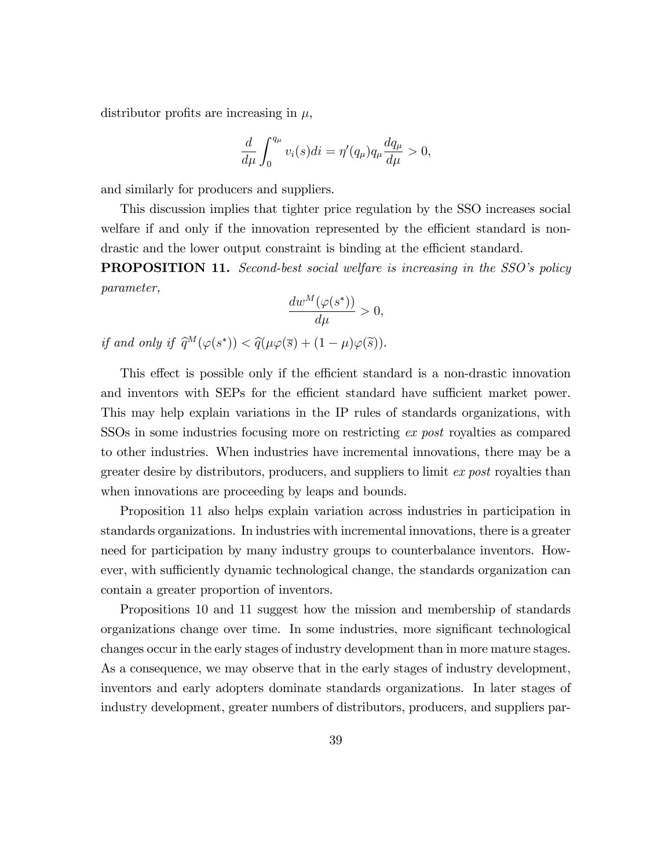distributor profits are increasing in  $\mu$ ,

$$
\frac{d}{d\mu} \int_0^{q_\mu} v_i(s)di = \eta'(q_\mu)q_\mu \frac{dq_\mu}{d\mu} > 0,
$$

and similarly for producers and suppliers.

This discussion implies that tighter price regulation by the SSO increases social welfare if and only if the innovation represented by the efficient standard is nondrastic and the lower output constraint is binding at the efficient standard.

**PROPOSITION 11.** Second-best social welfare is increasing in the SSO's policy parameter,

$$
\frac{dw^M(\varphi(s^*))}{d\mu} > 0,
$$

if and only if  $\widehat{q}^M(\varphi(s^*)) < \widehat{q}(\mu\varphi(\overline{s}) + (1 - \mu)\varphi(\widetilde{s})).$ 

This effect is possible only if the efficient standard is a non-drastic innovation and inventors with SEPs for the efficient standard have sufficient market power. This may help explain variations in the IP rules of standards organizations, with SSOs in some industries focusing more on restricting ex post royalties as compared to other industries. When industries have incremental innovations, there may be a greater desire by distributors, producers, and suppliers to limit ex post royalties than when innovations are proceeding by leaps and bounds.

Proposition 11 also helps explain variation across industries in participation in standards organizations. In industries with incremental innovations, there is a greater need for participation by many industry groups to counterbalance inventors. However, with sufficiently dynamic technological change, the standards organization can contain a greater proportion of inventors.

Propositions 10 and 11 suggest how the mission and membership of standards organizations change over time. In some industries, more significant technological changes occur in the early stages of industry development than in more mature stages. As a consequence, we may observe that in the early stages of industry development, inventors and early adopters dominate standards organizations. In later stages of industry development, greater numbers of distributors, producers, and suppliers par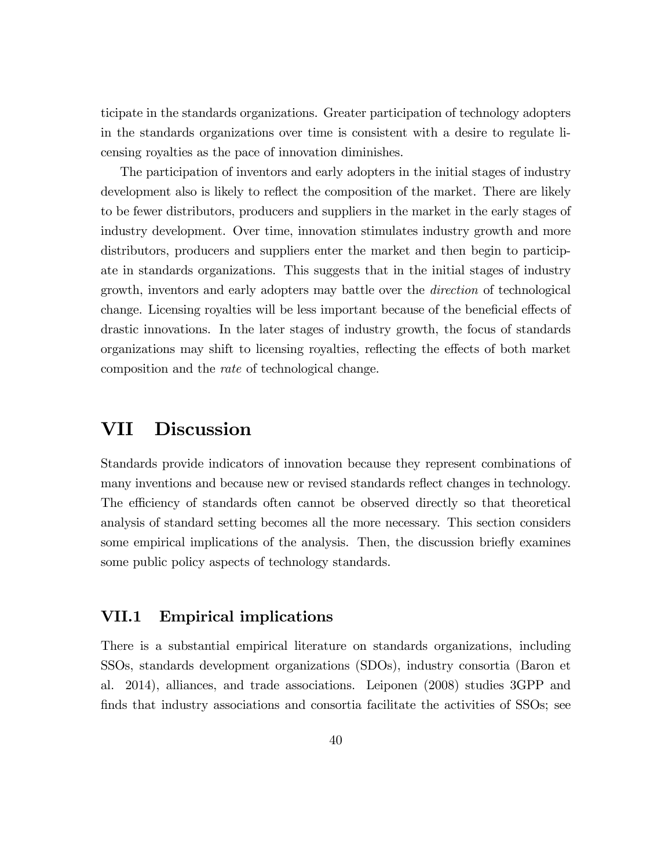ticipate in the standards organizations. Greater participation of technology adopters in the standards organizations over time is consistent with a desire to regulate licensing royalties as the pace of innovation diminishes.

The participation of inventors and early adopters in the initial stages of industry development also is likely to reflect the composition of the market. There are likely to be fewer distributors, producers and suppliers in the market in the early stages of industry development. Over time, innovation stimulates industry growth and more distributors, producers and suppliers enter the market and then begin to participate in standards organizations. This suggests that in the initial stages of industry growth, inventors and early adopters may battle over the direction of technological change. Licensing royalties will be less important because of the beneficial effects of drastic innovations. In the later stages of industry growth, the focus of standards organizations may shift to licensing royalties, reflecting the effects of both market composition and the rate of technological change.

### VII Discussion

Standards provide indicators of innovation because they represent combinations of many inventions and because new or revised standards reflect changes in technology. The efficiency of standards often cannot be observed directly so that theoretical analysis of standard setting becomes all the more necessary. This section considers some empirical implications of the analysis. Then, the discussion briefly examines some public policy aspects of technology standards.

### VII.1 Empirical implications

There is a substantial empirical literature on standards organizations, including SSOs, standards development organizations (SDOs), industry consortia (Baron et al. 2014), alliances, and trade associations. Leiponen (2008) studies 3GPP and finds that industry associations and consortia facilitate the activities of SSOs; see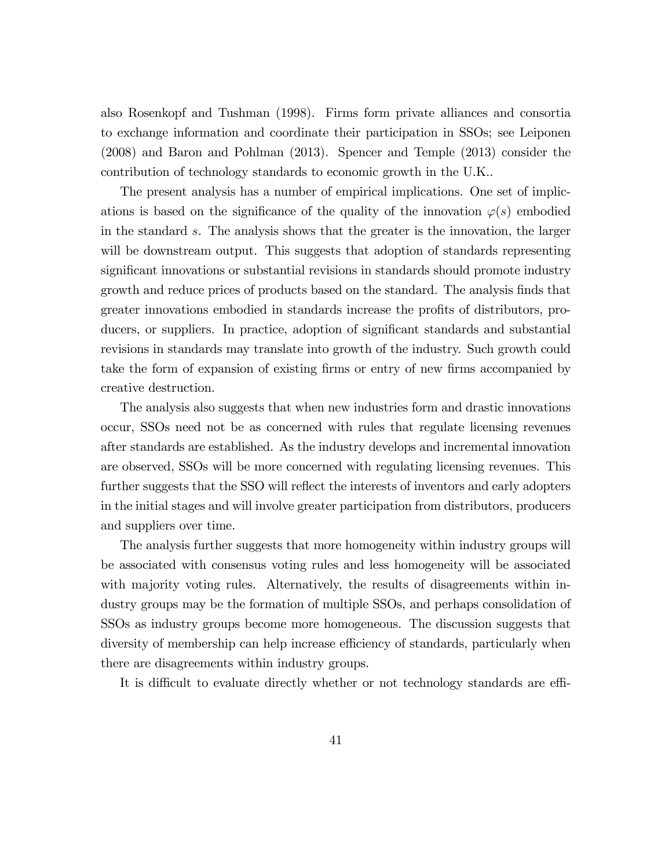also Rosenkopf and Tushman (1998). Firms form private alliances and consortia to exchange information and coordinate their participation in SSOs; see Leiponen (2008) and Baron and Pohlman (2013). Spencer and Temple (2013) consider the contribution of technology standards to economic growth in the U.K..

The present analysis has a number of empirical implications. One set of implications is based on the significance of the quality of the innovation  $\varphi(s)$  embodied in the standard s. The analysis shows that the greater is the innovation, the larger will be downstream output. This suggests that adoption of standards representing significant innovations or substantial revisions in standards should promote industry growth and reduce prices of products based on the standard. The analysis finds that greater innovations embodied in standards increase the profits of distributors, producers, or suppliers. In practice, adoption of significant standards and substantial revisions in standards may translate into growth of the industry. Such growth could take the form of expansion of existing firms or entry of new firms accompanied by creative destruction.

The analysis also suggests that when new industries form and drastic innovations occur, SSOs need not be as concerned with rules that regulate licensing revenues after standards are established. As the industry develops and incremental innovation are observed, SSOs will be more concerned with regulating licensing revenues. This further suggests that the SSO will reflect the interests of inventors and early adopters in the initial stages and will involve greater participation from distributors, producers and suppliers over time.

The analysis further suggests that more homogeneity within industry groups will be associated with consensus voting rules and less homogeneity will be associated with majority voting rules. Alternatively, the results of disagreements within industry groups may be the formation of multiple SSOs, and perhaps consolidation of SSOs as industry groups become more homogeneous. The discussion suggests that diversity of membership can help increase efficiency of standards, particularly when there are disagreements within industry groups.

It is difficult to evaluate directly whether or not technology standards are effi-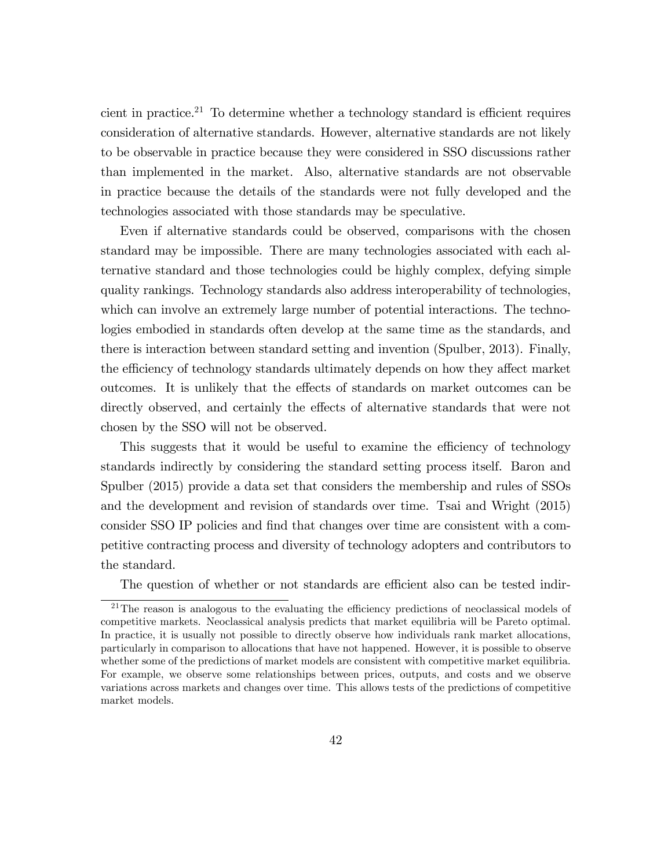cient in practice.<sup>21</sup> To determine whether a technology standard is efficient requires consideration of alternative standards. However, alternative standards are not likely to be observable in practice because they were considered in SSO discussions rather than implemented in the market. Also, alternative standards are not observable in practice because the details of the standards were not fully developed and the technologies associated with those standards may be speculative.

Even if alternative standards could be observed, comparisons with the chosen standard may be impossible. There are many technologies associated with each alternative standard and those technologies could be highly complex, defying simple quality rankings. Technology standards also address interoperability of technologies, which can involve an extremely large number of potential interactions. The technologies embodied in standards often develop at the same time as the standards, and there is interaction between standard setting and invention (Spulber, 2013). Finally, the efficiency of technology standards ultimately depends on how they affect market outcomes. It is unlikely that the effects of standards on market outcomes can be directly observed, and certainly the effects of alternative standards that were not chosen by the SSO will not be observed.

This suggests that it would be useful to examine the efficiency of technology standards indirectly by considering the standard setting process itself. Baron and Spulber (2015) provide a data set that considers the membership and rules of SSOs and the development and revision of standards over time. Tsai and Wright (2015) consider SSO IP policies and find that changes over time are consistent with a competitive contracting process and diversity of technology adopters and contributors to the standard.

The question of whether or not standards are efficient also can be tested indir-

 $21$ The reason is analogous to the evaluating the efficiency predictions of neoclassical models of competitive markets. Neoclassical analysis predicts that market equilibria will be Pareto optimal. In practice, it is usually not possible to directly observe how individuals rank market allocations, particularly in comparison to allocations that have not happened. However, it is possible to observe whether some of the predictions of market models are consistent with competitive market equilibria. For example, we observe some relationships between prices, outputs, and costs and we observe variations across markets and changes over time. This allows tests of the predictions of competitive market models.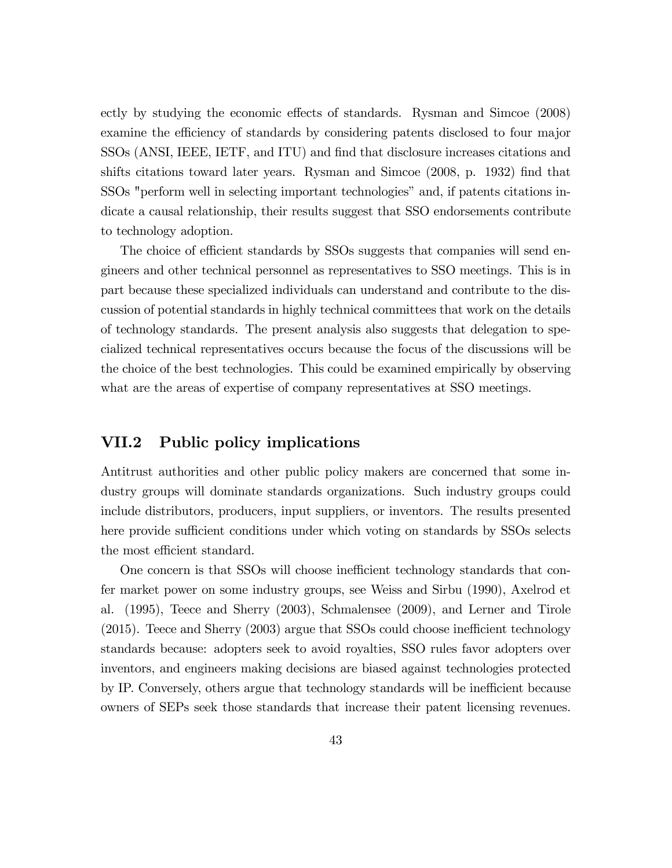ectly by studying the economic effects of standards. Rysman and Simcoe (2008) examine the efficiency of standards by considering patents disclosed to four major SSOs (ANSI, IEEE, IETF, and ITU) and Önd that disclosure increases citations and shifts citations toward later years. Rysman and Simcoe  $(2008, p. 1932)$  find that SSOs "perform well in selecting important technologies" and, if patents citations indicate a causal relationship, their results suggest that SSO endorsements contribute to technology adoption.

The choice of efficient standards by SSOs suggests that companies will send engineers and other technical personnel as representatives to SSO meetings. This is in part because these specialized individuals can understand and contribute to the discussion of potential standards in highly technical committees that work on the details of technology standards. The present analysis also suggests that delegation to specialized technical representatives occurs because the focus of the discussions will be the choice of the best technologies. This could be examined empirically by observing what are the areas of expertise of company representatives at SSO meetings.

#### VII.2 Public policy implications

Antitrust authorities and other public policy makers are concerned that some industry groups will dominate standards organizations. Such industry groups could include distributors, producers, input suppliers, or inventors. The results presented here provide sufficient conditions under which voting on standards by SSOs selects the most efficient standard.

One concern is that SSOs will choose inefficient technology standards that confer market power on some industry groups, see Weiss and Sirbu (1990), Axelrod et al. (1995), Teece and Sherry (2003), Schmalensee (2009), and Lerner and Tirole  $(2015)$ . Teece and Sherry  $(2003)$  argue that SSOs could choose inefficient technology standards because: adopters seek to avoid royalties, SSO rules favor adopters over inventors, and engineers making decisions are biased against technologies protected by IP. Conversely, others argue that technology standards will be inefficient because owners of SEPs seek those standards that increase their patent licensing revenues.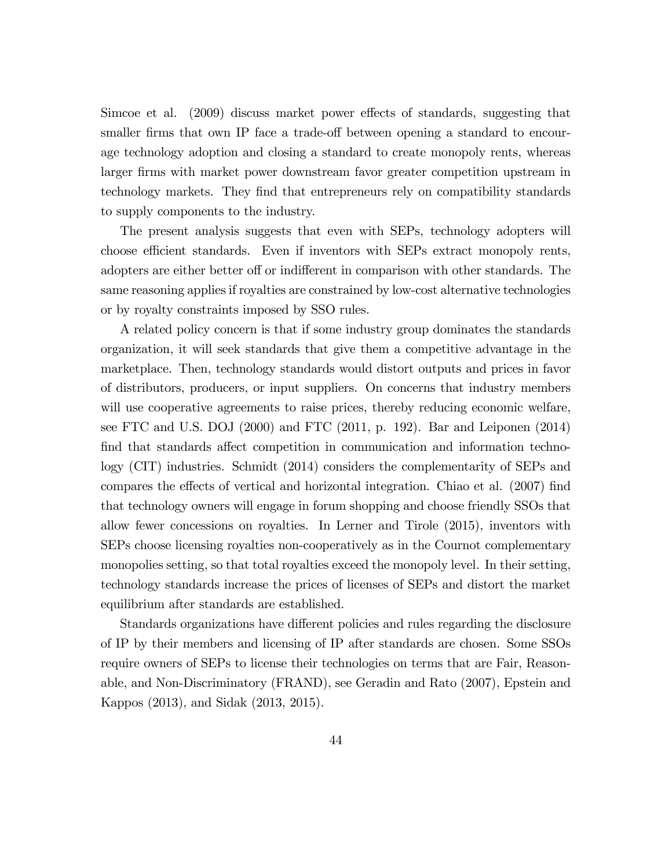Simcoe et al. (2009) discuss market power effects of standards, suggesting that smaller firms that own IP face a trade-off between opening a standard to encourage technology adoption and closing a standard to create monopoly rents, whereas larger firms with market power downstream favor greater competition upstream in technology markets. They Önd that entrepreneurs rely on compatibility standards to supply components to the industry.

The present analysis suggests that even with SEPs, technology adopters will choose efficient standards. Even if inventors with SEPs extract monopoly rents, adopters are either better off or indifferent in comparison with other standards. The same reasoning applies if royalties are constrained by low-cost alternative technologies or by royalty constraints imposed by SSO rules.

A related policy concern is that if some industry group dominates the standards organization, it will seek standards that give them a competitive advantage in the marketplace. Then, technology standards would distort outputs and prices in favor of distributors, producers, or input suppliers. On concerns that industry members will use cooperative agreements to raise prices, thereby reducing economic welfare, see FTC and U.S. DOJ (2000) and FTC (2011, p. 192). Bar and Leiponen (2014) find that standards affect competition in communication and information technology (CIT) industries. Schmidt (2014) considers the complementarity of SEPs and compares the effects of vertical and horizontal integration. Chiao et al. (2007) find that technology owners will engage in forum shopping and choose friendly SSOs that allow fewer concessions on royalties. In Lerner and Tirole (2015), inventors with SEPs choose licensing royalties non-cooperatively as in the Cournot complementary monopolies setting, so that total royalties exceed the monopoly level. In their setting, technology standards increase the prices of licenses of SEPs and distort the market equilibrium after standards are established.

Standards organizations have different policies and rules regarding the disclosure of IP by their members and licensing of IP after standards are chosen. Some SSOs require owners of SEPs to license their technologies on terms that are Fair, Reasonable, and Non-Discriminatory (FRAND), see Geradin and Rato (2007), Epstein and Kappos (2013), and Sidak (2013, 2015).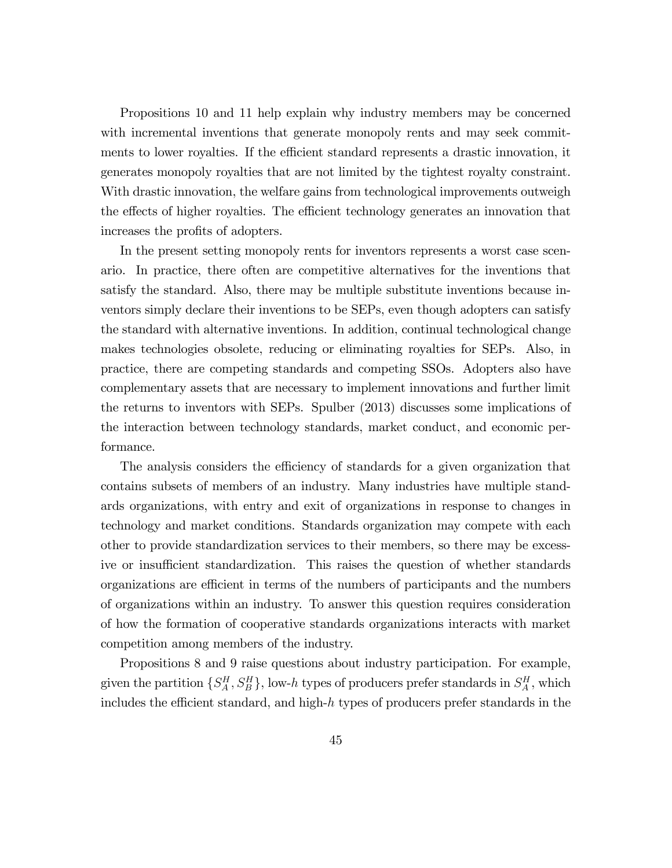Propositions 10 and 11 help explain why industry members may be concerned with incremental inventions that generate monopoly rents and may seek commitments to lower royalties. If the efficient standard represents a drastic innovation, it generates monopoly royalties that are not limited by the tightest royalty constraint. With drastic innovation, the welfare gains from technological improvements outweigh the effects of higher royalties. The efficient technology generates an innovation that increases the profits of adopters.

In the present setting monopoly rents for inventors represents a worst case scenario. In practice, there often are competitive alternatives for the inventions that satisfy the standard. Also, there may be multiple substitute inventions because inventors simply declare their inventions to be SEPs, even though adopters can satisfy the standard with alternative inventions. In addition, continual technological change makes technologies obsolete, reducing or eliminating royalties for SEPs. Also, in practice, there are competing standards and competing SSOs. Adopters also have complementary assets that are necessary to implement innovations and further limit the returns to inventors with SEPs. Spulber (2013) discusses some implications of the interaction between technology standards, market conduct, and economic performance.

The analysis considers the efficiency of standards for a given organization that contains subsets of members of an industry. Many industries have multiple standards organizations, with entry and exit of organizations in response to changes in technology and market conditions. Standards organization may compete with each other to provide standardization services to their members, so there may be excessive or insufficient standardization. This raises the question of whether standards organizations are efficient in terms of the numbers of participants and the numbers of organizations within an industry. To answer this question requires consideration of how the formation of cooperative standards organizations interacts with market competition among members of the industry.

Propositions 8 and 9 raise questions about industry participation. For example, given the partition  $\{S_A^H, S_B^H\}$ , low-h types of producers prefer standards in  $S_A^H$ , which includes the efficient standard, and high- $h$  types of producers prefer standards in the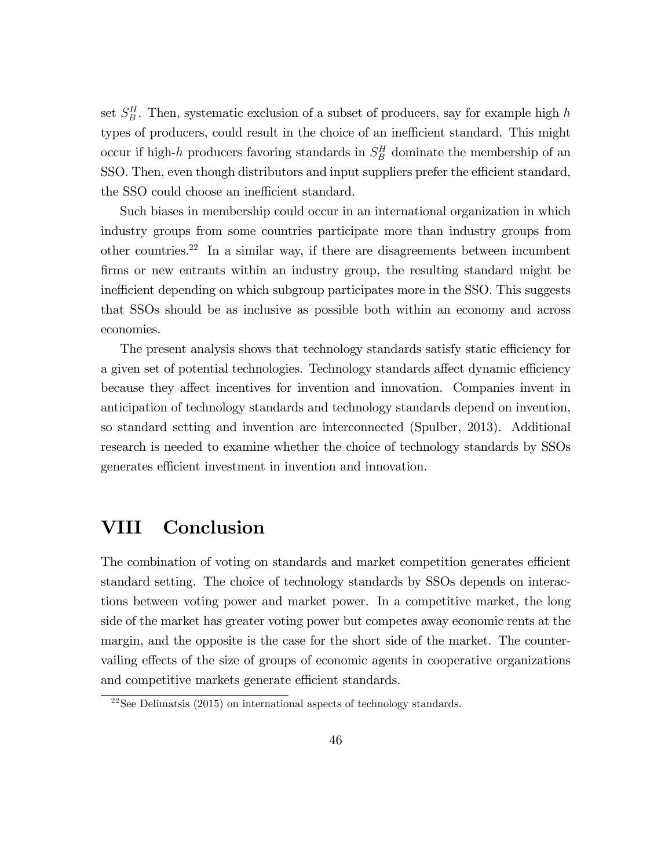set  $S_B^H$ . Then, systematic exclusion of a subset of producers, say for example high h types of producers, could result in the choice of an inefficient standard. This might occur if high-h producers favoring standards in  $S_B^H$  dominate the membership of an SSO. Then, even though distributors and input suppliers prefer the efficient standard, the SSO could choose an inefficient standard.

Such biases in membership could occur in an international organization in which industry groups from some countries participate more than industry groups from other countries.<sup>22</sup> In a similar way, if there are disagreements between incumbent firms or new entrants within an industry group, the resulting standard might be inefficient depending on which subgroup participates more in the SSO. This suggests that SSOs should be as inclusive as possible both within an economy and across economies.

The present analysis shows that technology standards satisfy static efficiency for a given set of potential technologies. Technology standards affect dynamic efficiency because they affect incentives for invention and innovation. Companies invent in anticipation of technology standards and technology standards depend on invention, so standard setting and invention are interconnected (Spulber, 2013). Additional research is needed to examine whether the choice of technology standards by SSOs generates efficient investment in invention and innovation.

### VIII Conclusion

The combination of voting on standards and market competition generates efficient standard setting. The choice of technology standards by SSOs depends on interactions between voting power and market power. In a competitive market, the long side of the market has greater voting power but competes away economic rents at the margin, and the opposite is the case for the short side of the market. The countervailing effects of the size of groups of economic agents in cooperative organizations and competitive markets generate efficient standards.

 $22$ See Delimatsis (2015) on international aspects of technology standards.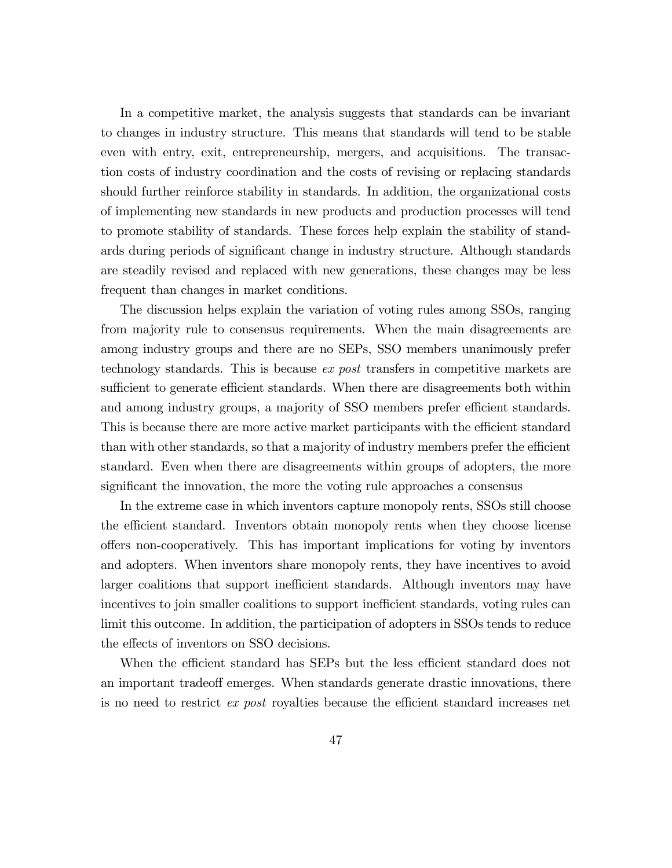In a competitive market, the analysis suggests that standards can be invariant to changes in industry structure. This means that standards will tend to be stable even with entry, exit, entrepreneurship, mergers, and acquisitions. The transaction costs of industry coordination and the costs of revising or replacing standards should further reinforce stability in standards. In addition, the organizational costs of implementing new standards in new products and production processes will tend to promote stability of standards. These forces help explain the stability of standards during periods of significant change in industry structure. Although standards are steadily revised and replaced with new generations, these changes may be less frequent than changes in market conditions.

The discussion helps explain the variation of voting rules among SSOs, ranging from majority rule to consensus requirements. When the main disagreements are among industry groups and there are no SEPs, SSO members unanimously prefer technology standards. This is because ex post transfers in competitive markets are sufficient to generate efficient standards. When there are disagreements both within and among industry groups, a majority of SSO members prefer efficient standards. This is because there are more active market participants with the efficient standard than with other standards, so that a majority of industry members prefer the efficient standard. Even when there are disagreements within groups of adopters, the more significant the innovation, the more the voting rule approaches a consensus

In the extreme case in which inventors capture monopoly rents, SSOs still choose the efficient standard. Inventors obtain monopoly rents when they choose license offers non-cooperatively. This has important implications for voting by inventors and adopters. When inventors share monopoly rents, they have incentives to avoid larger coalitions that support inefficient standards. Although inventors may have incentives to join smaller coalitions to support inefficient standards, voting rules can limit this outcome. In addition, the participation of adopters in SSOs tends to reduce the effects of inventors on SSO decisions.

When the efficient standard has SEPs but the less efficient standard does not an important tradeoff emerges. When standards generate drastic innovations, there is no need to restrict *ex post* royalties because the efficient standard increases net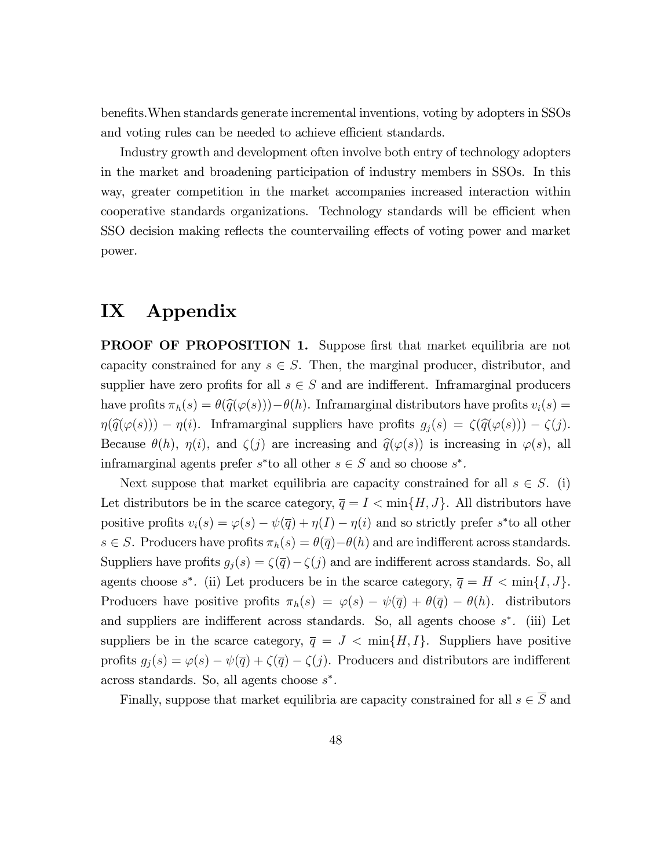benefits. When standards generate incremental inventions, voting by adopters in SSOs and voting rules can be needed to achieve efficient standards.

Industry growth and development often involve both entry of technology adopters in the market and broadening participation of industry members in SSOs. In this way, greater competition in the market accompanies increased interaction within cooperative standards organizations. Technology standards will be efficient when SSO decision making reflects the countervailing effects of voting power and market power.

## IX Appendix

**PROOF OF PROPOSITION 1.** Suppose first that market equilibria are not capacity constrained for any  $s \in S$ . Then, the marginal producer, distributor, and supplier have zero profits for all  $s \in S$  and are indifferent. Inframarginal producers have profits  $\pi_h(s) = \theta(\hat{q}(\varphi(s))) - \theta(h)$ . Inframarginal distributors have profits  $v_i(s) =$  $\eta(\widehat{q}(\varphi(s))) - \eta(i)$ . Inframarginal suppliers have profits  $g_j(s) = \zeta(\widehat{q}(\varphi(s))) - \zeta(j)$ . Because  $\theta(h)$ ,  $\eta(i)$ , and  $\zeta(j)$  are increasing and  $\hat{q}(\varphi(s))$  is increasing in  $\varphi(s)$ , all inframarginal agents prefer  $s^*$  to all other  $s \in S$  and so choose  $s^*$ .

Next suppose that market equilibria are capacity constrained for all  $s \in S$ . (i) Let distributors be in the scarce category,  $\overline{q} = I < \min\{H, J\}$ . All distributors have positive profits  $v_i(s) = \varphi(s) - \psi(\overline{q}) + \eta(I) - \eta(i)$  and so strictly prefer s\*to all other  $s \in S$ . Producers have profits  $\pi_h(s) = \theta(\overline{q}) - \theta(h)$  and are indifferent across standards. Suppliers have profits  $g_j(s) = \zeta(\overline{q}) - \zeta(j)$  and are indifferent across standards. So, all agents choose  $s^*$ . (ii) Let producers be in the scarce category,  $\overline{q} = H < \min\{I, J\}$ . Producers have positive profits  $\pi_h(s) = \varphi(s) - \psi(\overline{q}) + \theta(\overline{q}) - \theta(h)$ . distributors and suppliers are indifferent across standards. So, all agents choose  $s^*$ . (iii) Let suppliers be in the scarce category,  $\overline{q} = J < \min\{H, I\}$ . Suppliers have positive profits  $g_j(s) = \varphi(s) - \psi(\overline{q}) + \zeta(\overline{q}) - \zeta(j)$ . Producers and distributors are indifferent across standards. So, all agents choose s .

Finally, suppose that market equilibria are capacity constrained for all  $s\in \overline{S}$  and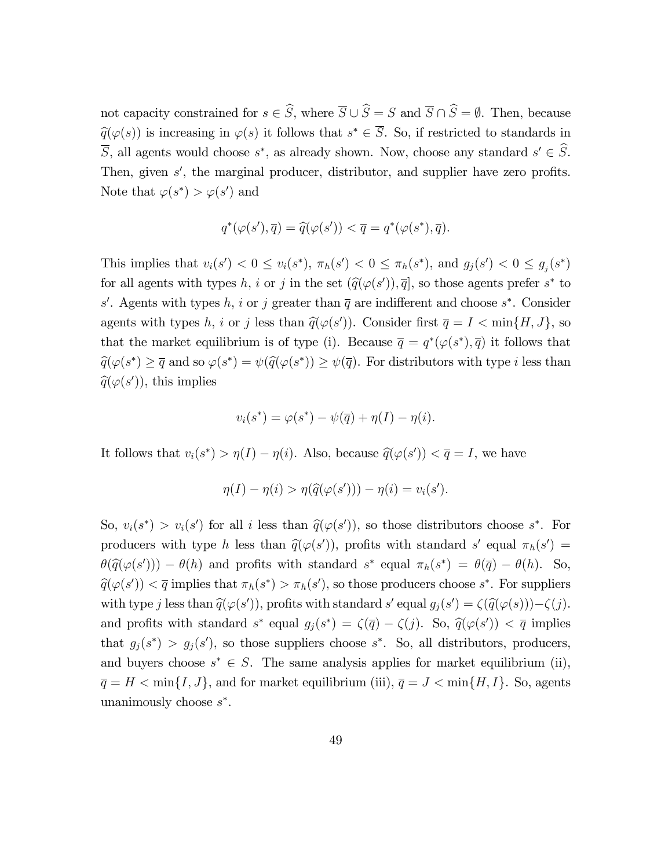not capacity constrained for  $s \in \widehat{S}$ , where  $\overline{S} \cup \widehat{S} = S$  and  $\overline{S} \cap \widehat{S} = \emptyset$ . Then, because  $\widehat{q}(\varphi(s))$  is increasing in  $\varphi(s)$  it follows that  $s^* \in S$ . So, if restricted to standards in S, all agents would choose  $s^*$ , as already shown. Now, choose any standard  $s' \in S$ . Then, given  $s'$ , the marginal producer, distributor, and supplier have zero profits. Note that  $\varphi(s^*) > \varphi(s')$  and

$$
q^*(\varphi(s'), \overline{q}) = \widehat{q}(\varphi(s')) < \overline{q} = q^*(\varphi(s^*), \overline{q}).
$$

This implies that  $v_i(s') < 0 \le v_i(s^*)$ ,  $\pi_h(s') < 0 \le \pi_h(s^*)$ , and  $g_j(s') < 0 \le g_j(s^*)$ for all agents with types h, i or j in the set  $(\hat{q}(\varphi(s')), \overline{q}]$ , so those agents prefer s<sup>\*</sup> to s'. Agents with types h, i or j greater than  $\overline{q}$  are indifferent and choose s<sup>\*</sup>. Consider agents with types h, i or j less than  $\hat{q}(\varphi(s'))$ . Consider first  $\overline{q} = I < \min\{H, J\}$ , so that the market equilibrium is of type (i). Because  $\bar{q} = q^*(\varphi(s^*), \bar{q})$  it follows that  $\widehat{q}(\varphi(s^*) \geq \overline{q} \text{ and so } \varphi(s^*) = \psi(\widehat{q}(\varphi(s^*)) \geq \psi(\overline{q}).$  For distributors with type *i* less than  $\widehat{q}(\varphi(s'))$ , this implies

$$
v_i(s^*) = \varphi(s^*) - \psi(\overline{q}) + \eta(I) - \eta(i).
$$

It follows that  $v_i(s^*) > \eta(I) - \eta(i)$ . Also, because  $\hat{q}(\varphi(s')) < \overline{q} = I$ , we have

$$
\eta(I) - \eta(i) > \eta(\widehat{q}(\varphi(s'))) - \eta(i) = v_i(s').
$$

So,  $v_i(s^*) > v_i(s')$  for all i less than  $\hat{q}(\varphi(s'))$ , so those distributors choose  $s^*$ . For producers with type h less than  $\hat{q}(\varphi(s'))$ , profits with standard s' equal  $\pi_h(s') =$  $\theta(\hat{q}(\varphi(s'))) - \theta(h)$  and profits with standard  $s^*$  equal  $\pi_h(s^*) = \theta(\overline{q}) - \theta(h)$ . So,  $\widehat{q}(\varphi(s')) < \overline{q}$  implies that  $\pi_h(s^*) > \pi_h(s')$ , so those producers choose  $s^*$ . For suppliers with type j less than  $\hat{q}(\varphi(s'))$ , profits with standard s' equal  $g_j(s') = \zeta(\hat{q}(\varphi(s))) - \zeta(j)$ . and profits with standard  $s^*$  equal  $g_j(s^*) = \zeta(\overline{q}) - \zeta(j)$ . So,  $\hat{q}(\varphi(s')) < \overline{q}$  implies that  $g_j(s^*) > g_j(s')$ , so those suppliers choose  $s^*$ . So, all distributors, producers, and buyers choose  $s^* \in S$ . The same analysis applies for market equilibrium (ii),  $\overline{q} = H < \min\{I, J\}$ , and for market equilibrium (iii),  $\overline{q} = J < \min\{H, I\}$ . So, agents unanimously choose  $s^*$ .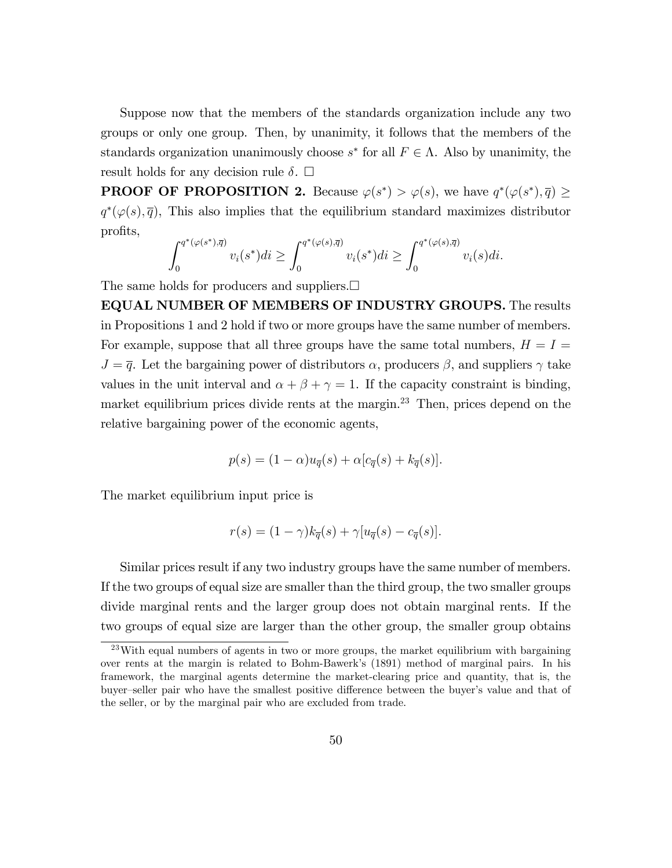Suppose now that the members of the standards organization include any two groups or only one group. Then, by unanimity, it follows that the members of the standards organization unanimously choose  $s^*$  for all  $F \in \Lambda$ . Also by unanimity, the result holds for any decision rule  $\delta$ .  $\Box$ 

**PROOF OF PROPOSITION 2.** Because  $\varphi(s^*) > \varphi(s)$ , we have  $q^*(\varphi(s^*), \overline{q}) \geq$  $q^*(\varphi(s), \overline{q})$ , This also implies that the equilibrium standard maximizes distributor profits,

$$
\int_0^{q^*(\varphi(s^*),\overline{q})} v_i(s^*)di \ge \int_0^{q^*(\varphi(s),\overline{q})} v_i(s^*)di \ge \int_0^{q^*(\varphi(s),\overline{q})} v_i(s)di.
$$

The same holds for producers and suppliers.  $\square$ 

EQUAL NUMBER OF MEMBERS OF INDUSTRY GROUPS. The results in Propositions 1 and 2 hold if two or more groups have the same number of members. For example, suppose that all three groups have the same total numbers,  $H = I =$  $J=\bar{q}$ . Let the bargaining power of distributors  $\alpha$ , producers  $\beta$ , and suppliers  $\gamma$  take values in the unit interval and  $\alpha + \beta + \gamma = 1$ . If the capacity constraint is binding, market equilibrium prices divide rents at the margin.<sup>23</sup> Then, prices depend on the relative bargaining power of the economic agents,

$$
p(s) = (1 - \alpha)u_{\overline{q}}(s) + \alpha[c_{\overline{q}}(s) + k_{\overline{q}}(s)].
$$

The market equilibrium input price is

$$
r(s) = (1 - \gamma)k_{\overline{q}}(s) + \gamma[u_{\overline{q}}(s) - c_{\overline{q}}(s)].
$$

Similar prices result if any two industry groups have the same number of members. If the two groups of equal size are smaller than the third group, the two smaller groups divide marginal rents and the larger group does not obtain marginal rents. If the two groups of equal size are larger than the other group, the smaller group obtains

 $^{23}$ With equal numbers of agents in two or more groups, the market equilibrium with bargaining over rents at the margin is related to Bohm-Bawerkís (1891) method of marginal pairs. In his framework, the marginal agents determine the market-clearing price and quantity, that is, the buyer–seller pair who have the smallest positive difference between the buyer's value and that of the seller, or by the marginal pair who are excluded from trade.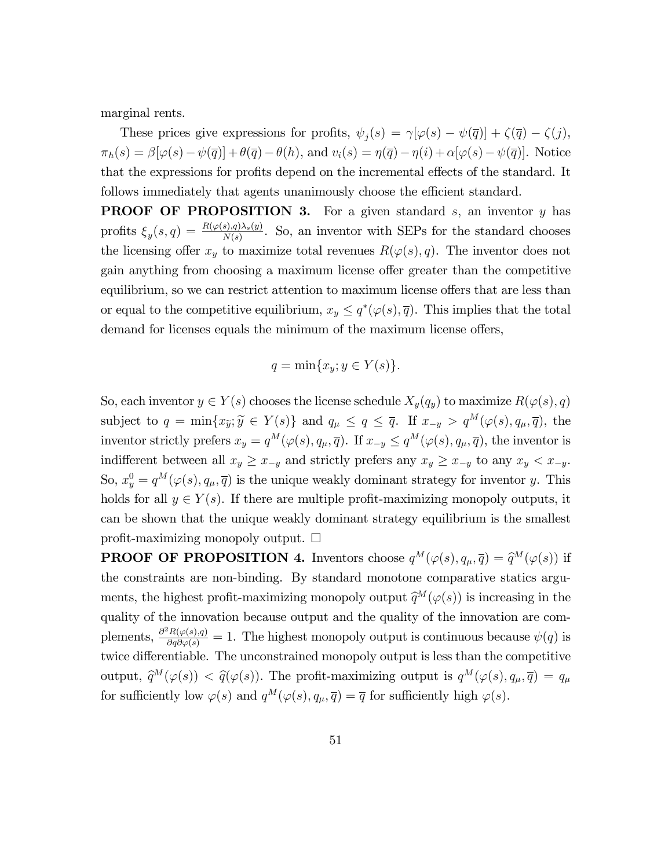marginal rents.

These prices give expressions for profits,  $\psi_j(s) = \gamma[\varphi(s) - \psi(\overline{q})] + \zeta(\overline{q}) - \zeta(j),$  $\pi_h(s) = \beta[\varphi(s) - \psi(\overline{q})] + \theta(\overline{q}) - \theta(h)$ , and  $v_i(s) = \eta(\overline{q}) - \eta(i) + \alpha[\varphi(s) - \psi(\overline{q})]$ . Notice that the expressions for profits depend on the incremental effects of the standard. It follows immediately that agents unanimously choose the efficient standard.

**PROOF OF PROPOSITION 3.** For a given standard  $s$ , an inventor  $y$  has profits  $\xi_y(s,q) = \frac{R(\varphi(s),q)\lambda_s(y)}{N(s)}$ . So, an inventor with SEPs for the standard chooses the licensing offer  $x_y$  to maximize total revenues  $R(\varphi(s), q)$ . The inventor does not gain anything from choosing a maximum license offer greater than the competitive equilibrium, so we can restrict attention to maximum license offers that are less than or equal to the competitive equilibrium,  $x_y \leq q^*(\varphi(s), \overline{q})$ . This implies that the total demand for licenses equals the minimum of the maximum license offers,

$$
q = \min\{x_y; y \in Y(s)\}.
$$

So, each inventor  $y \in Y(s)$  chooses the license schedule  $X_y(q_y)$  to maximize  $R(\varphi(s), q)$ subject to  $q = \min\{x_{\widetilde{y}}; \widetilde{y} \in Y(s)\}\$  and  $q_{\mu} \le q \le \overline{q}$ . If  $x_{-y} > q^M(\varphi(s), q_{\mu}, \overline{q})$ , the inventor strictly prefers  $x_y = q^M(\varphi(s), q_\mu, \overline{q})$ . If  $x_{-y} \le q^M(\varphi(s), q_\mu, \overline{q})$ , the inventor is indifferent between all  $x_y \ge x_{-y}$  and strictly prefers any  $x_y \ge x_{-y}$  to any  $x_y < x_{-y}$ . So,  $x_y^0 = q^M(\varphi(s), q_\mu, \overline{q})$  is the unique weakly dominant strategy for inventor y. This holds for all  $y \in Y(s)$ . If there are multiple profit-maximizing monopoly outputs, it can be shown that the unique weakly dominant strategy equilibrium is the smallest profit-maximizing monopoly output.  $\square$ 

**PROOF OF PROPOSITION 4.** Inventors choose  $q^M(\varphi(s), q_\mu, \overline{q}) = \widehat{q}^M(\varphi(s))$  if the constraints are non-binding. By standard monotone comparative statics arguments, the highest profit-maximizing monopoly output  $\hat{q}^M(\varphi(s))$  is increasing in the quality of the innovation because output and the quality of the innovation are complements,  $\frac{\partial^2 R(\varphi(s), q)}{\partial q \partial \varphi(s)} = 1$ . The highest monopoly output is continuous because  $\psi(q)$  is twice differentiable. The unconstrained monopoly output is less than the competitive output,  $\widehat{q}^M(\varphi(s)) < \widehat{q}(\varphi(s))$ . The profit-maximizing output is  $q^M(\varphi(s), q_\mu, \overline{q}) = q_\mu$ for sufficiently low  $\varphi(s)$  and  $q^M(\varphi(s), q_\mu, \overline{q}) = \overline{q}$  for sufficiently high  $\varphi(s)$ .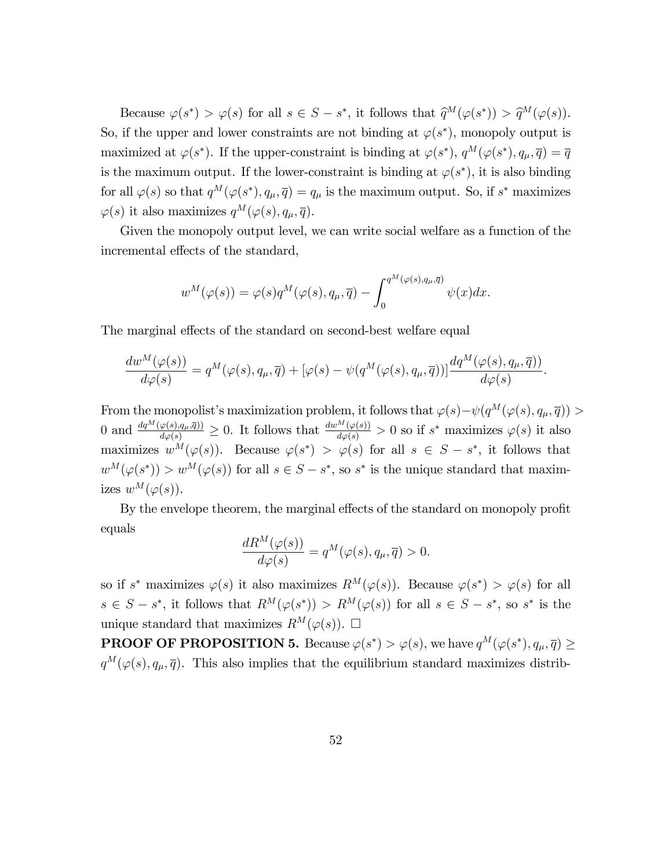Because  $\varphi(s^*) > \varphi(s)$  for all  $s \in S - s^*$ , it follows that  $\widehat{q}^M(\varphi(s^*)) > \widehat{q}^M(\varphi(s))$ . So, if the upper and lower constraints are not binding at  $\varphi(s^*)$ , monopoly output is maximized at  $\varphi(s^*)$ . If the upper-constraint is binding at  $\varphi(s^*)$ ,  $q^M(\varphi(s^*), q_\mu, \overline{q}) = \overline{q}$ is the maximum output. If the lower-constraint is binding at  $\varphi(s^*)$ , it is also binding for all  $\varphi(s)$  so that  $q^M(\varphi(s^*), q_\mu, \overline{q}) = q_\mu$  is the maximum output. So, if  $s^*$  maximizes  $\varphi(s)$  it also maximizes  $q^M(\varphi(s), q_\mu, \overline{q}).$ 

Given the monopoly output level, we can write social welfare as a function of the incremental effects of the standard,

$$
w^M(\varphi(s)) = \varphi(s)q^M(\varphi(s), q_\mu, \overline{q}) - \int_0^{q^M(\varphi(s), q_\mu, \overline{q})} \psi(x) dx.
$$

The marginal effects of the standard on second-best welfare equal

$$
\frac{dw^M(\varphi(s))}{d\varphi(s)} = q^M(\varphi(s), q_\mu, \overline{q}) + [\varphi(s) - \psi(q^M(\varphi(s), q_\mu, \overline{q}))] \frac{dq^M(\varphi(s), q_\mu, \overline{q}))}{d\varphi(s)}
$$

:

From the monopolist's maximization problem, it follows that  $\varphi(s) - \psi(q^M(\varphi(s), q_\mu, \overline{q})) >$ 0 and  $\frac{dq^M(\varphi(s),q_\mu,\overline{q})}{d\varphi(s)} \geq 0$ . It follows that  $\frac{dw^M(\varphi(s))}{d\varphi(s)} > 0$  so if  $s^*$  maximizes  $\varphi(s)$  it also maximizes  $w^M(\varphi(s))$ . Because  $\varphi(s^*) > \varphi(s)$  for all  $s \in S - s^*$ , it follows that  $w^M(\varphi(s^*))$  >  $w^M(\varphi(s))$  for all  $s \in S - s^*$ , so  $s^*$  is the unique standard that maximizes  $w^M(\varphi(s))$ .

By the envelope theorem, the marginal effects of the standard on monopoly profit equals

$$
\frac{dR^M(\varphi(s))}{d\varphi(s)} = q^M(\varphi(s), q_\mu, \overline{q}) > 0.
$$

so if s<sup>\*</sup> maximizes  $\varphi(s)$  it also maximizes  $R^M(\varphi(s))$ . Because  $\varphi(s^*) > \varphi(s)$  for all  $s \in S - s^*$ , it follows that  $R^M(\varphi(s^*)) > R^M(\varphi(s))$  for all  $s \in S - s^*$ , so  $s^*$  is the unique standard that maximizes  $R^M(\varphi(s))$ .  $\Box$ 

**PROOF OF PROPOSITION 5.** Because  $\varphi(s^*) > \varphi(s)$ , we have  $q^M(\varphi(s^*), q_\mu, \overline{q}) \ge$  $q^M(\varphi(s), q_\mu, \overline{q})$ . This also implies that the equilibrium standard maximizes distrib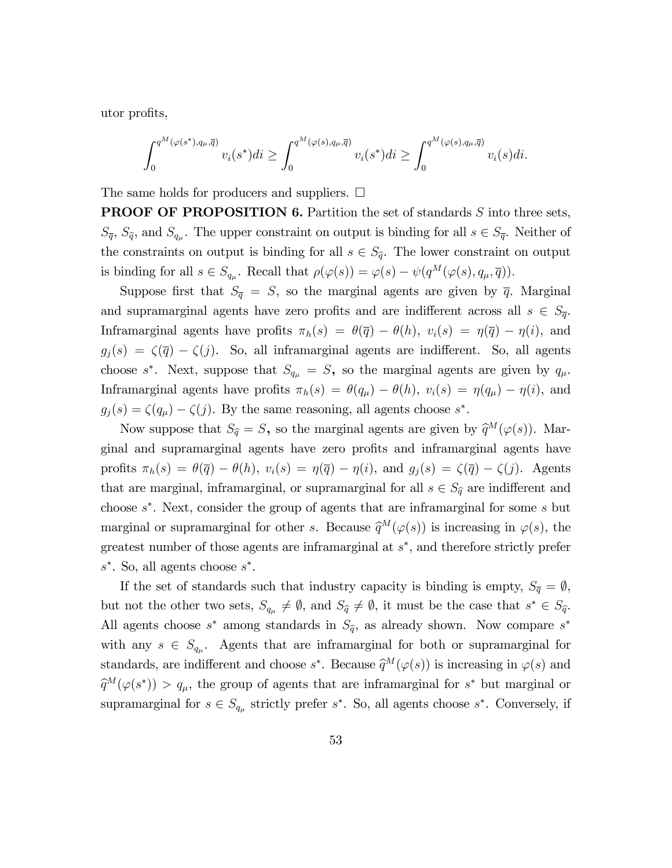utor profits,

$$
\int_0^{q^M(\varphi(s^*), q_\mu, \overline{q})} v_i(s^*) dt \ge \int_0^{q^M(\varphi(s), q_\mu, \overline{q})} v_i(s^*) dt \ge \int_0^{q^M(\varphi(s), q_\mu, \overline{q})} v_i(s) dt.
$$

The same holds for producers and suppliers.  $\square$ 

**PROOF OF PROPOSITION 6.** Partition the set of standards  $S$  into three sets,  $S_{\overline{q}}$ ,  $S_{\widehat{q}}$ , and  $S_{q\mu}$ . The upper constraint on output is binding for all  $s \in S_{\overline{q}}$ . Neither of the constraints on output is binding for all  $s \in S_{\hat{q}}$ . The lower constraint on output is binding for all  $s \in S_{q_\mu}$ . Recall that  $\rho(\varphi(s)) = \varphi(s) - \psi(q^M(\varphi(s), q_\mu, \overline{q})).$ 

Suppose first that  $S_{\overline{q}} = S$ , so the marginal agents are given by  $\overline{q}$ . Marginal and supramarginal agents have zero profits and are indifferent across all  $s \in S_{\overline{q}}$ . Inframarginal agents have profits  $\pi_h(s) = \theta(\bar{q}) - \theta(h)$ ,  $v_i(s) = \eta(\bar{q}) - \eta(i)$ , and  $g_j(s) = \zeta(\bar{q}) - \zeta(j)$ . So, all inframarginal agents are indifferent. So, all agents choose  $s^*$ . Next, suppose that  $S_{q_{\mu}} = S$ , so the marginal agents are given by  $q_{\mu}$ . Inframarginal agents have profits  $\pi_h(s) = \theta(q_\mu) - \theta(h)$ ,  $v_i(s) = \eta(q_\mu) - \eta(i)$ , and  $g_j(s) = \zeta(q_\mu) - \zeta(j)$ . By the same reasoning, all agents choose  $s^*$ .

Now suppose that  $S_{\hat{q}} = S$ , so the marginal agents are given by  $\hat{q}^M(\varphi(s))$ . Marginal and supramarginal agents have zero profits and inframarginal agents have profits  $\pi_h(s) = \theta(\overline{q}) - \theta(h), v_i(s) = \eta(\overline{q}) - \eta(i),$  and  $g_j(s) = \zeta(\overline{q}) - \zeta(j)$ . Agents that are marginal, inframarginal, or supramarginal for all  $s \in S_{\hat{q}}$  are indifferent and choose s . Next, consider the group of agents that are inframarginal for some s but marginal or supramarginal for other s. Because  $\hat{q}^M(\varphi(s))$  is increasing in  $\varphi(s)$ , the greatest number of those agents are inframarginal at  $s^*$ , and therefore strictly prefer  $s^*$ . So, all agents choose  $s^*$ .

If the set of standards such that industry capacity is binding is empty,  $S_{\overline{q}} = \emptyset$ , but not the other two sets,  $S_{q_{\mu}} \neq \emptyset$ , and  $S_{\widehat{q}} \neq \emptyset$ , it must be the case that  $s^* \in S_{\widehat{q}}$ . All agents choose  $s^*$  among standards in  $S_{\hat{q}}$ , as already shown. Now compare  $s^*$ with any  $s \in S_{q_{\mu}}$ . Agents that are inframarginal for both or supramarginal for standards, are indifferent and choose  $s^*$ . Because  $\widehat{q}^M(\varphi(s))$  is increasing in  $\varphi(s)$  and  $\widehat{q}^M(\varphi(s^*)) > q_\mu$ , the group of agents that are inframarginal for  $s^*$  but marginal or supramarginal for  $s \in S_{q_{\mu}}$  strictly prefer  $s^*$ . So, all agents choose  $s^*$ . Conversely, if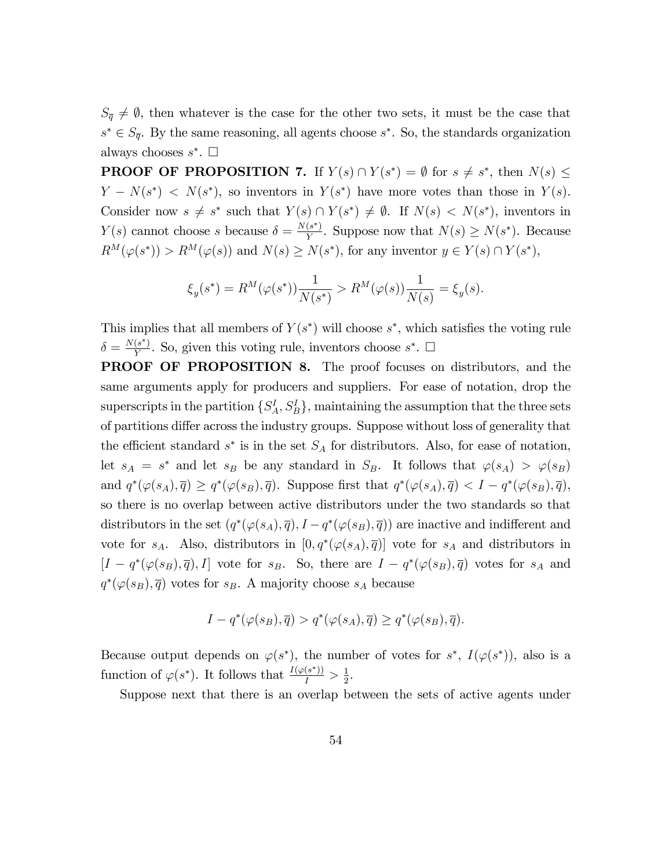$S_{\overline{q}} \neq \emptyset$ , then whatever is the case for the other two sets, it must be the case that  $s^* \in S_{\overline{q}}$ . By the same reasoning, all agents choose  $s^*$ . So, the standards organization always chooses  $s^*$ .  $\Box$ 

**PROOF OF PROPOSITION 7.** If  $Y(s) \cap Y(s^*) = \emptyset$  for  $s \neq s^*$ , then  $N(s) \leq$  $Y - N(s^*)$  <  $N(s^*)$ , so inventors in  $Y(s^*)$  have more votes than those in  $Y(s)$ . Consider now  $s \neq s^*$  such that  $Y(s) \cap Y(s^*) \neq \emptyset$ . If  $N(s) < N(s^*)$ , inventors in  $Y(s)$  cannot choose s because  $\delta = \frac{N(s^*)}{Y}$  $\frac{(s)}{Y}$ . Suppose now that  $N(s) \geq N(s^*)$ . Because  $R^M(\varphi(s^*)) > R^M(\varphi(s))$  and  $N(s) \ge N(s^*)$ , for any inventor  $y \in Y(s) \cap Y(s^*)$ ,

$$
\xi_y(s^*) = R^M(\varphi(s^*)) \frac{1}{N(s^*)} > R^M(\varphi(s)) \frac{1}{N(s)} = \xi_y(s).
$$

This implies that all members of  $Y(s^*)$  will choose  $s^*$ , which satisfies the voting rule  $\delta = \frac{N(s^*)}{V}$  $\frac{(s)}{Y}$ . So, given this voting rule, inventors choose  $s^*$ .  $\square$ 

PROOF OF PROPOSITION 8. The proof focuses on distributors, and the same arguments apply for producers and suppliers. For ease of notation, drop the superscripts in the partition  $\{S_A^I, S_B^I\}$ , maintaining the assumption that the three sets of partitions differ across the industry groups. Suppose without loss of generality that the efficient standard  $s^*$  is in the set  $S_A$  for distributors. Also, for ease of notation, let  $s_A = s^*$  and let  $s_B$  be any standard in  $S_B$ . It follows that  $\varphi(s_A) > \varphi(s_B)$ and  $q^*(\varphi(s_A), \overline{q}) \ge q^*(\varphi(s_B), \overline{q})$ . Suppose first that  $q^*(\varphi(s_A), \overline{q}) < I - q^*(\varphi(s_B), \overline{q})$ , so there is no overlap between active distributors under the two standards so that distributors in the set  $(q^*(\varphi(s_A), \overline{q}), I - q^*(\varphi(s_B), \overline{q}))$  are inactive and indifferent and vote for  $s_A$ . Also, distributors in  $[0, q^*(\varphi(s_A), \overline{q})]$  vote for  $s_A$  and distributors in  $[I - q^*(\varphi(s_B), \overline{q}), I]$  vote for  $s_B$ . So, there are  $I - q^*(\varphi(s_B), \overline{q})$  votes for  $s_A$  and  $q^*(\varphi(s_B), \overline{q})$  votes for  $s_B$ . A majority choose  $s_A$  because

$$
I - q^*(\varphi(s_B), \overline{q}) > q^*(\varphi(s_A), \overline{q}) \ge q^*(\varphi(s_B), \overline{q}).
$$

Because output depends on  $\varphi(s^*)$ , the number of votes for  $s^*$ ,  $I(\varphi(s^*))$ , also is a function of  $\varphi(s^*)$ . It follows that  $\frac{I(\varphi(s^*))}{I} > \frac{1}{2}$  $\frac{1}{2}$ .

Suppose next that there is an overlap between the sets of active agents under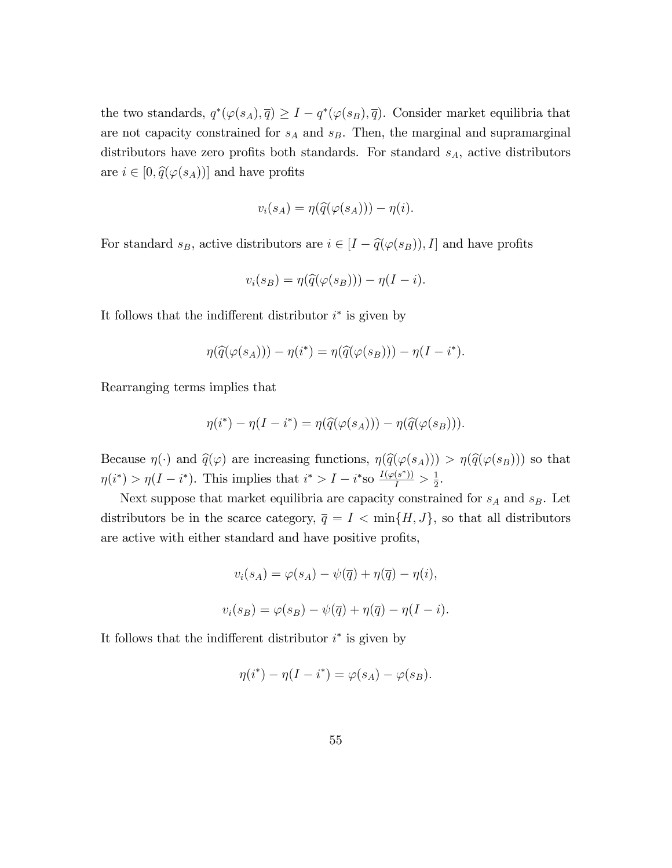the two standards,  $q^*(\varphi(s_A), \overline{q}) \geq I - q^*(\varphi(s_B), \overline{q})$ . Consider market equilibria that are not capacity constrained for  $s_A$  and  $s_B$ . Then, the marginal and supramarginal distributors have zero profits both standards. For standard  $s_A$ , active distributors are  $i \in [0, \hat{q}(\varphi(s_A))]$  and have profits

$$
v_i(s_A) = \eta(\widehat{q}(\varphi(s_A))) - \eta(i).
$$

For standard  $s_B$ , active distributors are  $i \in [I - \hat{q}(\varphi(s_B)), I]$  and have profits

$$
v_i(s_B) = \eta(\widehat{q}(\varphi(s_B))) - \eta(I - i).
$$

It follows that the indifferent distributor  $i^*$  is given by

$$
\eta(\widehat{q}(\varphi(s_A))) - \eta(i^*) = \eta(\widehat{q}(\varphi(s_B))) - \eta(I - i^*).
$$

Rearranging terms implies that

$$
\eta(i^*) - \eta(I - i^*) = \eta(\widehat{q}(\varphi(s_A))) - \eta(\widehat{q}(\varphi(s_B))).
$$

Because  $\eta(\cdot)$  and  $\hat{q}(\varphi)$  are increasing functions,  $\eta(\hat{q}(\varphi(s_A))) > \eta(\hat{q}(\varphi(s_B)))$  so that  $\eta(i^*) > \eta(I - i^*)$ . This implies that  $i^* > I - i^*$ so  $\frac{I(\varphi(s^*))}{I} > \frac{1}{2}$  $\frac{1}{2}$ .

Next suppose that market equilibria are capacity constrained for  $s_A$  and  $s_B$ . Let distributors be in the scarce category,  $\overline{q} = I < \min\{H, J\}$ , so that all distributors are active with either standard and have positive profits,

$$
v_i(s_A) = \varphi(s_A) - \psi(\overline{q}) + \eta(\overline{q}) - \eta(i),
$$
  

$$
v_i(s_B) = \varphi(s_B) - \psi(\overline{q}) + \eta(\overline{q}) - \eta(I - i).
$$

It follows that the indifferent distributor  $i^*$  is given by

$$
\eta(i^*) - \eta(I - i^*) = \varphi(s_A) - \varphi(s_B).
$$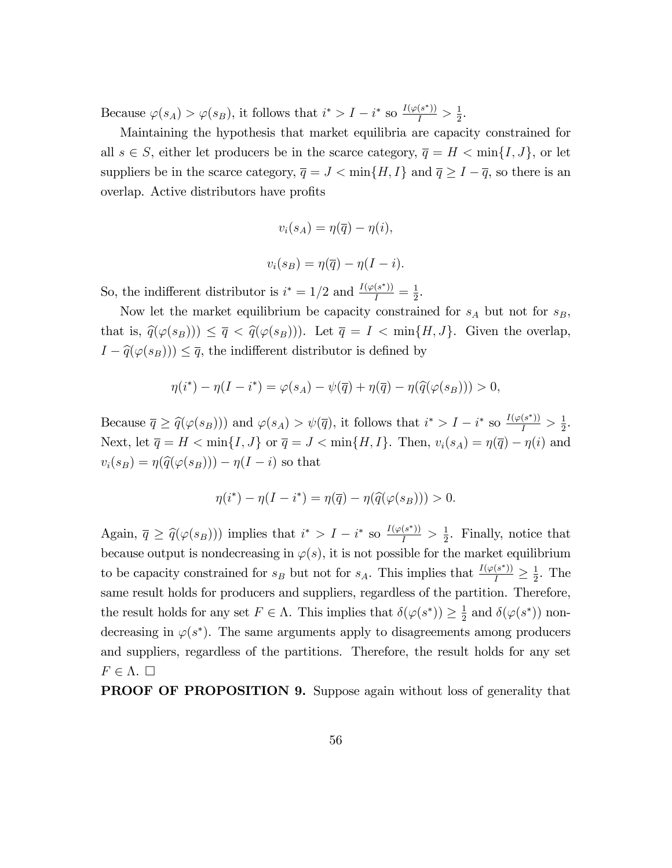Because  $\varphi(s_A) > \varphi(s_B)$ , it follows that  $i^* > I - i^*$  so  $\frac{I(\varphi(s^*))}{I} > \frac{1}{2}$  $\frac{1}{2}$ .

Maintaining the hypothesis that market equilibria are capacity constrained for all  $s \in S$ , either let producers be in the scarce category,  $\overline{q} = H < \min\{I, J\}$ , or let suppliers be in the scarce category,  $\overline{q} = J < \min\{H, I\}$  and  $\overline{q} \geq I - \overline{q}$ , so there is an overlap. Active distributors have profits

$$
v_i(s_A) = \eta(\overline{q}) - \eta(i),
$$
  

$$
v_i(s_B) = \eta(\overline{q}) - \eta(I - i).
$$

So, the indifferent distributor is  $i^* = 1/2$  and  $\frac{I(\varphi(s^*))}{I} = \frac{1}{2}$  $\frac{1}{2}$ .

Now let the market equilibrium be capacity constrained for  $s_A$  but not for  $s_B$ , that is,  $\hat{q}(\varphi(s_B)) \leq \overline{q} < \hat{q}(\varphi(s_B))$ . Let  $\overline{q} = I < \min\{H, J\}$ . Given the overlap,  $I - \hat{q}(\varphi(s_B))) \leq \overline{q}$ , the indifferent distributor is defined by

$$
\eta(i^*) - \eta(I - i^*) = \varphi(s_A) - \psi(\overline{q}) + \eta(\overline{q}) - \eta(\widehat{q}(\varphi(s_B))) > 0,
$$

Because  $\overline{q} \geq \widehat{q}(\varphi(s_B)))$  and  $\varphi(s_A) > \psi(\overline{q})$ , it follows that  $i^* > I - i^*$  so  $\frac{I(\varphi(s^*))}{I} > \frac{1}{2}$  $\frac{1}{2}$ . Next, let  $\overline{q} = H < \min\{I, J\}$  or  $\overline{q} = J < \min\{H, I\}$ . Then,  $v_i(s_A) = \eta(\overline{q}) - \eta(i)$  and  $v_i(s_B) = \eta(\widehat{q}(\varphi(s_B))) - \eta(I - i)$  so that

$$
\eta(i^*) - \eta(I - i^*) = \eta(\overline{q}) - \eta(\widehat{q}(\varphi(s_B))) > 0.
$$

Again,  $\bar{q} \geq \hat{q}(\varphi(s_B)))$  implies that  $i^* > I - i^*$  so  $\frac{I(\varphi(s^*))}{I} > \frac{1}{2}$  $\frac{1}{2}$ . Finally, notice that because output is nondecreasing in  $\varphi(s)$ , it is not possible for the market equilibrium to be capacity constrained for  $s_B$  but not for  $s_A$ . This implies that  $\frac{I(\varphi(s^*))}{I} \geq \frac{1}{2}$  $\frac{1}{2}$ . The same result holds for producers and suppliers, regardless of the partition. Therefore, the result holds for any set  $F \in \Lambda$ . This implies that  $\delta(\varphi(s^*)) \geq \frac{1}{2}$  $\frac{1}{2}$  and  $\delta(\varphi(s^*))$  nondecreasing in  $\varphi(s^*)$ . The same arguments apply to disagreements among producers and suppliers, regardless of the partitions. Therefore, the result holds for any set  $F \in \Lambda$ .  $\square$ 

**PROOF OF PROPOSITION 9.** Suppose again without loss of generality that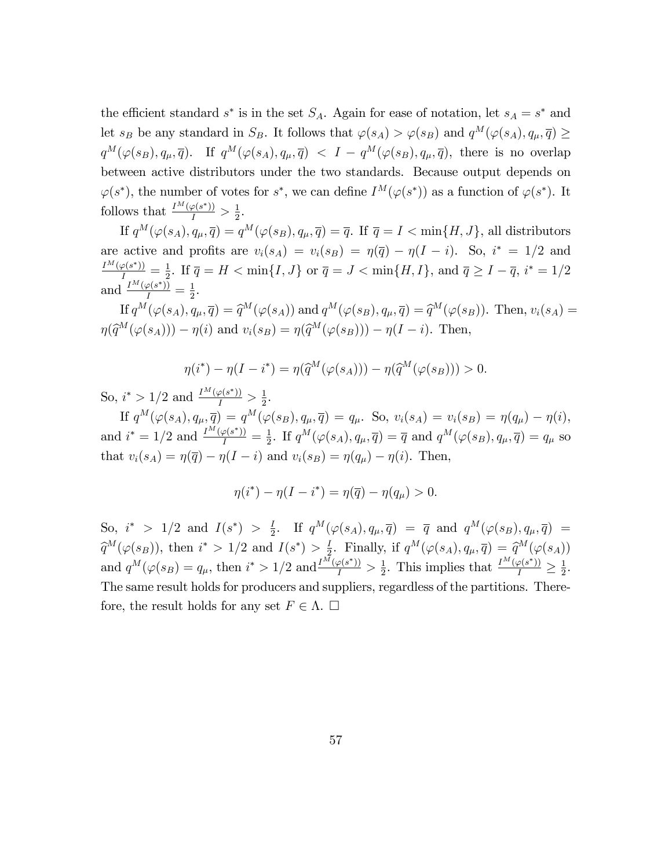the efficient standard  $s^*$  is in the set  $S_A$ . Again for ease of notation, let  $s_A = s^*$  and let  $s_B$  be any standard in  $S_B$ . It follows that  $\varphi(s_A) > \varphi(s_B)$  and  $q^M(\varphi(s_A), q_\mu, \overline{q}) \ge$  $q^M(\varphi(s_B), q_\mu, \overline{q})$ . If  $q^M(\varphi(s_A), q_\mu, \overline{q}) < I - q^M(\varphi(s_B), q_\mu, \overline{q})$ , there is no overlap between active distributors under the two standards. Because output depends on  $\varphi(s^*)$ , the number of votes for  $s^*$ , we can define  $I^M(\varphi(s^*))$  as a function of  $\varphi(s^*)$ . It follows that  $\frac{I^M(\varphi(s^*))}{I} > \frac{1}{2}$  $\frac{1}{2}$ .

If  $q^M(\varphi(s_A), q_\mu, \overline{q}) = q^M(\varphi(s_B), q_\mu, \overline{q}) = \overline{q}$ . If  $\overline{q} = I < \min\{H, J\}$ , all distributors are active and profits are  $v_i(s_A) = v_i(s_B) = \eta(\overline{q}) - \eta(I - i)$ . So,  $i^* = 1/2$  and  $\frac{I^M(\varphi(s^*))}{I}=\frac{1}{2}$  $\frac{1}{2}$ . If  $\overline{q} = H < \min\{I, J\}$  or  $\overline{q} = J < \min\{H, I\}$ , and  $\overline{q} \ge I - \overline{q}$ ,  $i^* = 1/2$ and  $\frac{I^M(\varphi(s^*))}{I} = \frac{1}{2}$  $\frac{1}{2}$ .

If  $q^M(\varphi(s_A), q_\mu, \overline{q}) = \widehat{q}^M(\varphi(s_A))$  and  $q^M(\varphi(s_B), q_\mu, \overline{q}) = \widehat{q}^M(\varphi(s_B))$ . Then,  $v_i(s_A) =$  $\eta(\widehat{q}^M(\varphi(s_A))) - \eta(i)$  and  $v_i(s_B) = \eta(\widehat{q}^M(\varphi(s_B))) - \eta(I - i)$ . Then,

$$
\eta(i^*) - \eta(I - i^*) = \eta(\widehat{q}^M(\varphi(s_A))) - \eta(\widehat{q}^M(\varphi(s_B))) > 0.
$$

So,  $i^* > 1/2$  and  $\frac{I^M(\varphi(s^*))}{I} > \frac{1}{2}$  $rac{1}{2}$ .

If  $q^M(\varphi(s_A), q_\mu, \overline{q}) = q^M(\varphi(s_B), q_\mu, \overline{q}) = q_\mu$ . So,  $v_i(s_A) = v_i(s_B) = \eta(q_\mu) - \eta(i)$ , and  $i^* = 1/2$  and  $\frac{I^M(\varphi(s^*))}{I} = \frac{1}{2}$  $\frac{1}{2}$ . If  $q^M(\varphi(s_A), q_\mu, \overline{q}) = \overline{q}$  and  $q^M(\varphi(s_B), q_\mu, \overline{q}) = q_\mu$  so that  $v_i(s_A) = \eta(\overline{q}) - \eta(I - i)$  and  $v_i(s_B) = \eta(q_u) - \eta(i)$ . Then,

$$
\eta(i^*) - \eta(I - i^*) = \eta(\overline{q}) - \eta(q_\mu) > 0.
$$

So,  $i^* > 1/2$  and  $I(s^*) > \frac{I}{2}$  $\frac{1}{2}$ . If  $q^M(\varphi(s_A), q_\mu, \overline{q}) = \overline{q}$  and  $q^M(\varphi(s_B), q_\mu, \overline{q}) =$  $\widehat{q}^M(\varphi(s_B)),$  then  $i^* > 1/2$  and  $I(s^*) > \frac{1}{2}$  $\frac{1}{2}$ . Finally, if  $q^M(\varphi(s_A), q_\mu, \overline{q}) = \widehat{q}^M(\varphi(s_A))$ and  $q^M(\varphi(s_B) = q_\mu$ , then  $i^* > 1/2$  and  $\frac{I^M(\varphi(s^*))}{I} > \frac{1}{2}$  $\frac{1}{2}$ . This implies that  $\frac{I^M(\varphi(s^*))}{I} \geq \frac{1}{2}$  $\frac{1}{2}$ . The same result holds for producers and suppliers, regardless of the partitions. Therefore, the result holds for any set  $F \in \Lambda$ .  $\Box$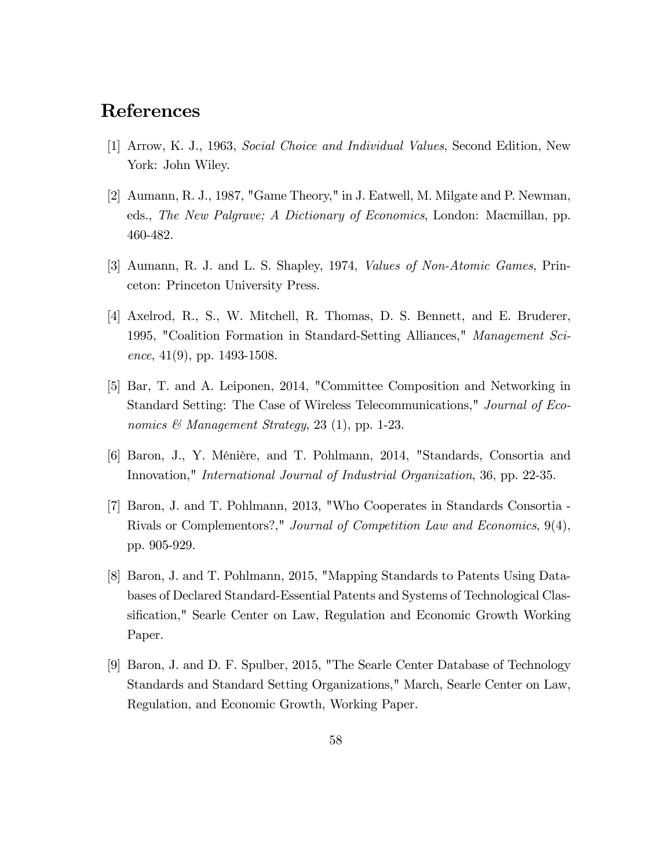### References

- [1] Arrow, K. J., 1963, Social Choice and Individual Values, Second Edition, New York: John Wiley.
- [2] Aumann, R. J., 1987, "Game Theory," in J. Eatwell, M. Milgate and P. Newman, eds., The New Palgrave; A Dictionary of Economics, London: Macmillan, pp. 460-482.
- [3] Aumann, R. J. and L. S. Shapley, 1974, Values of Non-Atomic Games, Princeton: Princeton University Press.
- [4] Axelrod, R., S., W. Mitchell, R. Thomas, D. S. Bennett, and E. Bruderer, 1995, "Coalition Formation in Standard-Setting Alliances," Management Science,  $41(9)$ , pp. 1493-1508.
- [5] Bar, T. and A. Leiponen, 2014, "Committee Composition and Networking in Standard Setting: The Case of Wireless Telecommunications," Journal of Economics & Management Strategy, 23 (1), pp. 1-23.
- [6] Baron, J., Y. MÈniËre, and T. Pohlmann, 2014, "Standards, Consortia and Innovation," International Journal of Industrial Organization, 36, pp. 22-35.
- [7] Baron, J. and T. Pohlmann, 2013, "Who Cooperates in Standards Consortia Rivals or Complementors?," Journal of Competition Law and Economics, 9(4), pp. 905-929.
- [8] Baron, J. and T. Pohlmann, 2015, "Mapping Standards to Patents Using Databases of Declared Standard-Essential Patents and Systems of Technological Classification," Searle Center on Law, Regulation and Economic Growth Working Paper.
- [9] Baron, J. and D. F. Spulber, 2015, "The Searle Center Database of Technology Standards and Standard Setting Organizations," March, Searle Center on Law, Regulation, and Economic Growth, Working Paper.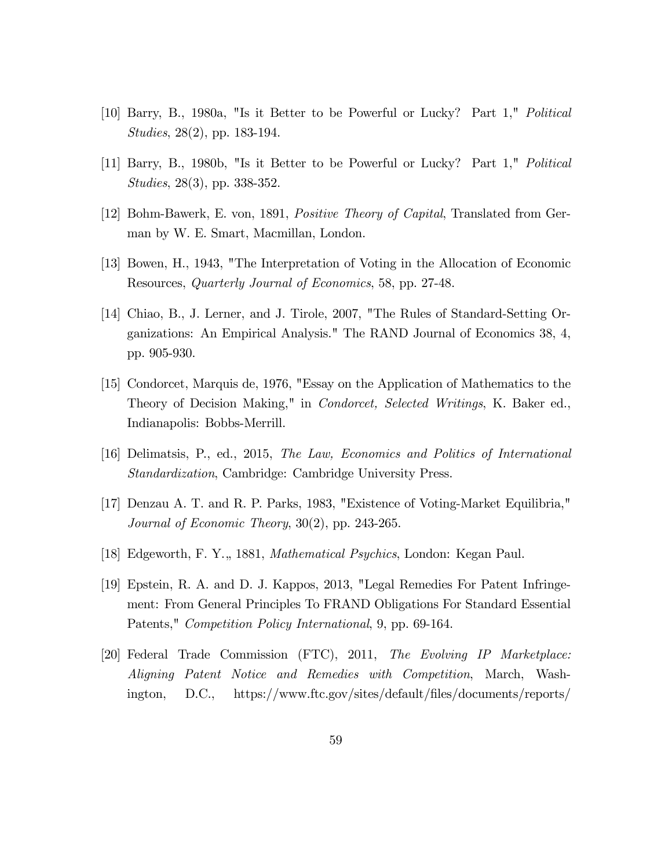- [10] Barry, B., 1980a, "Is it Better to be Powerful or Lucky? Part 1," Political Studies, 28(2), pp. 183-194.
- [11] Barry, B., 1980b, "Is it Better to be Powerful or Lucky? Part 1," Political Studies, 28(3), pp. 338-352.
- [12] Bohm-Bawerk, E. von, 1891, Positive Theory of Capital, Translated from German by W. E. Smart, Macmillan, London.
- [13] Bowen, H., 1943, "The Interpretation of Voting in the Allocation of Economic Resources, Quarterly Journal of Economics, 58, pp. 27-48.
- [14] Chiao, B., J. Lerner, and J. Tirole, 2007, "The Rules of Standard-Setting Organizations: An Empirical Analysis." The RAND Journal of Economics 38, 4, pp. 905-930.
- [15] Condorcet, Marquis de, 1976, "Essay on the Application of Mathematics to the Theory of Decision Making," in Condorcet, Selected Writings, K. Baker ed., Indianapolis: Bobbs-Merrill.
- [16] Delimatsis, P., ed., 2015, The Law, Economics and Politics of International Standardization, Cambridge: Cambridge University Press.
- [17] Denzau A. T. and R. P. Parks, 1983, "Existence of Voting-Market Equilibria," Journal of Economic Theory, 30(2), pp. 243-265.
- [18] Edgeworth, F. Y.,, 1881, Mathematical Psychics, London: Kegan Paul.
- [19] Epstein, R. A. and D. J. Kappos, 2013, "Legal Remedies For Patent Infringement: From General Principles To FRAND Obligations For Standard Essential Patents," Competition Policy International, 9, pp. 69-164.
- [20] Federal Trade Commission (FTC), 2011, The Evolving IP Marketplace: Aligning Patent Notice and Remedies with Competition, March, Washington, D.C., https://www.ftc.gov/sites/default/Öles/documents/reports/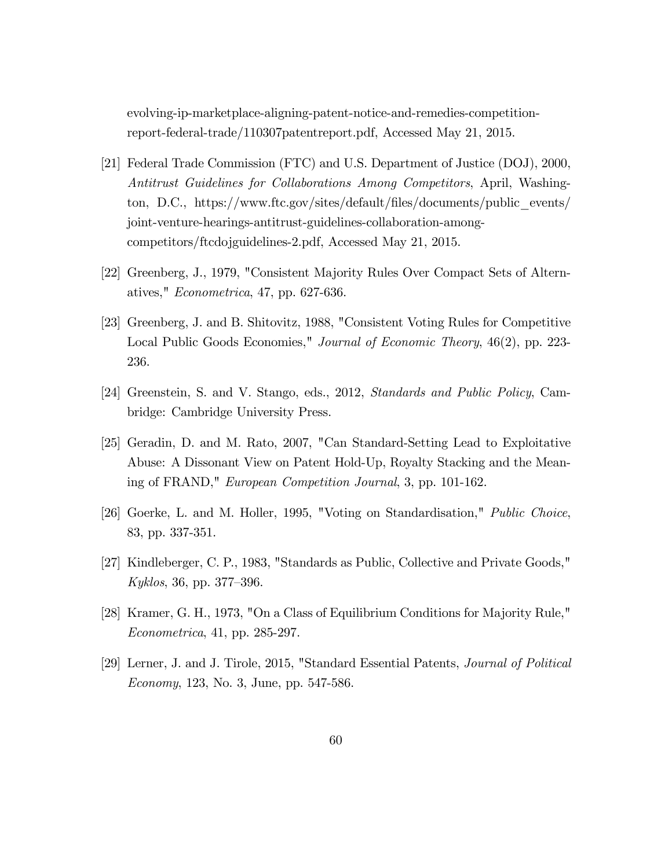evolving-ip-marketplace-aligning-patent-notice-and-remedies-competitionreport-federal-trade/110307patentreport.pdf, Accessed May 21, 2015.

- [21] Federal Trade Commission (FTC) and U.S. Department of Justice (DOJ), 2000, Antitrust Guidelines for Collaborations Among Competitors, April, Washington, D.C., https://www.ftc.gov/sites/default/Öles/documents/public\_events/ joint-venture-hearings-antitrust-guidelines-collaboration-amongcompetitors/ftcdojguidelines-2.pdf, Accessed May 21, 2015.
- [22] Greenberg, J., 1979, "Consistent Majority Rules Over Compact Sets of Alternatives," Econometrica, 47, pp. 627-636.
- [23] Greenberg, J. and B. Shitovitz, 1988, "Consistent Voting Rules for Competitive Local Public Goods Economies," Journal of Economic Theory, 46(2), pp. 223-236.
- [24] Greenstein, S. and V. Stango, eds., 2012, Standards and Public Policy, Cambridge: Cambridge University Press.
- [25] Geradin, D. and M. Rato, 2007, "Can Standard-Setting Lead to Exploitative Abuse: A Dissonant View on Patent Hold-Up, Royalty Stacking and the Meaning of FRAND," European Competition Journal, 3, pp. 101-162.
- [26] Goerke, L. and M. Holler, 1995, "Voting on Standardisation," Public Choice, 83, pp. 337-351.
- [27] Kindleberger, C. P., 1983, "Standards as Public, Collective and Private Goods," Kyklos, 36, pp. 377–396.
- [28] Kramer, G. H., 1973, "On a Class of Equilibrium Conditions for Majority Rule," Econometrica, 41, pp. 285-297.
- [29] Lerner, J. and J. Tirole, 2015, "Standard Essential Patents, Journal of Political Economy, 123, No. 3, June, pp. 547-586.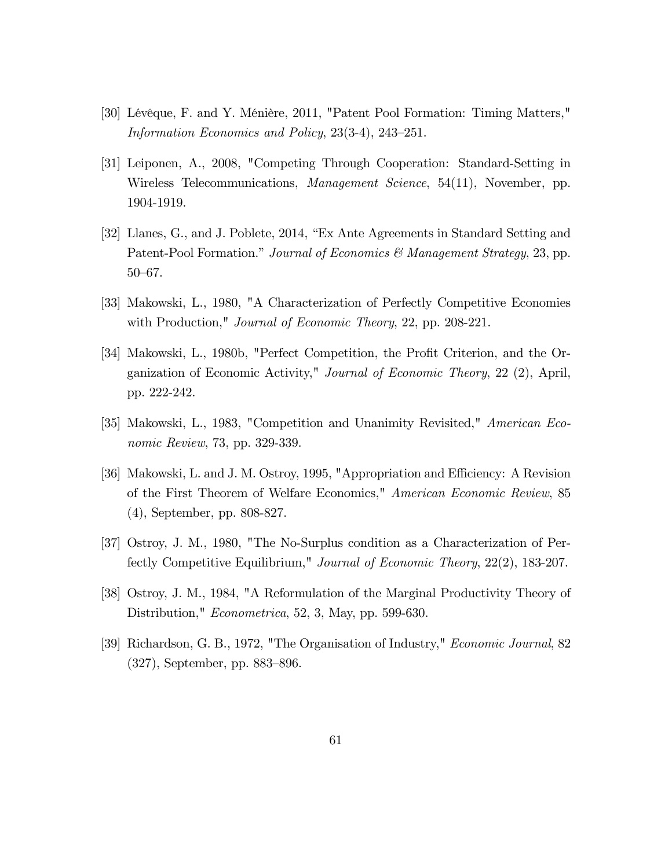- [30] Lévêque, F. and Y. Ménière, 2011, "Patent Pool Formation: Timing Matters," Information Economics and Policy,  $23(3-4)$ ,  $243-251$ .
- [31] Leiponen, A., 2008, "Competing Through Cooperation: Standard-Setting in Wireless Telecommunications, Management Science, 54(11), November, pp. 1904-1919.
- [32] Llanes, G., and J. Poblete, 2014, "Ex Ante Agreements in Standard Setting and Patent-Pool Formation." Journal of Economics & Management Strategy, 23, pp.  $50 - 67$ .
- [33] Makowski, L., 1980, "A Characterization of Perfectly Competitive Economies with Production," *Journal of Economic Theory*, 22, pp. 208-221.
- [34] Makowski, L., 1980b, "Perfect Competition, the Profit Criterion, and the Organization of Economic Activity," Journal of Economic Theory, 22 (2), April, pp. 222-242.
- [35] Makowski, L., 1983, "Competition and Unanimity Revisited," American Economic Review, 73, pp. 329-339.
- [36] Makowski, L. and J. M. Ostroy, 1995, "Appropriation and Efficiency: A Revision of the First Theorem of Welfare Economics," American Economic Review, 85 (4), September, pp. 808-827.
- [37] Ostroy, J. M., 1980, "The No-Surplus condition as a Characterization of Perfectly Competitive Equilibrium," Journal of Economic Theory, 22(2), 183-207.
- [38] Ostroy, J. M., 1984, "A Reformulation of the Marginal Productivity Theory of Distribution," *Econometrica*, 52, 3, May, pp. 599-630.
- [39] Richardson, G. B., 1972, "The Organisation of Industry," Economic Journal, 82  $(327)$ , September, pp. 883–896.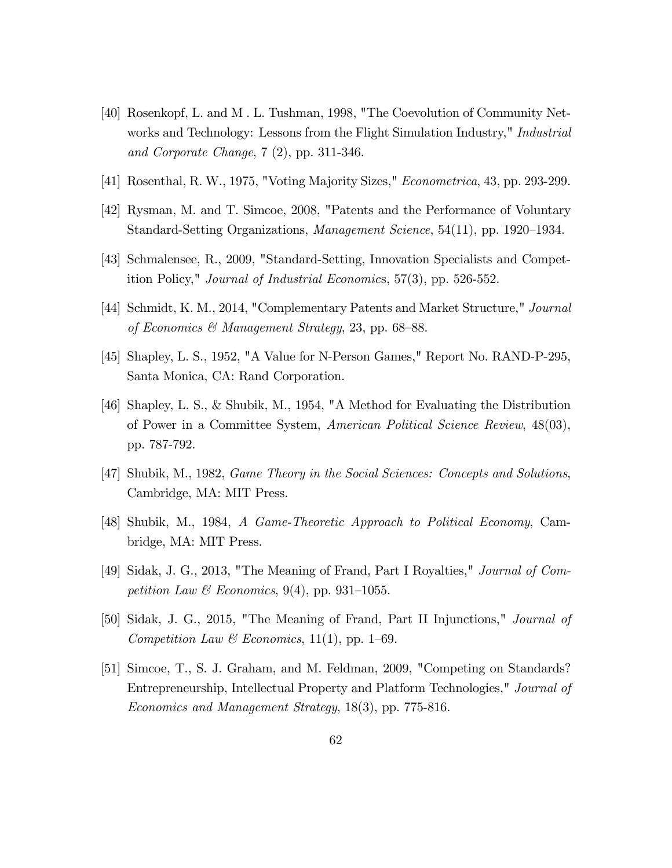- [40] Rosenkopf, L. and M . L. Tushman, 1998, "The Coevolution of Community Networks and Technology: Lessons from the Flight Simulation Industry," *Industrial* and Corporate Change, 7 (2), pp. 311-346.
- [41] Rosenthal, R. W., 1975, "Voting Majority Sizes," Econometrica, 43, pp. 293-299.
- [42] Rysman, M. and T. Simcoe, 2008, "Patents and the Performance of Voluntary Standard-Setting Organizations, *Management Science*,  $54(11)$ , pp. 1920–1934.
- [43] Schmalensee, R., 2009, "Standard-Setting, Innovation Specialists and Competition Policy," Journal of Industrial Economics, 57(3), pp. 526-552.
- [44] Schmidt, K. M., 2014, "Complementary Patents and Market Structure," Journal of Economics & Management Strategy, 23, pp. 68–88.
- [45] Shapley, L. S., 1952, "A Value for N-Person Games," Report No. RAND-P-295, Santa Monica, CA: Rand Corporation.
- [46] Shapley, L. S., & Shubik, M., 1954, "A Method for Evaluating the Distribution of Power in a Committee System, American Political Science Review, 48(03), pp. 787-792.
- [47] Shubik, M., 1982, Game Theory in the Social Sciences: Concepts and Solutions, Cambridge, MA: MIT Press.
- [48] Shubik, M., 1984, A Game-Theoretic Approach to Political Economy, Cambridge, MA: MIT Press.
- [49] Sidak, J. G., 2013, "The Meaning of Frand, Part I Royalties," Journal of Competition Law & Economics, 9(4), pp. 931–1055.
- [50] Sidak, J. G., 2015, "The Meaning of Frand, Part II Injunctions," Journal of Competition Law & Economics, 11(1), pp. 1–69.
- [51] Simcoe, T., S. J. Graham, and M. Feldman, 2009, "Competing on Standards? Entrepreneurship, Intellectual Property and Platform Technologies," Journal of Economics and Management Strategy, 18(3), pp. 775-816.